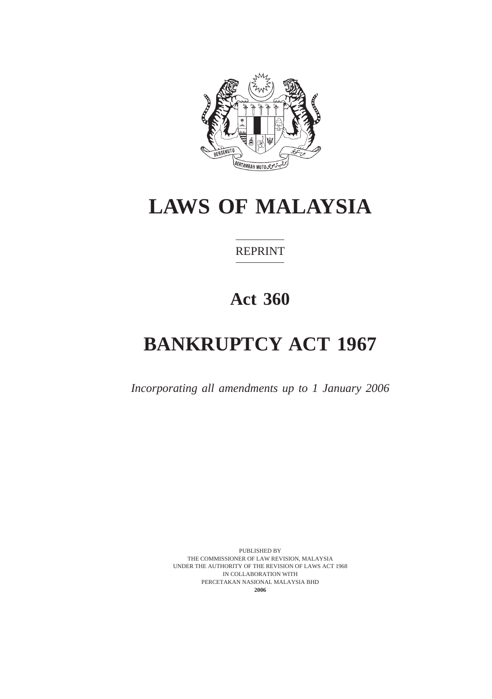

# **LAWS OF MALAYSIA**

## REPRINT

# **Act 360**

# **BANKRUPTCY ACT 1967**

*Incorporating all amendments up to 1 January 2006*

PUBLISHED BY THE COMMISSIONER OF LAW REVISION, MALAYSIA UNDER THE AUTHORITY OF THE REVISION OF LAWS ACT 1968 IN COLLABORATION WITH PERCETAKAN NASIONAL MALAYSIA BHD **2006**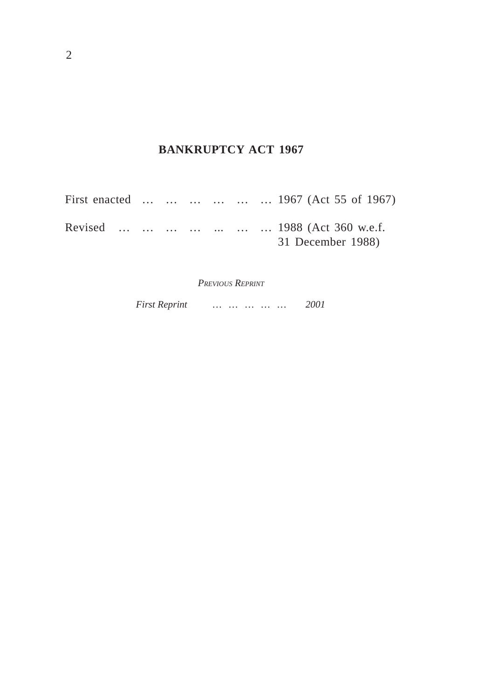## **BANKRUPTCY ACT 1967**

|  |  |  | First enacted       1967 (Act 55 of 1967)                |
|--|--|--|----------------------------------------------------------|
|  |  |  | Revised        1988 (Act 360 w.e.f.<br>31 December 1988) |

*PREVIOUS REPRINT*

*First Reprint … … … … … 2001*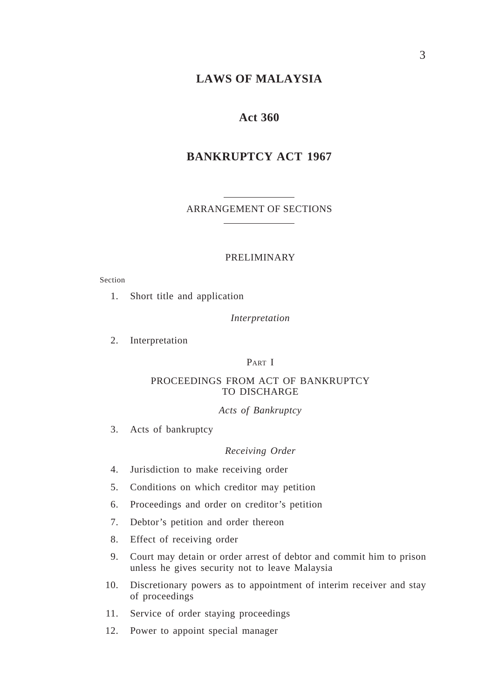## **LAWS OF MALAYSIA**

## **Act 360**

## **BANKRUPTCY ACT 1967**

ARRANGEMENT OF SECTIONS

#### PRELIMINARY

Section

1. Short title and application

*Interpretation*

2. Interpretation

PART I

#### PROCEEDINGS FROM ACT OF BANKRUPTCY TO DISCHARGE

#### *Acts of Bankruptcy*

3. Acts of bankruptcy

#### *Receiving Order*

- 4. Jurisdiction to make receiving order
- 5. Conditions on which creditor may petition
- 6. Proceedings and order on creditor's petition
- 7. Debtor's petition and order thereon
- 8. Effect of receiving order
- 9. Court may detain or order arrest of debtor and commit him to prison unless he gives security not to leave Malaysia
- 10. Discretionary powers as to appointment of interim receiver and stay of proceedings
- 11. Service of order staying proceedings
- 12. Power to appoint special manager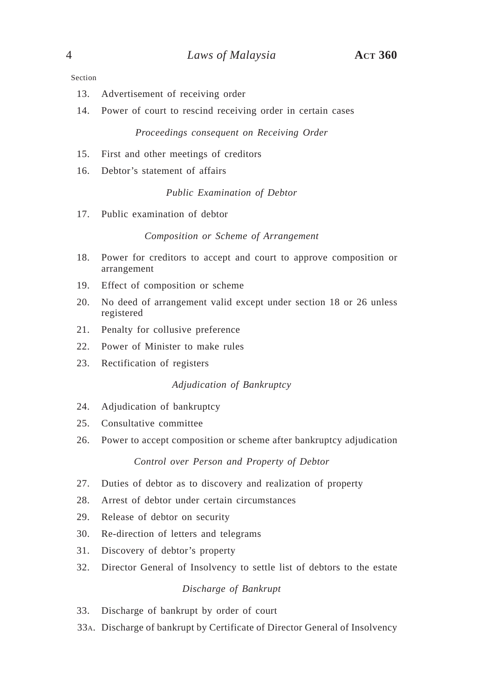Section

- 13. Advertisement of receiving order
- 14. Power of court to rescind receiving order in certain cases

#### *Proceedings consequent on Receiving Order*

- 15. First and other meetings of creditors
- 16. Debtor's statement of affairs

#### *Public Examination of Debtor*

17. Public examination of debtor

#### *Composition or Scheme of Arrangement*

- 18. Power for creditors to accept and court to approve composition or arrangement
- 19. Effect of composition or scheme
- 20. No deed of arrangement valid except under section 18 or 26 unless registered
- 21. Penalty for collusive preference
- 22. Power of Minister to make rules
- 23. Rectification of registers

#### *Adjudication of Bankruptcy*

- 24. Adjudication of bankruptcy
- 25. Consultative committee
- 26. Power to accept composition or scheme after bankruptcy adjudication

*Control over Person and Property of Debtor*

- 27. Duties of debtor as to discovery and realization of property
- 28. Arrest of debtor under certain circumstances
- 29. Release of debtor on security
- 30. Re-direction of letters and telegrams
- 31. Discovery of debtor's property
- 32. Director General of Insolvency to settle list of debtors to the estate

#### *Discharge of Bankrupt*

- 33. Discharge of bankrupt by order of court
- 33A. Discharge of bankrupt by Certificate of Director General of Insolvency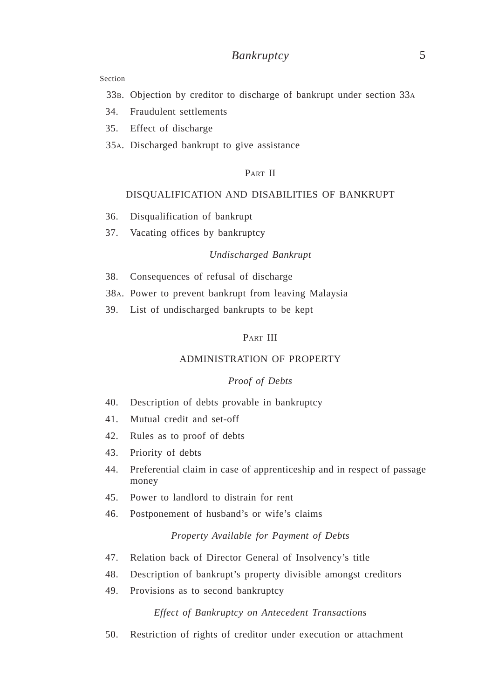## *Bankruptcy* 5

Section

- 33B. Objection by creditor to discharge of bankrupt under section 33A
- 34. Fraudulent settlements
- 35. Effect of discharge
- 35A. Discharged bankrupt to give assistance

#### PART II

#### DISQUALIFICATION AND DISABILITIES OF BANKRUPT

- 36. Disqualification of bankrupt
- 37. Vacating offices by bankruptcy

#### *Undischarged Bankrupt*

- 38. Consequences of refusal of discharge
- 38A. Power to prevent bankrupt from leaving Malaysia
- 39. List of undischarged bankrupts to be kept

#### PART III

## ADMINISTRATION OF PROPERTY

#### *Proof of Debts*

- 40. Description of debts provable in bankruptcy
- 41. Mutual credit and set-off
- 42. Rules as to proof of debts
- 43. Priority of debts
- 44. Preferential claim in case of apprenticeship and in respect of passage money
- 45. Power to landlord to distrain for rent
- 46. Postponement of husband's or wife's claims

#### *Property Available for Payment of Debts*

- 47. Relation back of Director General of Insolvency's title
- 48. Description of bankrupt's property divisible amongst creditors
- 49. Provisions as to second bankruptcy

#### *Effect of Bankruptcy on Antecedent Transactions*

50. Restriction of rights of creditor under execution or attachment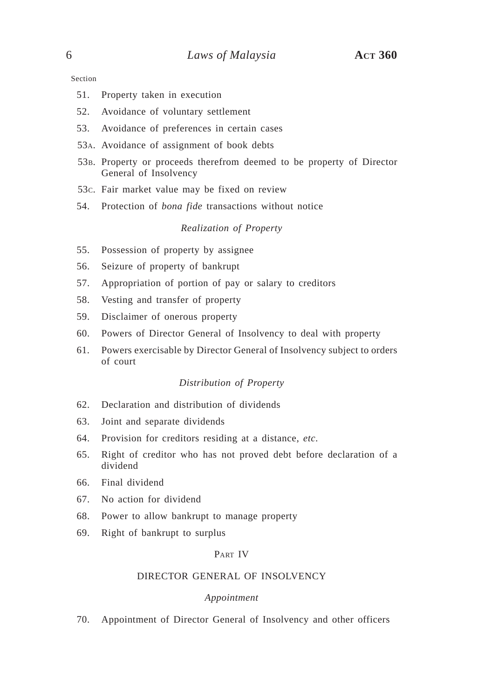Section

- 51. Property taken in execution
- 52. Avoidance of voluntary settlement
- 53. Avoidance of preferences in certain cases
- 53A. Avoidance of assignment of book debts
- 53B. Property or proceeds therefrom deemed to be property of Director General of Insolvency
- 53C. Fair market value may be fixed on review
- 54. Protection of *bona fide* transactions without notice

#### *Realization of Property*

- 55. Possession of property by assignee
- 56. Seizure of property of bankrupt
- 57. Appropriation of portion of pay or salary to creditors
- 58. Vesting and transfer of property
- 59. Disclaimer of onerous property
- 60. Powers of Director General of Insolvency to deal with property
- 61. Powers exercisable by Director General of Insolvency subject to orders of court

#### *Distribution of Property*

- 62. Declaration and distribution of dividends
- 63. Joint and separate dividends
- 64. Provision for creditors residing at a distance, *etc.*
- 65. Right of creditor who has not proved debt before declaration of a dividend
- 66. Final dividend
- 67. No action for dividend
- 68. Power to allow bankrupt to manage property
- 69. Right of bankrupt to surplus

#### PART IV

#### DIRECTOR GENERAL OF INSOLVENCY

#### *Appointment*

70. Appointment of Director General of Insolvency and other officers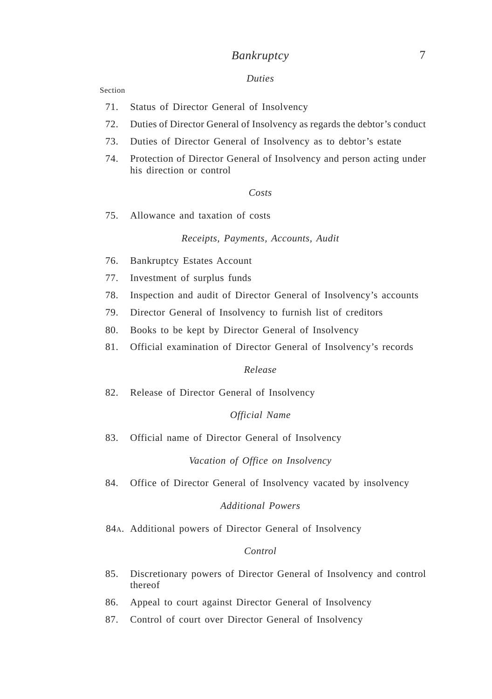## *Bankruptcy* 7

#### *Duties*

Section

- 71. Status of Director General of Insolvency
- 72. Duties of Director General of Insolvency as regards the debtor's conduct
- 73. Duties of Director General of Insolvency as to debtor's estate
- 74. Protection of Director General of Insolvency and person acting under his direction or control

#### *Costs*

75. Allowance and taxation of costs

#### *Receipts, Payments, Accounts, Audit*

- 76. Bankruptcy Estates Account
- 77. Investment of surplus funds
- 78. Inspection and audit of Director General of Insolvency's accounts
- 79. Director General of Insolvency to furnish list of creditors
- 80. Books to be kept by Director General of Insolvency
- 81. Official examination of Director General of Insolvency's records

#### *Release*

82. Release of Director General of Insolvency

#### *Official Name*

83. Official name of Director General of Insolvency

#### *Vacation of Office on Insolvency*

84. Office of Director General of Insolvency vacated by insolvency

#### *Additional Powers*

84A. Additional powers of Director General of Insolvency

#### *Control*

- 85. Discretionary powers of Director General of Insolvency and control thereof
- 86. Appeal to court against Director General of Insolvency
- 87. Control of court over Director General of Insolvency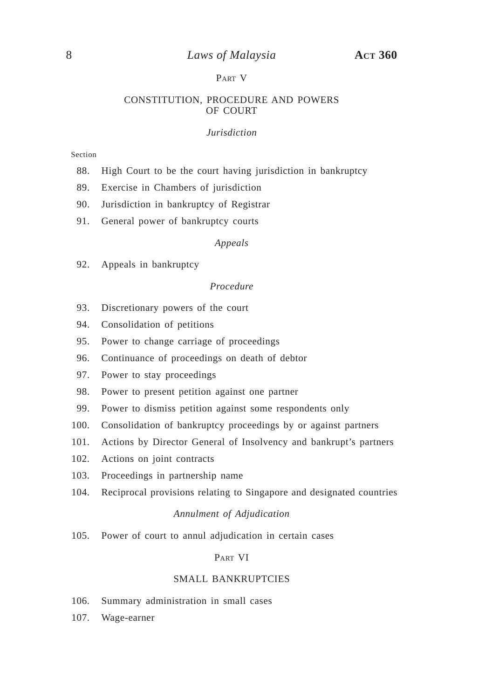## 8 *Laws of Malaysia* **ACT 360**

#### PART V

#### CONSTITUTION, PROCEDURE AND POWERS OF COURT

#### *Jurisdiction*

#### Section

- 88. High Court to be the court having jurisdiction in bankruptcy
- 89. Exercise in Chambers of jurisdiction
- 90. Jurisdiction in bankruptcy of Registrar
- 91. General power of bankruptcy courts

#### *Appeals*

92. Appeals in bankruptcy

#### *Procedure*

- 93. Discretionary powers of the court
- 94. Consolidation of petitions
- 95. Power to change carriage of proceedings
- 96. Continuance of proceedings on death of debtor
- 97. Power to stay proceedings
- 98. Power to present petition against one partner
- 99. Power to dismiss petition against some respondents only
- 100. Consolidation of bankruptcy proceedings by or against partners
- 101. Actions by Director General of Insolvency and bankrupt's partners
- 102. Actions on joint contracts
- 103. Proceedings in partnership name
- 104. Reciprocal provisions relating to Singapore and designated countries

#### *Annulment of Adjudication*

105. Power of court to annul adjudication in certain cases

#### PART VI

#### SMALL BANKRUPTCIES

- 106. Summary administration in small cases
- 107. Wage-earner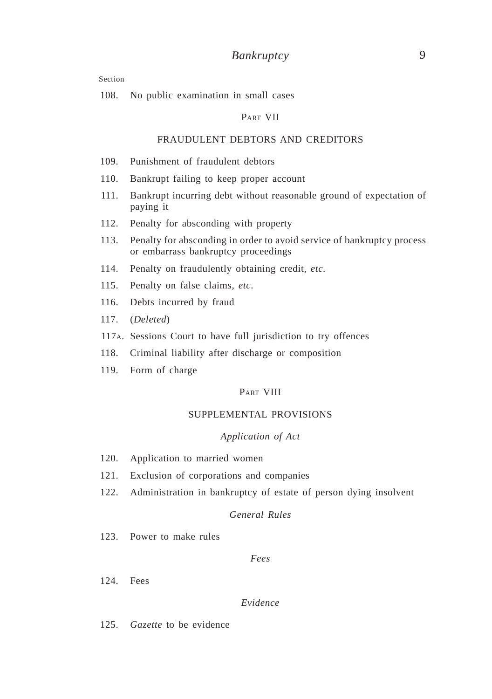Section

108. No public examination in small cases

#### PART VII

### FRAUDULENT DEBTORS AND CREDITORS

- 109. Punishment of fraudulent debtors
- 110. Bankrupt failing to keep proper account
- 111. Bankrupt incurring debt without reasonable ground of expectation of paying it
- 112. Penalty for absconding with property
- 113. Penalty for absconding in order to avoid service of bankruptcy process or embarrass bankruptcy proceedings
- 114. Penalty on fraudulently obtaining credit, *etc.*
- 115. Penalty on false claims, *etc*.
- 116. Debts incurred by fraud
- 117. (*Deleted*)
- 117A. Sessions Court to have full jurisdiction to try offences
- 118. Criminal liability after discharge or composition
- 119. Form of charge

#### PART VIII

#### SUPPLEMENTAL PROVISIONS

## *Application of Act*

- 120. Application to married women
- 121. Exclusion of corporations and companies
- 122. Administration in bankruptcy of estate of person dying insolvent

#### *General Rules*

- 123. Power to make rules
- *Fees*

124. Fees

#### *Evidence*

125. *Gazette* to be evidence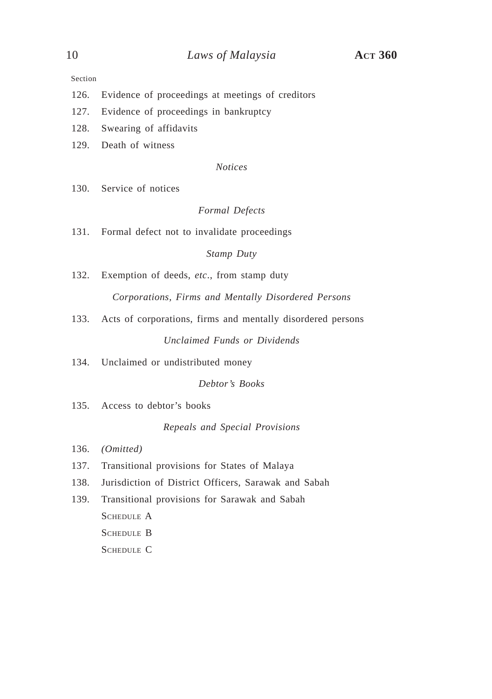Section

- 126. Evidence of proceedings at meetings of creditors
- 127. Evidence of proceedings in bankruptcy
- 128. Swearing of affidavits
- 129. Death of witness

#### *Notices*

130. Service of notices

#### *Formal Defects*

131. Formal defect not to invalidate proceedings

#### *Stamp Duty*

132. Exemption of deeds, *etc*., from stamp duty

*Corporations, Firms and Mentally Disordered Persons*

133. Acts of corporations, firms and mentally disordered persons

## *Unclaimed Funds or Dividends*

134. Unclaimed or undistributed money

*Debtor's Books*

135. Access to debtor's books

*Repeals and Special Provisions*

- 136. *(Omitted)*
- 137. Transitional provisions for States of Malaya
- 138. Jurisdiction of District Officers, Sarawak and Sabah
- 139. Transitional provisions for Sarawak and Sabah SCHEDULE A SCHEDULE B SCHEDULE C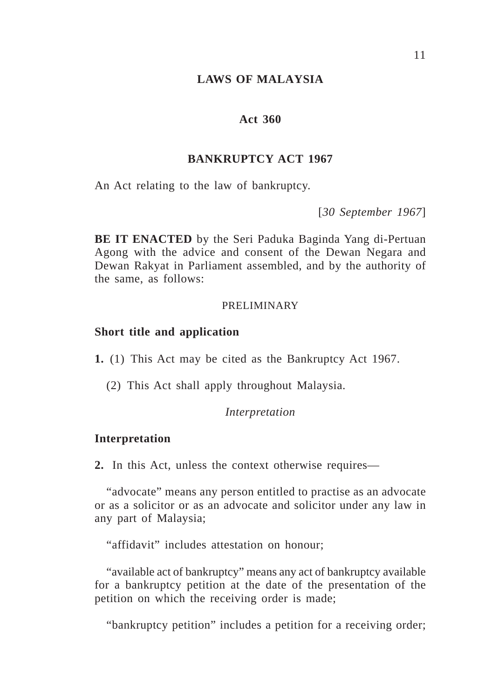## **LAWS OF MALAYSIA**

#### **Act 360**

## **BANKRUPTCY ACT 1967**

An Act relating to the law of bankruptcy.

[*30 September 1967*]

**BE IT ENACTED** by the Seri Paduka Baginda Yang di-Pertuan Agong with the advice and consent of the Dewan Negara and Dewan Rakyat in Parliament assembled, and by the authority of the same, as follows:

#### PRELIMINARY

## **Short title and application**

**1.** (1) This Act may be cited as the Bankruptcy Act 1967.

(2) This Act shall apply throughout Malaysia.

#### *Interpretation*

#### **Interpretation**

**2.** In this Act, unless the context otherwise requires—

"advocate" means any person entitled to practise as an advocate or as a solicitor or as an advocate and solicitor under any law in any part of Malaysia;

"affidavit" includes attestation on honour;

"available act of bankruptcy" means any act of bankruptcy available for a bankruptcy petition at the date of the presentation of the petition on which the receiving order is made;

"bankruptcy petition" includes a petition for a receiving order;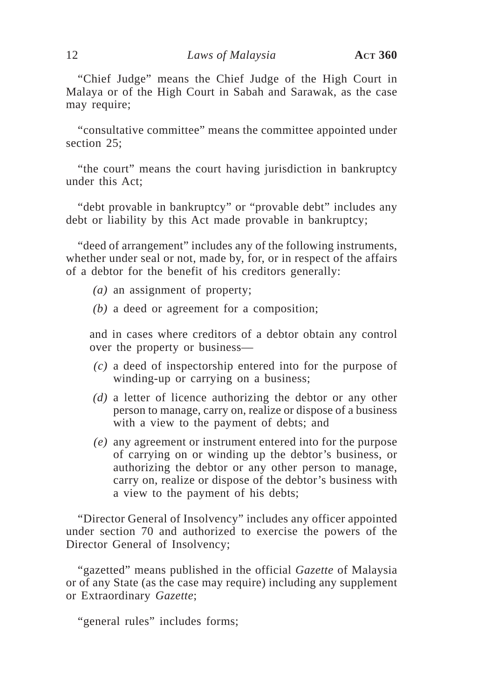"Chief Judge" means the Chief Judge of the High Court in Malaya or of the High Court in Sabah and Sarawak, as the case may require;

"consultative committee" means the committee appointed under section 25;

"the court" means the court having jurisdiction in bankruptcy under this Act;

"debt provable in bankruptcy" or "provable debt" includes any debt or liability by this Act made provable in bankruptcy;

"deed of arrangement" includes any of the following instruments, whether under seal or not, made by, for, or in respect of the affairs of a debtor for the benefit of his creditors generally:

- *(a)* an assignment of property;
- *(b)* a deed or agreement for a composition;

and in cases where creditors of a debtor obtain any control over the property or business—

- *(c)* a deed of inspectorship entered into for the purpose of winding-up or carrying on a business;
- *(d)* a letter of licence authorizing the debtor or any other person to manage, carry on, realize or dispose of a business with a view to the payment of debts; and
- *(e)* any agreement or instrument entered into for the purpose of carrying on or winding up the debtor's business, or authorizing the debtor or any other person to manage, carry on, realize or dispose of the debtor's business with a view to the payment of his debts;

"Director General of Insolvency" includes any officer appointed under section 70 and authorized to exercise the powers of the Director General of Insolvency;

"gazetted" means published in the official *Gazette* of Malaysia or of any State (as the case may require) including any supplement or Extraordinary *Gazette*;

"general rules" includes forms;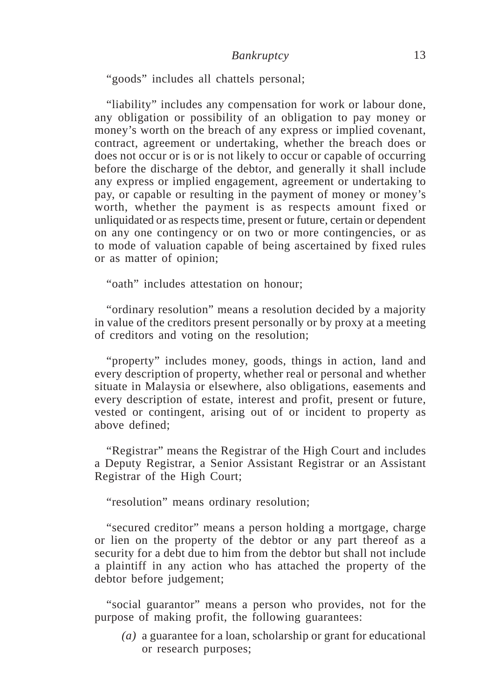"goods" includes all chattels personal;

"liability" includes any compensation for work or labour done, any obligation or possibility of an obligation to pay money or money's worth on the breach of any express or implied covenant. contract, agreement or undertaking, whether the breach does or does not occur or is or is not likely to occur or capable of occurring before the discharge of the debtor, and generally it shall include any express or implied engagement, agreement or undertaking to pay, or capable or resulting in the payment of money or money's worth, whether the payment is as respects amount fixed or unliquidated or as respects time, present or future, certain or dependent on any one contingency or on two or more contingencies, or as to mode of valuation capable of being ascertained by fixed rules or as matter of opinion;

"oath" includes attestation on honour;

"ordinary resolution" means a resolution decided by a majority in value of the creditors present personally or by proxy at a meeting of creditors and voting on the resolution;

"property" includes money, goods, things in action, land and every description of property, whether real or personal and whether situate in Malaysia or elsewhere, also obligations, easements and every description of estate, interest and profit, present or future, vested or contingent, arising out of or incident to property as above defined;

"Registrar" means the Registrar of the High Court and includes a Deputy Registrar, a Senior Assistant Registrar or an Assistant Registrar of the High Court;

"resolution" means ordinary resolution;

"secured creditor" means a person holding a mortgage, charge or lien on the property of the debtor or any part thereof as a security for a debt due to him from the debtor but shall not include a plaintiff in any action who has attached the property of the debtor before judgement;

"social guarantor" means a person who provides, not for the purpose of making profit, the following guarantees:

*(a)* a guarantee for a loan, scholarship or grant for educational or research purposes;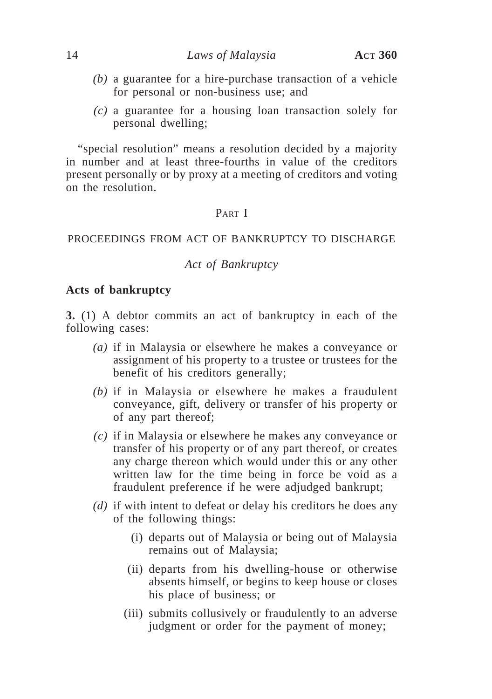- *(b)* a guarantee for a hire-purchase transaction of a vehicle for personal or non-business use; and
- *(c)* a guarantee for a housing loan transaction solely for personal dwelling;

"special resolution" means a resolution decided by a majority in number and at least three-fourths in value of the creditors present personally or by proxy at a meeting of creditors and voting on the resolution.

## PART I

## PROCEEDINGS FROM ACT OF BANKRUPTCY TO DISCHARGE

## *Act of Bankruptcy*

## **Acts of bankruptcy**

**3.** (1) A debtor commits an act of bankruptcy in each of the following cases:

- *(a)* if in Malaysia or elsewhere he makes a conveyance or assignment of his property to a trustee or trustees for the benefit of his creditors generally;
- *(b)* if in Malaysia or elsewhere he makes a fraudulent conveyance, gift, delivery or transfer of his property or of any part thereof;
- *(c)* if in Malaysia or elsewhere he makes any conveyance or transfer of his property or of any part thereof, or creates any charge thereon which would under this or any other written law for the time being in force be void as a fraudulent preference if he were adjudged bankrupt;
- *(d)* if with intent to defeat or delay his creditors he does any of the following things:
	- (i) departs out of Malaysia or being out of Malaysia remains out of Malaysia;
	- (ii) departs from his dwelling-house or otherwise absents himself, or begins to keep house or closes his place of business; or
	- (iii) submits collusively or fraudulently to an adverse judgment or order for the payment of money;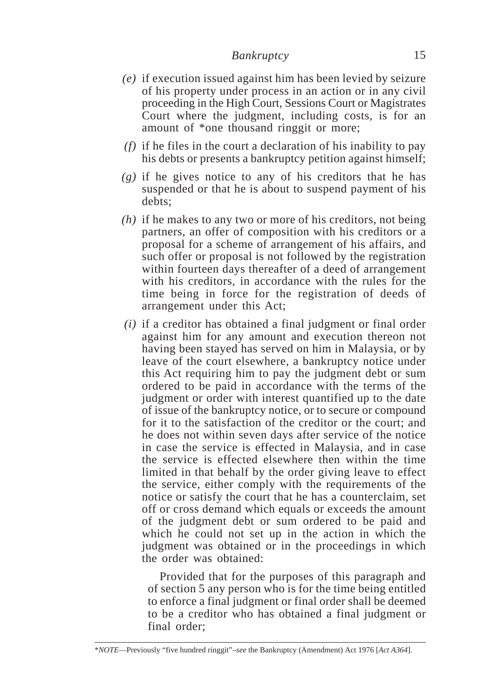- *(e)* if execution issued against him has been levied by seizure of his property under process in an action or in any civil proceeding in the High Court, Sessions Court or Magistrates Court where the judgment, including costs, is for an amount of \*one thousand ringgit or more;
- *(f)* if he files in the court a declaration of his inability to pay his debts or presents a bankruptcy petition against himself;
- *(g)* if he gives notice to any of his creditors that he has suspended or that he is about to suspend payment of his debts;
- *(h)* if he makes to any two or more of his creditors, not being partners, an offer of composition with his creditors or a proposal for a scheme of arrangement of his affairs, and such offer or proposal is not followed by the registration within fourteen days thereafter of a deed of arrangement with his creditors, in accordance with the rules for the time being in force for the registration of deeds of arrangement under this Act;
- *(i)* if a creditor has obtained a final judgment or final order against him for any amount and execution thereon not having been stayed has served on him in Malaysia, or by leave of the court elsewhere, a bankruptcy notice under this Act requiring him to pay the judgment debt or sum ordered to be paid in accordance with the terms of the judgment or order with interest quantified up to the date of issue of the bankruptcy notice, or to secure or compound for it to the satisfaction of the creditor or the court; and he does not within seven days after service of the notice in case the service is effected in Malaysia, and in case the service is effected elsewhere then within the time limited in that behalf by the order giving leave to effect the service, either comply with the requirements of the notice or satisfy the court that he has a counterclaim, set off or cross demand which equals or exceeds the amount of the judgment debt or sum ordered to be paid and which he could not set up in the action in which the judgment was obtained or in the proceedings in which the order was obtained:

Provided that for the purposes of this paragraph and of section 5 any person who is for the time being entitled to enforce a final judgment or final order shall be deemed to be a creditor who has obtained a final judgment or final order;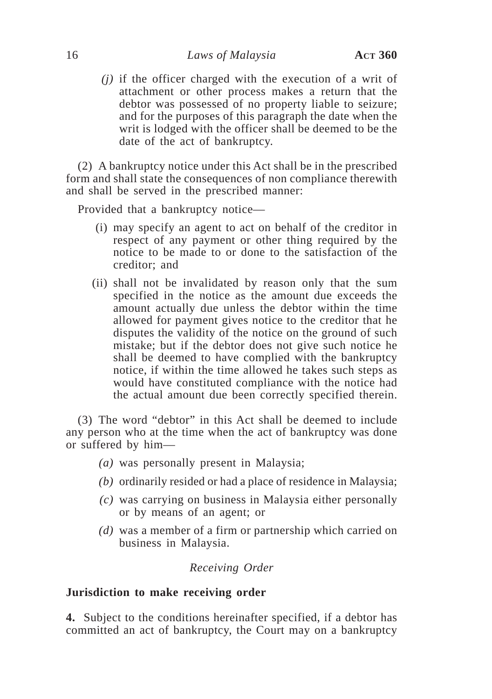## 16 *Laws of Malaysia* **ACT 360**

*(j)* if the officer charged with the execution of a writ of attachment or other process makes a return that the debtor was possessed of no property liable to seizure; and for the purposes of this paragraph the date when the writ is lodged with the officer shall be deemed to be the date of the act of bankruptcy.

(2) A bankruptcy notice under this Act shall be in the prescribed form and shall state the consequences of non compliance therewith and shall be served in the prescribed manner:

Provided that a bankruptcy notice—

- (i) may specify an agent to act on behalf of the creditor in respect of any payment or other thing required by the notice to be made to or done to the satisfaction of the creditor; and
- (ii) shall not be invalidated by reason only that the sum specified in the notice as the amount due exceeds the amount actually due unless the debtor within the time allowed for payment gives notice to the creditor that he disputes the validity of the notice on the ground of such mistake; but if the debtor does not give such notice he shall be deemed to have complied with the bankruptcy notice, if within the time allowed he takes such steps as would have constituted compliance with the notice had the actual amount due been correctly specified therein.

(3) The word "debtor" in this Act shall be deemed to include any person who at the time when the act of bankruptcy was done or suffered by him—

- *(a)* was personally present in Malaysia;
- *(b)* ordinarily resided or had a place of residence in Malaysia;
- *(c)* was carrying on business in Malaysia either personally or by means of an agent; or
- *(d)* was a member of a firm or partnership which carried on business in Malaysia.

## *Receiving Order*

## **Jurisdiction to make receiving order**

**4.** Subject to the conditions hereinafter specified, if a debtor has committed an act of bankruptcy, the Court may on a bankruptcy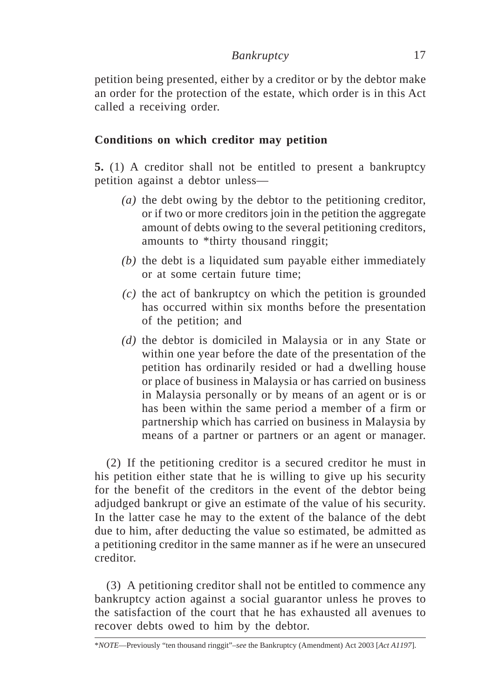petition being presented, either by a creditor or by the debtor make an order for the protection of the estate, which order is in this Act called a receiving order.

## **Conditions on which creditor may petition**

**5.** (1) A creditor shall not be entitled to present a bankruptcy petition against a debtor unless—

- *(a)* the debt owing by the debtor to the petitioning creditor, or if two or more creditors join in the petition the aggregate amount of debts owing to the several petitioning creditors, amounts to \*thirty thousand ringgit;
- *(b)* the debt is a liquidated sum payable either immediately or at some certain future time;
- *(c)* the act of bankruptcy on which the petition is grounded has occurred within six months before the presentation of the petition; and
- *(d)* the debtor is domiciled in Malaysia or in any State or within one year before the date of the presentation of the petition has ordinarily resided or had a dwelling house or place of business in Malaysia or has carried on business in Malaysia personally or by means of an agent or is or has been within the same period a member of a firm or partnership which has carried on business in Malaysia by means of a partner or partners or an agent or manager.

(2) If the petitioning creditor is a secured creditor he must in his petition either state that he is willing to give up his security for the benefit of the creditors in the event of the debtor being adjudged bankrupt or give an estimate of the value of his security. In the latter case he may to the extent of the balance of the debt due to him, after deducting the value so estimated, be admitted as a petitioning creditor in the same manner as if he were an unsecured creditor.

(3) A petitioning creditor shall not be entitled to commence any bankruptcy action against a social guarantor unless he proves to the satisfaction of the court that he has exhausted all avenues to recover debts owed to him by the debtor.

<sup>\*</sup>*NOTE*—Previously "ten thousand ringgit"–*see* the Bankruptcy (Amendment) Act 2003 [*Act A1197*].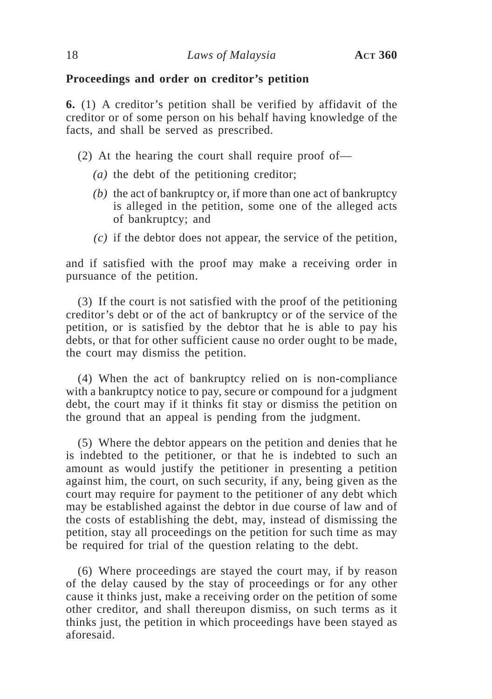## **Proceedings and order on creditor's petition**

**6.** (1) A creditor's petition shall be verified by affidavit of the creditor or of some person on his behalf having knowledge of the facts, and shall be served as prescribed.

- (2) At the hearing the court shall require proof of—
	- *(a)* the debt of the petitioning creditor;
	- *(b)* the act of bankruptcy or, if more than one act of bankruptcy is alleged in the petition, some one of the alleged acts of bankruptcy; and
	- *(c)* if the debtor does not appear, the service of the petition,

and if satisfied with the proof may make a receiving order in pursuance of the petition.

(3) If the court is not satisfied with the proof of the petitioning creditor's debt or of the act of bankruptcy or of the service of the petition, or is satisfied by the debtor that he is able to pay his debts, or that for other sufficient cause no order ought to be made, the court may dismiss the petition.

(4) When the act of bankruptcy relied on is non-compliance with a bankruptcy notice to pay, secure or compound for a judgment debt, the court may if it thinks fit stay or dismiss the petition on the ground that an appeal is pending from the judgment.

(5) Where the debtor appears on the petition and denies that he is indebted to the petitioner, or that he is indebted to such an amount as would justify the petitioner in presenting a petition against him, the court, on such security, if any, being given as the court may require for payment to the petitioner of any debt which may be established against the debtor in due course of law and of the costs of establishing the debt, may, instead of dismissing the petition, stay all proceedings on the petition for such time as may be required for trial of the question relating to the debt.

(6) Where proceedings are stayed the court may, if by reason of the delay caused by the stay of proceedings or for any other cause it thinks just, make a receiving order on the petition of some other creditor, and shall thereupon dismiss, on such terms as it thinks just, the petition in which proceedings have been stayed as aforesaid.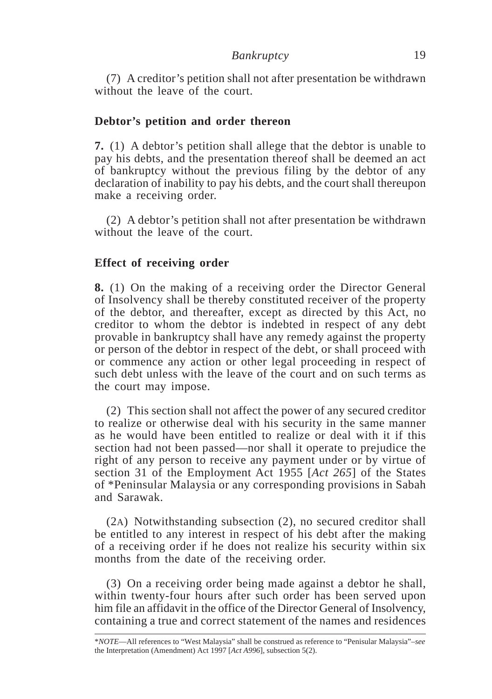(7) A creditor's petition shall not after presentation be withdrawn without the leave of the court.

## **Debtor's petition and order thereon**

**7.** (1) A debtor's petition shall allege that the debtor is unable to pay his debts, and the presentation thereof shall be deemed an act of bankruptcy without the previous filing by the debtor of any declaration of inability to pay his debts, and the court shall thereupon make a receiving order.

(2) A debtor's petition shall not after presentation be withdrawn without the leave of the court.

## **Effect of receiving order**

**8.** (1) On the making of a receiving order the Director General of Insolvency shall be thereby constituted receiver of the property of the debtor, and thereafter, except as directed by this Act, no creditor to whom the debtor is indebted in respect of any debt provable in bankruptcy shall have any remedy against the property or person of the debtor in respect of the debt, or shall proceed with or commence any action or other legal proceeding in respect of such debt unless with the leave of the court and on such terms as the court may impose.

(2) This section shall not affect the power of any secured creditor to realize or otherwise deal with his security in the same manner as he would have been entitled to realize or deal with it if this section had not been passed—nor shall it operate to prejudice the right of any person to receive any payment under or by virtue of section 31 of the Employment Act 1955 [*Act 265*] of the States of \*Peninsular Malaysia or any corresponding provisions in Sabah and Sarawak.

(2A) Notwithstanding subsection (2), no secured creditor shall be entitled to any interest in respect of his debt after the making of a receiving order if he does not realize his security within six months from the date of the receiving order.

(3) On a receiving order being made against a debtor he shall, within twenty-four hours after such order has been served upon him file an affidavit in the office of the Director General of Insolvency, containing a true and correct statement of the names and residences

<sup>\*</sup>*NOTE*—All references to "West Malaysia" shall be construed as reference to "Penisular Malaysia"–*see* the Interpretation (Amendment) Act 1997 [*Act A996*], subsection 5(2).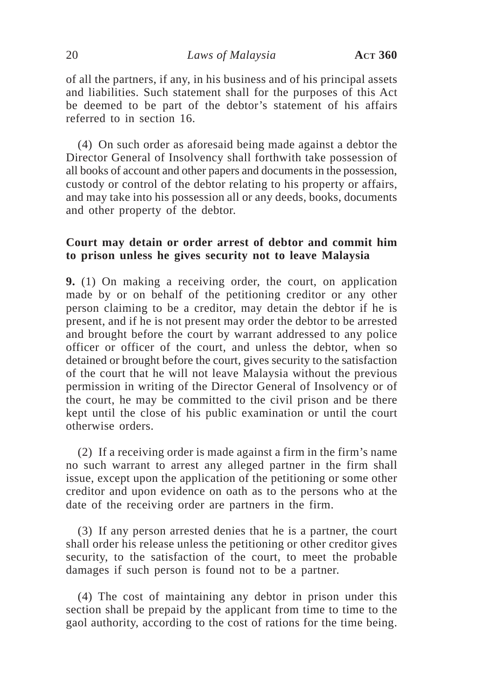of all the partners, if any, in his business and of his principal assets and liabilities. Such statement shall for the purposes of this Act be deemed to be part of the debtor's statement of his affairs referred to in section 16.

(4) On such order as aforesaid being made against a debtor the Director General of Insolvency shall forthwith take possession of all books of account and other papers and documents in the possession, custody or control of the debtor relating to his property or affairs, and may take into his possession all or any deeds, books, documents and other property of the debtor.

## **Court may detain or order arrest of debtor and commit him to prison unless he gives security not to leave Malaysia**

**9.** (1) On making a receiving order, the court, on application made by or on behalf of the petitioning creditor or any other person claiming to be a creditor, may detain the debtor if he is present, and if he is not present may order the debtor to be arrested and brought before the court by warrant addressed to any police officer or officer of the court, and unless the debtor, when so detained or brought before the court, gives security to the satisfaction of the court that he will not leave Malaysia without the previous permission in writing of the Director General of Insolvency or of the court, he may be committed to the civil prison and be there kept until the close of his public examination or until the court otherwise orders.

(2) If a receiving order is made against a firm in the firm's name no such warrant to arrest any alleged partner in the firm shall issue, except upon the application of the petitioning or some other creditor and upon evidence on oath as to the persons who at the date of the receiving order are partners in the firm.

(3) If any person arrested denies that he is a partner, the court shall order his release unless the petitioning or other creditor gives security, to the satisfaction of the court, to meet the probable damages if such person is found not to be a partner.

(4) The cost of maintaining any debtor in prison under this section shall be prepaid by the applicant from time to time to the gaol authority, according to the cost of rations for the time being.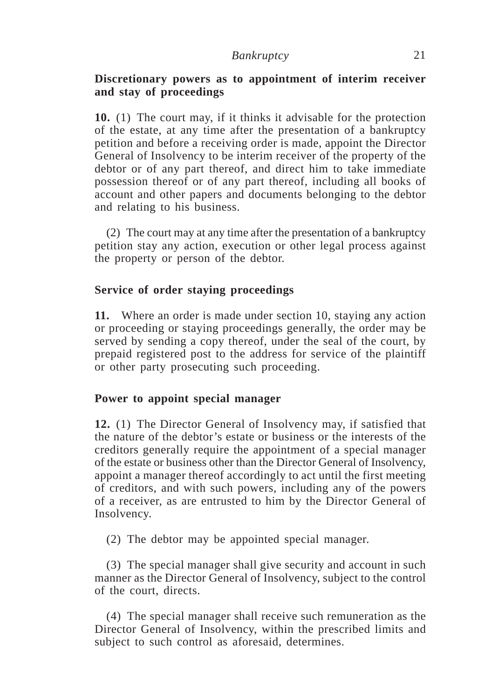## **Discretionary powers as to appointment of interim receiver and stay of proceedings**

**10.** (1) The court may, if it thinks it advisable for the protection of the estate, at any time after the presentation of a bankruptcy petition and before a receiving order is made, appoint the Director General of Insolvency to be interim receiver of the property of the debtor or of any part thereof, and direct him to take immediate possession thereof or of any part thereof, including all books of account and other papers and documents belonging to the debtor and relating to his business.

(2) The court may at any time after the presentation of a bankruptcy petition stay any action, execution or other legal process against the property or person of the debtor.

## **Service of order staying proceedings**

**11.** Where an order is made under section 10, staying any action or proceeding or staying proceedings generally, the order may be served by sending a copy thereof, under the seal of the court, by prepaid registered post to the address for service of the plaintiff or other party prosecuting such proceeding.

## **Power to appoint special manager**

**12.** (1) The Director General of Insolvency may, if satisfied that the nature of the debtor's estate or business or the interests of the creditors generally require the appointment of a special manager of the estate or business other than the Director General of Insolvency, appoint a manager thereof accordingly to act until the first meeting of creditors, and with such powers, including any of the powers of a receiver, as are entrusted to him by the Director General of Insolvency.

(2) The debtor may be appointed special manager.

(3) The special manager shall give security and account in such manner as the Director General of Insolvency, subject to the control of the court, directs.

(4) The special manager shall receive such remuneration as the Director General of Insolvency, within the prescribed limits and subject to such control as aforesaid, determines.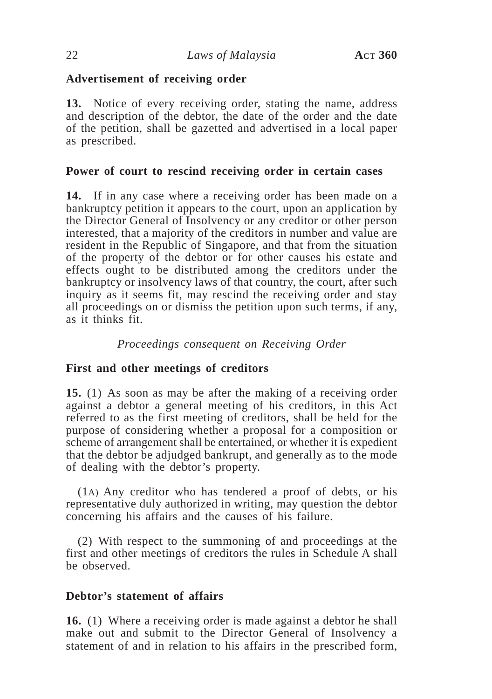## **Advertisement of receiving order**

**13.** Notice of every receiving order, stating the name, address and description of the debtor, the date of the order and the date of the petition, shall be gazetted and advertised in a local paper as prescribed.

## **Power of court to rescind receiving order in certain cases**

**14.** If in any case where a receiving order has been made on a bankruptcy petition it appears to the court, upon an application by the Director General of Insolvency or any creditor or other person interested, that a majority of the creditors in number and value are resident in the Republic of Singapore, and that from the situation of the property of the debtor or for other causes his estate and effects ought to be distributed among the creditors under the bankruptcy or insolvency laws of that country, the court, after such inquiry as it seems fit, may rescind the receiving order and stay all proceedings on or dismiss the petition upon such terms, if any, as it thinks fit.

*Proceedings consequent on Receiving Order*

## **First and other meetings of creditors**

**15.** (1) As soon as may be after the making of a receiving order against a debtor a general meeting of his creditors, in this Act referred to as the first meeting of creditors, shall be held for the purpose of considering whether a proposal for a composition or scheme of arrangement shall be entertained, or whether it is expedient that the debtor be adjudged bankrupt, and generally as to the mode of dealing with the debtor's property.

(1A) Any creditor who has tendered a proof of debts, or his representative duly authorized in writing, may question the debtor concerning his affairs and the causes of his failure.

(2) With respect to the summoning of and proceedings at the first and other meetings of creditors the rules in Schedule A shall be observed.

## **Debtor's statement of affairs**

**16.** (1) Where a receiving order is made against a debtor he shall make out and submit to the Director General of Insolvency a statement of and in relation to his affairs in the prescribed form,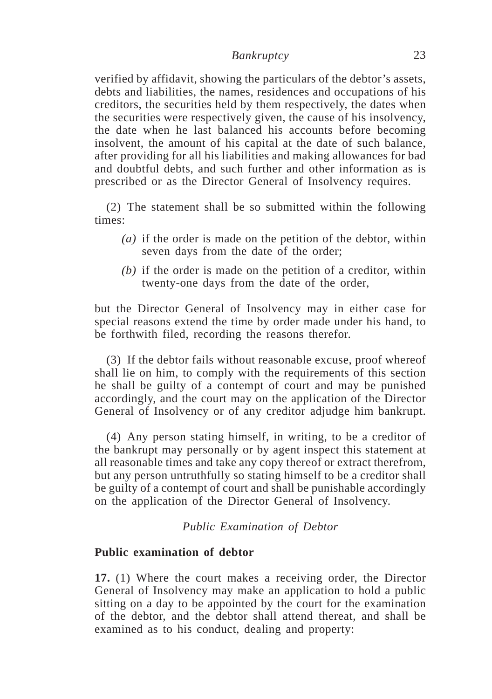## *Bankruptcy* 23

verified by affidavit, showing the particulars of the debtor's assets, debts and liabilities, the names, residences and occupations of his creditors, the securities held by them respectively, the dates when the securities were respectively given, the cause of his insolvency, the date when he last balanced his accounts before becoming insolvent, the amount of his capital at the date of such balance, after providing for all his liabilities and making allowances for bad and doubtful debts, and such further and other information as is prescribed or as the Director General of Insolvency requires.

(2) The statement shall be so submitted within the following times:

- *(a)* if the order is made on the petition of the debtor, within seven days from the date of the order;
- *(b)* if the order is made on the petition of a creditor, within twenty-one days from the date of the order,

but the Director General of Insolvency may in either case for special reasons extend the time by order made under his hand, to be forthwith filed, recording the reasons therefor.

(3) If the debtor fails without reasonable excuse, proof whereof shall lie on him, to comply with the requirements of this section he shall be guilty of a contempt of court and may be punished accordingly, and the court may on the application of the Director General of Insolvency or of any creditor adjudge him bankrupt.

(4) Any person stating himself, in writing, to be a creditor of the bankrupt may personally or by agent inspect this statement at all reasonable times and take any copy thereof or extract therefrom, but any person untruthfully so stating himself to be a creditor shall be guilty of a contempt of court and shall be punishable accordingly on the application of the Director General of Insolvency.

*Public Examination of Debtor*

## **Public examination of debtor**

**17.** (1) Where the court makes a receiving order, the Director General of Insolvency may make an application to hold a public sitting on a day to be appointed by the court for the examination of the debtor, and the debtor shall attend thereat, and shall be examined as to his conduct, dealing and property: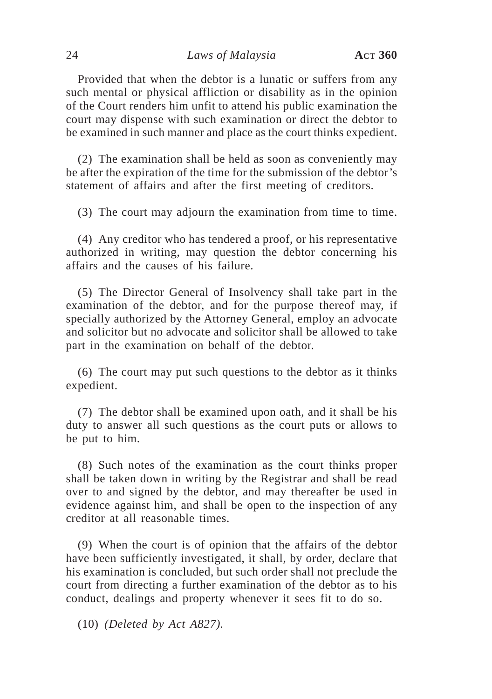## 24 *Laws of Malaysia* **ACT 360**

Provided that when the debtor is a lunatic or suffers from any such mental or physical affliction or disability as in the opinion of the Court renders him unfit to attend his public examination the court may dispense with such examination or direct the debtor to be examined in such manner and place as the court thinks expedient.

(2) The examination shall be held as soon as conveniently may be after the expiration of the time for the submission of the debtor's statement of affairs and after the first meeting of creditors.

(3) The court may adjourn the examination from time to time.

(4) Any creditor who has tendered a proof, or his representative authorized in writing, may question the debtor concerning his affairs and the causes of his failure.

(5) The Director General of Insolvency shall take part in the examination of the debtor, and for the purpose thereof may, if specially authorized by the Attorney General, employ an advocate and solicitor but no advocate and solicitor shall be allowed to take part in the examination on behalf of the debtor.

(6) The court may put such questions to the debtor as it thinks expedient.

(7) The debtor shall be examined upon oath, and it shall be his duty to answer all such questions as the court puts or allows to be put to him.

(8) Such notes of the examination as the court thinks proper shall be taken down in writing by the Registrar and shall be read over to and signed by the debtor, and may thereafter be used in evidence against him, and shall be open to the inspection of any creditor at all reasonable times.

(9) When the court is of opinion that the affairs of the debtor have been sufficiently investigated, it shall, by order, declare that his examination is concluded, but such order shall not preclude the court from directing a further examination of the debtor as to his conduct, dealings and property whenever it sees fit to do so.

(10) *(Deleted by Act A827).*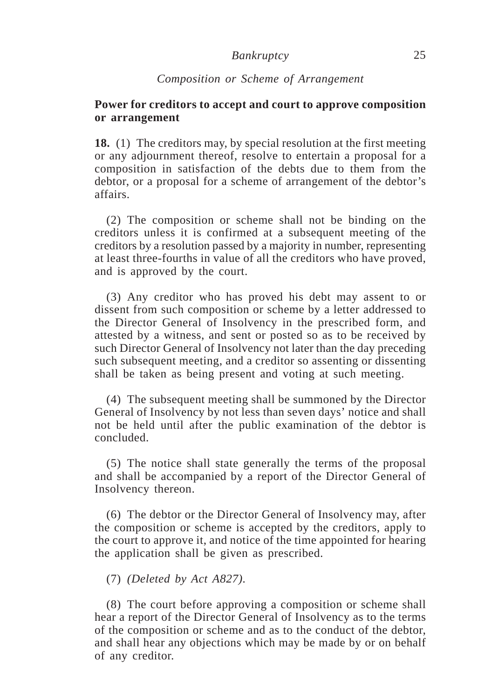## *Bankruptcy* 25

## *Composition or Scheme of Arrangement*

## **Power for creditors to accept and court to approve composition or arrangement**

**18.** (1) The creditors may, by special resolution at the first meeting or any adjournment thereof, resolve to entertain a proposal for a composition in satisfaction of the debts due to them from the debtor, or a proposal for a scheme of arrangement of the debtor's affairs.

(2) The composition or scheme shall not be binding on the creditors unless it is confirmed at a subsequent meeting of the creditors by a resolution passed by a majority in number, representing at least three-fourths in value of all the creditors who have proved, and is approved by the court.

(3) Any creditor who has proved his debt may assent to or dissent from such composition or scheme by a letter addressed to the Director General of Insolvency in the prescribed form, and attested by a witness, and sent or posted so as to be received by such Director General of Insolvency not later than the day preceding such subsequent meeting, and a creditor so assenting or dissenting shall be taken as being present and voting at such meeting.

(4) The subsequent meeting shall be summoned by the Director General of Insolvency by not less than seven days' notice and shall not be held until after the public examination of the debtor is concluded.

(5) The notice shall state generally the terms of the proposal and shall be accompanied by a report of the Director General of Insolvency thereon.

(6) The debtor or the Director General of Insolvency may, after the composition or scheme is accepted by the creditors, apply to the court to approve it, and notice of the time appointed for hearing the application shall be given as prescribed.

(7) *(Deleted by Act A827).*

(8) The court before approving a composition or scheme shall hear a report of the Director General of Insolvency as to the terms of the composition or scheme and as to the conduct of the debtor, and shall hear any objections which may be made by or on behalf of any creditor.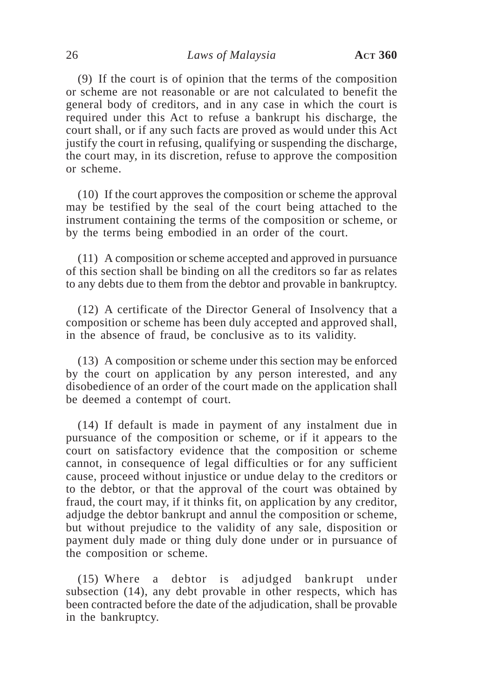### 26 *Laws of Malaysia* **ACT 360**

(9) If the court is of opinion that the terms of the composition or scheme are not reasonable or are not calculated to benefit the general body of creditors, and in any case in which the court is required under this Act to refuse a bankrupt his discharge, the court shall, or if any such facts are proved as would under this Act justify the court in refusing, qualifying or suspending the discharge, the court may, in its discretion, refuse to approve the composition or scheme.

(10) If the court approves the composition or scheme the approval may be testified by the seal of the court being attached to the instrument containing the terms of the composition or scheme, or by the terms being embodied in an order of the court.

(11) A composition or scheme accepted and approved in pursuance of this section shall be binding on all the creditors so far as relates to any debts due to them from the debtor and provable in bankruptcy.

(12) A certificate of the Director General of Insolvency that a composition or scheme has been duly accepted and approved shall, in the absence of fraud, be conclusive as to its validity.

(13) A composition or scheme under this section may be enforced by the court on application by any person interested, and any disobedience of an order of the court made on the application shall be deemed a contempt of court.

(14) If default is made in payment of any instalment due in pursuance of the composition or scheme, or if it appears to the court on satisfactory evidence that the composition or scheme cannot, in consequence of legal difficulties or for any sufficient cause, proceed without injustice or undue delay to the creditors or to the debtor, or that the approval of the court was obtained by fraud, the court may, if it thinks fit, on application by any creditor, adjudge the debtor bankrupt and annul the composition or scheme, but without prejudice to the validity of any sale, disposition or payment duly made or thing duly done under or in pursuance of the composition or scheme.

(15) Where a debtor is adjudged bankrupt under subsection (14), any debt provable in other respects, which has been contracted before the date of the adjudication, shall be provable in the bankruptcy.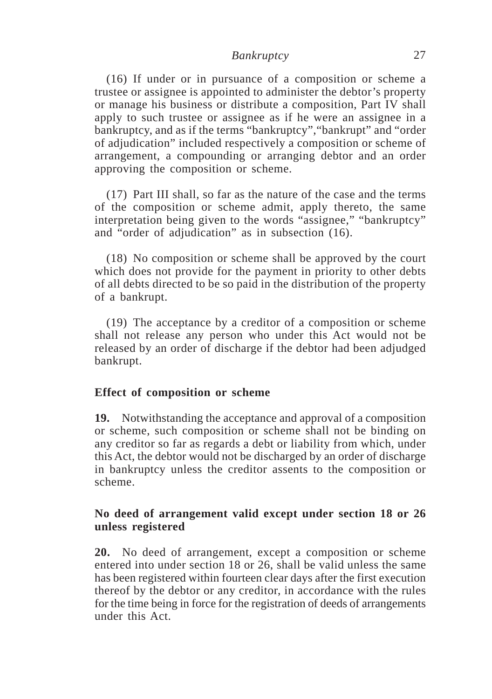## *Bankruptcy* 27

(16) If under or in pursuance of a composition or scheme a trustee or assignee is appointed to administer the debtor's property or manage his business or distribute a composition, Part IV shall apply to such trustee or assignee as if he were an assignee in a bankruptcy, and as if the terms "bankruptcy","bankrupt" and "order of adjudication" included respectively a composition or scheme of arrangement, a compounding or arranging debtor and an order approving the composition or scheme.

(17) Part III shall, so far as the nature of the case and the terms of the composition or scheme admit, apply thereto, the same interpretation being given to the words "assignee," "bankruptcy" and "order of adjudication" as in subsection (16).

(18) No composition or scheme shall be approved by the court which does not provide for the payment in priority to other debts of all debts directed to be so paid in the distribution of the property of a bankrupt.

(19) The acceptance by a creditor of a composition or scheme shall not release any person who under this Act would not be released by an order of discharge if the debtor had been adjudged bankrupt.

#### **Effect of composition or scheme**

**19.** Notwithstanding the acceptance and approval of a composition or scheme, such composition or scheme shall not be binding on any creditor so far as regards a debt or liability from which, under this Act, the debtor would not be discharged by an order of discharge in bankruptcy unless the creditor assents to the composition or scheme.

## **No deed of arrangement valid except under section 18 or 26 unless registered**

**20.** No deed of arrangement, except a composition or scheme entered into under section 18 or 26, shall be valid unless the same has been registered within fourteen clear days after the first execution thereof by the debtor or any creditor, in accordance with the rules for the time being in force for the registration of deeds of arrangements under this Act.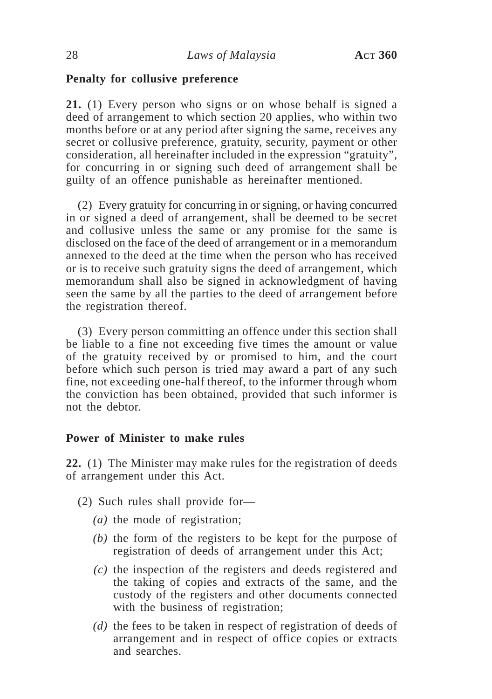## **Penalty for collusive preference**

**21.** (1) Every person who signs or on whose behalf is signed a deed of arrangement to which section 20 applies, who within two months before or at any period after signing the same, receives any secret or collusive preference, gratuity, security, payment or other consideration, all hereinafter included in the expression "gratuity", for concurring in or signing such deed of arrangement shall be guilty of an offence punishable as hereinafter mentioned.

(2) Every gratuity for concurring in or signing, or having concurred in or signed a deed of arrangement, shall be deemed to be secret and collusive unless the same or any promise for the same is disclosed on the face of the deed of arrangement or in a memorandum annexed to the deed at the time when the person who has received or is to receive such gratuity signs the deed of arrangement, which memorandum shall also be signed in acknowledgment of having seen the same by all the parties to the deed of arrangement before the registration thereof.

(3) Every person committing an offence under this section shall be liable to a fine not exceeding five times the amount or value of the gratuity received by or promised to him, and the court before which such person is tried may award a part of any such fine, not exceeding one-half thereof, to the informer through whom the conviction has been obtained, provided that such informer is not the debtor.

## **Power of Minister to make rules**

**22.** (1) The Minister may make rules for the registration of deeds of arrangement under this Act.

- (2) Such rules shall provide for—
	- *(a)* the mode of registration;
	- *(b)* the form of the registers to be kept for the purpose of registration of deeds of arrangement under this Act;
	- *(c)* the inspection of the registers and deeds registered and the taking of copies and extracts of the same, and the custody of the registers and other documents connected with the business of registration;
	- *(d)* the fees to be taken in respect of registration of deeds of arrangement and in respect of office copies or extracts and searches.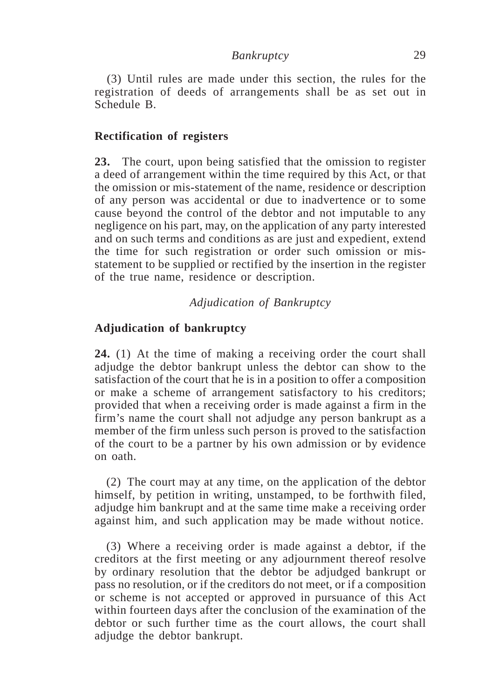*Bankruptcy* 29

(3) Until rules are made under this section, the rules for the registration of deeds of arrangements shall be as set out in Schedule B.

## **Rectification of registers**

**23.** The court, upon being satisfied that the omission to register a deed of arrangement within the time required by this Act, or that the omission or mis-statement of the name, residence or description of any person was accidental or due to inadvertence or to some cause beyond the control of the debtor and not imputable to any negligence on his part, may, on the application of any party interested and on such terms and conditions as are just and expedient, extend the time for such registration or order such omission or misstatement to be supplied or rectified by the insertion in the register of the true name, residence or description.

*Adjudication of Bankruptcy*

## **Adjudication of bankruptcy**

**24.** (1) At the time of making a receiving order the court shall adjudge the debtor bankrupt unless the debtor can show to the satisfaction of the court that he is in a position to offer a composition or make a scheme of arrangement satisfactory to his creditors; provided that when a receiving order is made against a firm in the firm's name the court shall not adjudge any person bankrupt as a member of the firm unless such person is proved to the satisfaction of the court to be a partner by his own admission or by evidence on oath.

(2) The court may at any time, on the application of the debtor himself, by petition in writing, unstamped, to be forthwith filed, adjudge him bankrupt and at the same time make a receiving order against him, and such application may be made without notice.

(3) Where a receiving order is made against a debtor, if the creditors at the first meeting or any adjournment thereof resolve by ordinary resolution that the debtor be adjudged bankrupt or pass no resolution, or if the creditors do not meet, or if a composition or scheme is not accepted or approved in pursuance of this Act within fourteen days after the conclusion of the examination of the debtor or such further time as the court allows, the court shall adjudge the debtor bankrupt.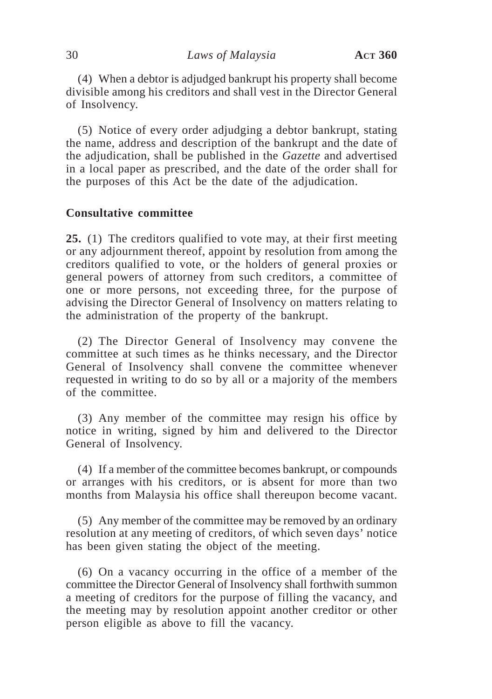(4) When a debtor is adjudged bankrupt his property shall become divisible among his creditors and shall vest in the Director General of Insolvency.

(5) Notice of every order adjudging a debtor bankrupt, stating the name, address and description of the bankrupt and the date of the adjudication, shall be published in the *Gazette* and advertised in a local paper as prescribed, and the date of the order shall for the purposes of this Act be the date of the adjudication.

## **Consultative committee**

**25.** (1) The creditors qualified to vote may, at their first meeting or any adjournment thereof, appoint by resolution from among the creditors qualified to vote, or the holders of general proxies or general powers of attorney from such creditors, a committee of one or more persons, not exceeding three, for the purpose of advising the Director General of Insolvency on matters relating to the administration of the property of the bankrupt.

(2) The Director General of Insolvency may convene the committee at such times as he thinks necessary, and the Director General of Insolvency shall convene the committee whenever requested in writing to do so by all or a majority of the members of the committee.

(3) Any member of the committee may resign his office by notice in writing, signed by him and delivered to the Director General of Insolvency.

(4) If a member of the committee becomes bankrupt, or compounds or arranges with his creditors, or is absent for more than two months from Malaysia his office shall thereupon become vacant.

(5) Any member of the committee may be removed by an ordinary resolution at any meeting of creditors, of which seven days' notice has been given stating the object of the meeting.

(6) On a vacancy occurring in the office of a member of the committee the Director General of Insolvency shall forthwith summon a meeting of creditors for the purpose of filling the vacancy, and the meeting may by resolution appoint another creditor or other person eligible as above to fill the vacancy.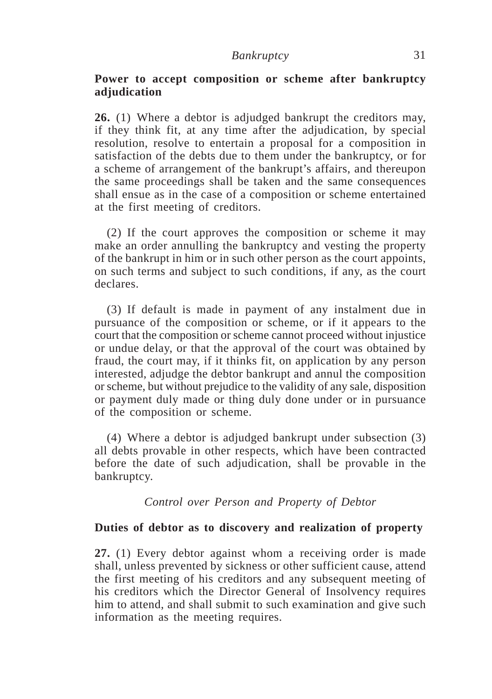## **Power to accept composition or scheme after bankruptcy adjudication**

**26.** (1) Where a debtor is adjudged bankrupt the creditors may, if they think fit, at any time after the adjudication, by special resolution, resolve to entertain a proposal for a composition in satisfaction of the debts due to them under the bankruptcy, or for a scheme of arrangement of the bankrupt's affairs, and thereupon the same proceedings shall be taken and the same consequences shall ensue as in the case of a composition or scheme entertained at the first meeting of creditors.

(2) If the court approves the composition or scheme it may make an order annulling the bankruptcy and vesting the property of the bankrupt in him or in such other person as the court appoints, on such terms and subject to such conditions, if any, as the court declares.

(3) If default is made in payment of any instalment due in pursuance of the composition or scheme, or if it appears to the court that the composition or scheme cannot proceed without injustice or undue delay, or that the approval of the court was obtained by fraud, the court may, if it thinks fit, on application by any person interested, adjudge the debtor bankrupt and annul the composition or scheme, but without prejudice to the validity of any sale, disposition or payment duly made or thing duly done under or in pursuance of the composition or scheme.

(4) Where a debtor is adjudged bankrupt under subsection (3) all debts provable in other respects, which have been contracted before the date of such adjudication, shall be provable in the bankruptcy.

*Control over Person and Property of Debtor*

## **Duties of debtor as to discovery and realization of property**

**27.** (1) Every debtor against whom a receiving order is made shall, unless prevented by sickness or other sufficient cause, attend the first meeting of his creditors and any subsequent meeting of his creditors which the Director General of Insolvency requires him to attend, and shall submit to such examination and give such information as the meeting requires.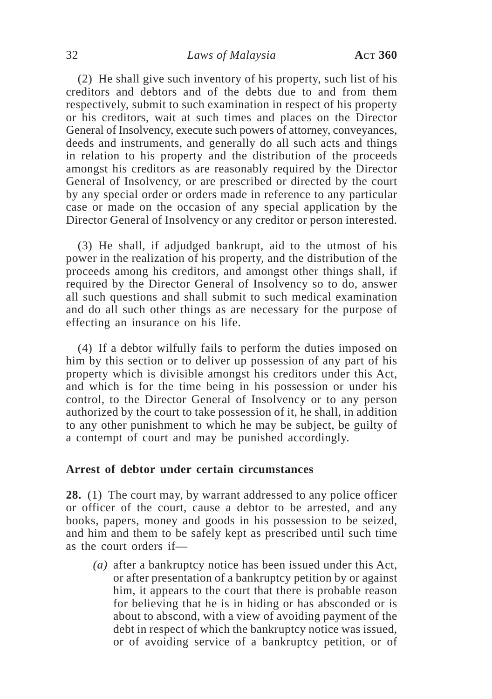(2) He shall give such inventory of his property, such list of his creditors and debtors and of the debts due to and from them respectively, submit to such examination in respect of his property or his creditors, wait at such times and places on the Director General of Insolvency, execute such powers of attorney, conveyances, deeds and instruments, and generally do all such acts and things in relation to his property and the distribution of the proceeds amongst his creditors as are reasonably required by the Director General of Insolvency, or are prescribed or directed by the court by any special order or orders made in reference to any particular case or made on the occasion of any special application by the Director General of Insolvency or any creditor or person interested.

(3) He shall, if adjudged bankrupt, aid to the utmost of his power in the realization of his property, and the distribution of the proceeds among his creditors, and amongst other things shall, if required by the Director General of Insolvency so to do, answer all such questions and shall submit to such medical examination and do all such other things as are necessary for the purpose of effecting an insurance on his life.

(4) If a debtor wilfully fails to perform the duties imposed on him by this section or to deliver up possession of any part of his property which is divisible amongst his creditors under this Act, and which is for the time being in his possession or under his control, to the Director General of Insolvency or to any person authorized by the court to take possession of it, he shall, in addition to any other punishment to which he may be subject, be guilty of a contempt of court and may be punished accordingly.

#### **Arrest of debtor under certain circumstances**

**28.** (1) The court may, by warrant addressed to any police officer or officer of the court, cause a debtor to be arrested, and any books, papers, money and goods in his possession to be seized, and him and them to be safely kept as prescribed until such time as the court orders if—

*(a)* after a bankruptcy notice has been issued under this Act, or after presentation of a bankruptcy petition by or against him, it appears to the court that there is probable reason for believing that he is in hiding or has absconded or is about to abscond, with a view of avoiding payment of the debt in respect of which the bankruptcy notice was issued, or of avoiding service of a bankruptcy petition, or of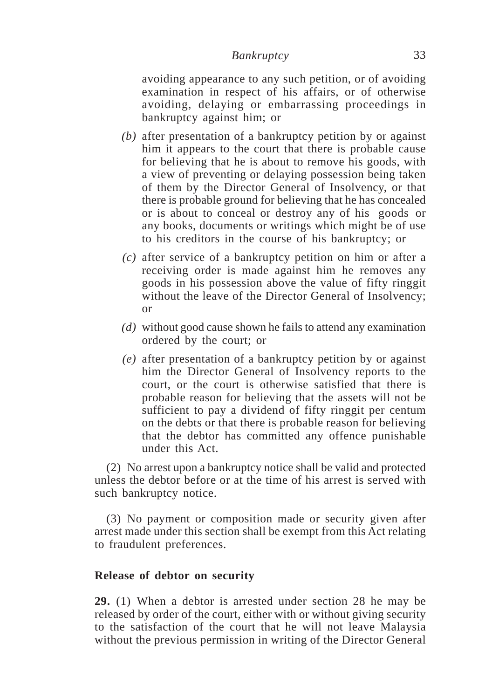avoiding appearance to any such petition, or of avoiding examination in respect of his affairs, or of otherwise avoiding, delaying or embarrassing proceedings in bankruptcy against him; or

- *(b)* after presentation of a bankruptcy petition by or against him it appears to the court that there is probable cause for believing that he is about to remove his goods, with a view of preventing or delaying possession being taken of them by the Director General of Insolvency, or that there is probable ground for believing that he has concealed or is about to conceal or destroy any of his goods or any books, documents or writings which might be of use to his creditors in the course of his bankruptcy; or
- *(c)* after service of a bankruptcy petition on him or after a receiving order is made against him he removes any goods in his possession above the value of fifty ringgit without the leave of the Director General of Insolvency; or
- *(d)* without good cause shown he fails to attend any examination ordered by the court; or
- *(e)* after presentation of a bankruptcy petition by or against him the Director General of Insolvency reports to the court, or the court is otherwise satisfied that there is probable reason for believing that the assets will not be sufficient to pay a dividend of fifty ringgit per centum on the debts or that there is probable reason for believing that the debtor has committed any offence punishable under this Act.

(2) No arrest upon a bankruptcy notice shall be valid and protected unless the debtor before or at the time of his arrest is served with such bankruptcy notice.

(3) No payment or composition made or security given after arrest made under this section shall be exempt from this Act relating to fraudulent preferences.

## **Release of debtor on security**

**29.** (1) When a debtor is arrested under section 28 he may be released by order of the court, either with or without giving security to the satisfaction of the court that he will not leave Malaysia without the previous permission in writing of the Director General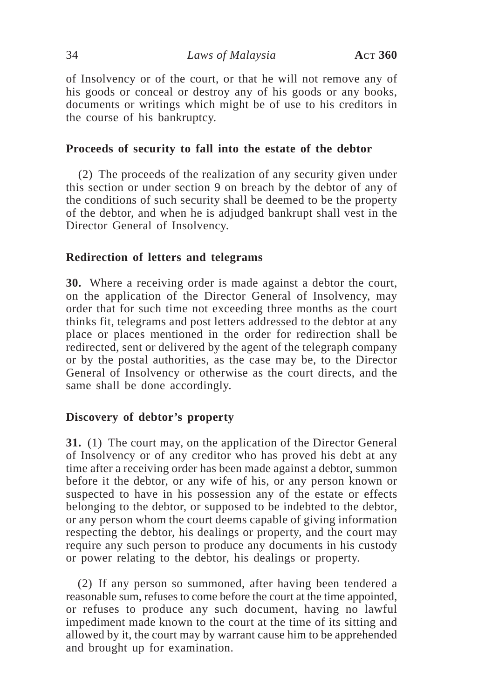of Insolvency or of the court, or that he will not remove any of his goods or conceal or destroy any of his goods or any books, documents or writings which might be of use to his creditors in the course of his bankruptcy.

## **Proceeds of security to fall into the estate of the debtor**

(2) The proceeds of the realization of any security given under this section or under section 9 on breach by the debtor of any of the conditions of such security shall be deemed to be the property of the debtor, and when he is adjudged bankrupt shall vest in the Director General of Insolvency.

## **Redirection of letters and telegrams**

**30.** Where a receiving order is made against a debtor the court, on the application of the Director General of Insolvency, may order that for such time not exceeding three months as the court thinks fit, telegrams and post letters addressed to the debtor at any place or places mentioned in the order for redirection shall be redirected, sent or delivered by the agent of the telegraph company or by the postal authorities, as the case may be, to the Director General of Insolvency or otherwise as the court directs, and the same shall be done accordingly.

## **Discovery of debtor's property**

**31.** (1) The court may, on the application of the Director General of Insolvency or of any creditor who has proved his debt at any time after a receiving order has been made against a debtor, summon before it the debtor, or any wife of his, or any person known or suspected to have in his possession any of the estate or effects belonging to the debtor, or supposed to be indebted to the debtor, or any person whom the court deems capable of giving information respecting the debtor, his dealings or property, and the court may require any such person to produce any documents in his custody or power relating to the debtor, his dealings or property.

(2) If any person so summoned, after having been tendered a reasonable sum, refuses to come before the court at the time appointed, or refuses to produce any such document, having no lawful impediment made known to the court at the time of its sitting and allowed by it, the court may by warrant cause him to be apprehended and brought up for examination.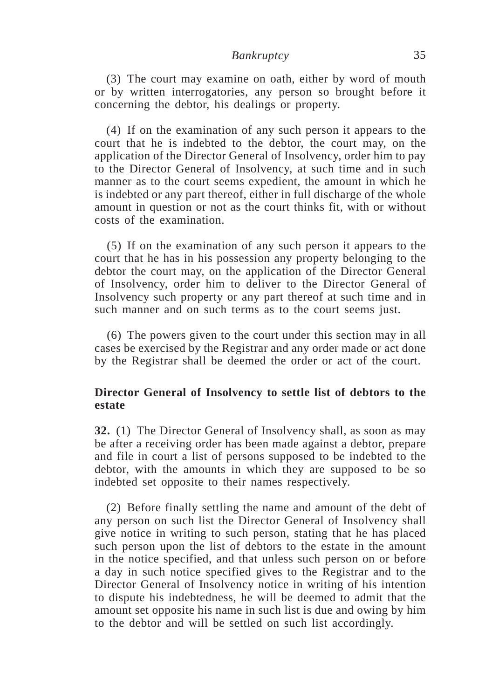### *Bankruptcy* 35

(3) The court may examine on oath, either by word of mouth or by written interrogatories, any person so brought before it concerning the debtor, his dealings or property.

(4) If on the examination of any such person it appears to the court that he is indebted to the debtor, the court may, on the application of the Director General of Insolvency, order him to pay to the Director General of Insolvency, at such time and in such manner as to the court seems expedient, the amount in which he is indebted or any part thereof, either in full discharge of the whole amount in question or not as the court thinks fit, with or without costs of the examination.

(5) If on the examination of any such person it appears to the court that he has in his possession any property belonging to the debtor the court may, on the application of the Director General of Insolvency, order him to deliver to the Director General of Insolvency such property or any part thereof at such time and in such manner and on such terms as to the court seems just.

(6) The powers given to the court under this section may in all cases be exercised by the Registrar and any order made or act done by the Registrar shall be deemed the order or act of the court.

## **Director General of Insolvency to settle list of debtors to the estate**

**32.** (1) The Director General of Insolvency shall, as soon as may be after a receiving order has been made against a debtor, prepare and file in court a list of persons supposed to be indebted to the debtor, with the amounts in which they are supposed to be so indebted set opposite to their names respectively.

(2) Before finally settling the name and amount of the debt of any person on such list the Director General of Insolvency shall give notice in writing to such person, stating that he has placed such person upon the list of debtors to the estate in the amount in the notice specified, and that unless such person on or before a day in such notice specified gives to the Registrar and to the Director General of Insolvency notice in writing of his intention to dispute his indebtedness, he will be deemed to admit that the amount set opposite his name in such list is due and owing by him to the debtor and will be settled on such list accordingly.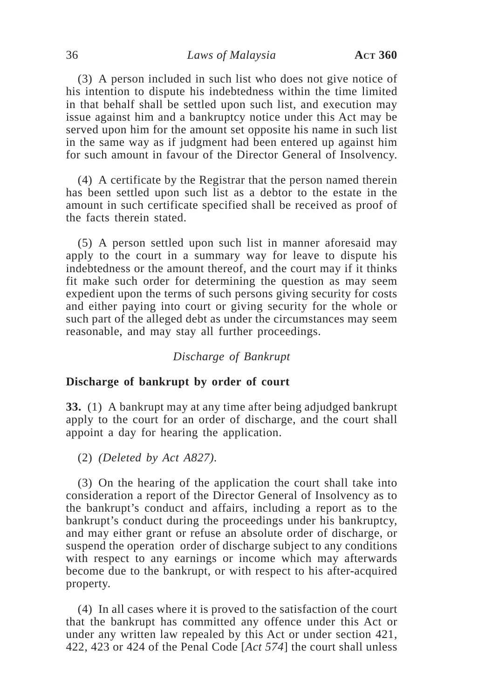36 *Laws of Malaysia* **ACT 360**

(3) A person included in such list who does not give notice of his intention to dispute his indebtedness within the time limited in that behalf shall be settled upon such list, and execution may issue against him and a bankruptcy notice under this Act may be served upon him for the amount set opposite his name in such list in the same way as if judgment had been entered up against him for such amount in favour of the Director General of Insolvency.

(4) A certificate by the Registrar that the person named therein has been settled upon such list as a debtor to the estate in the amount in such certificate specified shall be received as proof of the facts therein stated.

(5) A person settled upon such list in manner aforesaid may apply to the court in a summary way for leave to dispute his indebtedness or the amount thereof, and the court may if it thinks fit make such order for determining the question as may seem expedient upon the terms of such persons giving security for costs and either paying into court or giving security for the whole or such part of the alleged debt as under the circumstances may seem reasonable, and may stay all further proceedings.

## *Discharge of Bankrupt*

## **Discharge of bankrupt by order of court**

**33.** (1) A bankrupt may at any time after being adjudged bankrupt apply to the court for an order of discharge, and the court shall appoint a day for hearing the application.

(2) *(Deleted by Act A827).*

(3) On the hearing of the application the court shall take into consideration a report of the Director General of Insolvency as to the bankrupt's conduct and affairs, including a report as to the bankrupt's conduct during the proceedings under his bankruptcy, and may either grant or refuse an absolute order of discharge, or suspend the operation order of discharge subject to any conditions with respect to any earnings or income which may afterwards become due to the bankrupt, or with respect to his after-acquired property.

(4) In all cases where it is proved to the satisfaction of the court that the bankrupt has committed any offence under this Act or under any written law repealed by this Act or under section 421, 422, 423 or 424 of the Penal Code [*Act 574*] the court shall unless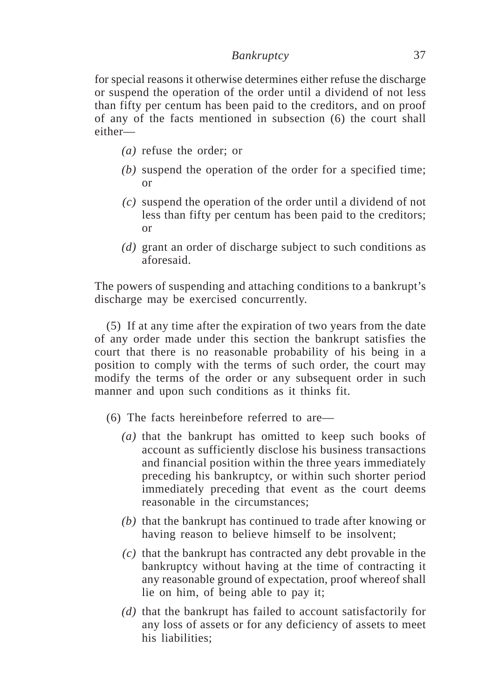for special reasons it otherwise determines either refuse the discharge or suspend the operation of the order until a dividend of not less than fifty per centum has been paid to the creditors, and on proof of any of the facts mentioned in subsection (6) the court shall either—

- *(a)* refuse the order; or
- *(b)* suspend the operation of the order for a specified time; or
- *(c)* suspend the operation of the order until a dividend of not less than fifty per centum has been paid to the creditors; or
- *(d)* grant an order of discharge subject to such conditions as aforesaid.

The powers of suspending and attaching conditions to a bankrupt's discharge may be exercised concurrently.

(5) If at any time after the expiration of two years from the date of any order made under this section the bankrupt satisfies the court that there is no reasonable probability of his being in a position to comply with the terms of such order, the court may modify the terms of the order or any subsequent order in such manner and upon such conditions as it thinks fit.

- (6) The facts hereinbefore referred to are—
	- *(a)* that the bankrupt has omitted to keep such books of account as sufficiently disclose his business transactions and financial position within the three years immediately preceding his bankruptcy, or within such shorter period immediately preceding that event as the court deems reasonable in the circumstances;
	- *(b)* that the bankrupt has continued to trade after knowing or having reason to believe himself to be insolvent;
	- *(c)* that the bankrupt has contracted any debt provable in the bankruptcy without having at the time of contracting it any reasonable ground of expectation, proof whereof shall lie on him, of being able to pay it;
	- *(d)* that the bankrupt has failed to account satisfactorily for any loss of assets or for any deficiency of assets to meet his liabilities;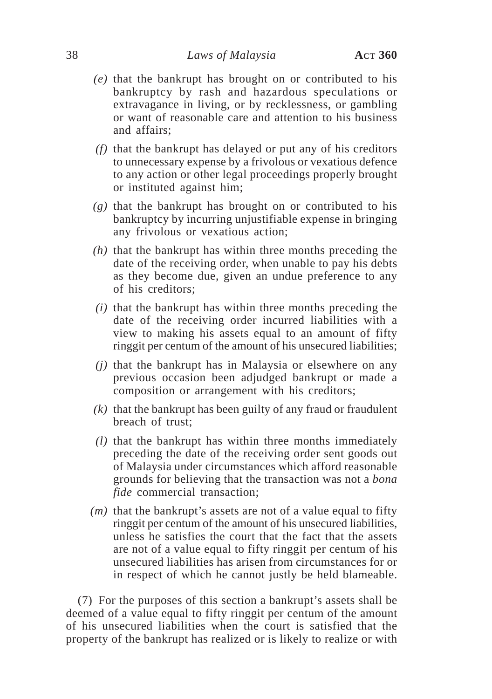- *(e)* that the bankrupt has brought on or contributed to his bankruptcy by rash and hazardous speculations or extravagance in living, or by recklessness, or gambling or want of reasonable care and attention to his business and affairs;
- *(f)* that the bankrupt has delayed or put any of his creditors to unnecessary expense by a frivolous or vexatious defence to any action or other legal proceedings properly brought or instituted against him;
- *(g)* that the bankrupt has brought on or contributed to his bankruptcy by incurring unjustifiable expense in bringing any frivolous or vexatious action;
- *(h)* that the bankrupt has within three months preceding the date of the receiving order, when unable to pay his debts as they become due, given an undue preference to any of his creditors;
- *(i)* that the bankrupt has within three months preceding the date of the receiving order incurred liabilities with a view to making his assets equal to an amount of fifty ringgit per centum of the amount of his unsecured liabilities;
- *(j)* that the bankrupt has in Malaysia or elsewhere on any previous occasion been adjudged bankrupt or made a composition or arrangement with his creditors;
- *(k)* that the bankrupt has been guilty of any fraud or fraudulent breach of trust;
- *(l)* that the bankrupt has within three months immediately preceding the date of the receiving order sent goods out of Malaysia under circumstances which afford reasonable grounds for believing that the transaction was not a *bona fide* commercial transaction;
- *(m)* that the bankrupt's assets are not of a value equal to fifty ringgit per centum of the amount of his unsecured liabilities, unless he satisfies the court that the fact that the assets are not of a value equal to fifty ringgit per centum of his unsecured liabilities has arisen from circumstances for or in respect of which he cannot justly be held blameable.

(7) For the purposes of this section a bankrupt's assets shall be deemed of a value equal to fifty ringgit per centum of the amount of his unsecured liabilities when the court is satisfied that the property of the bankrupt has realized or is likely to realize or with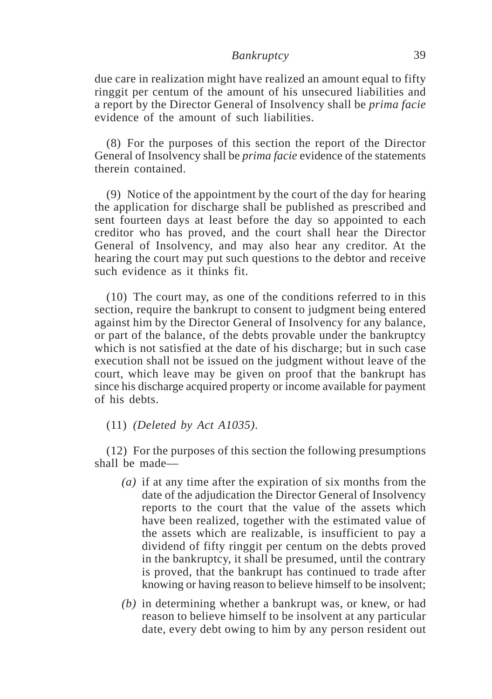due care in realization might have realized an amount equal to fifty ringgit per centum of the amount of his unsecured liabilities and a report by the Director General of Insolvency shall be *prima facie* evidence of the amount of such liabilities.

(8) For the purposes of this section the report of the Director General of Insolvency shall be *prima facie* evidence of the statements therein contained.

(9) Notice of the appointment by the court of the day for hearing the application for discharge shall be published as prescribed and sent fourteen days at least before the day so appointed to each creditor who has proved, and the court shall hear the Director General of Insolvency, and may also hear any creditor. At the hearing the court may put such questions to the debtor and receive such evidence as it thinks fit.

(10) The court may, as one of the conditions referred to in this section, require the bankrupt to consent to judgment being entered against him by the Director General of Insolvency for any balance, or part of the balance, of the debts provable under the bankruptcy which is not satisfied at the date of his discharge; but in such case execution shall not be issued on the judgment without leave of the court, which leave may be given on proof that the bankrupt has since his discharge acquired property or income available for payment of his debts.

(11) *(Deleted by Act A1035)*.

(12) For the purposes of this section the following presumptions shall be made—

- *(a)* if at any time after the expiration of six months from the date of the adjudication the Director General of Insolvency reports to the court that the value of the assets which have been realized, together with the estimated value of the assets which are realizable, is insufficient to pay a dividend of fifty ringgit per centum on the debts proved in the bankruptcy, it shall be presumed, until the contrary is proved, that the bankrupt has continued to trade after knowing or having reason to believe himself to be insolvent;
- *(b)* in determining whether a bankrupt was, or knew, or had reason to believe himself to be insolvent at any particular date, every debt owing to him by any person resident out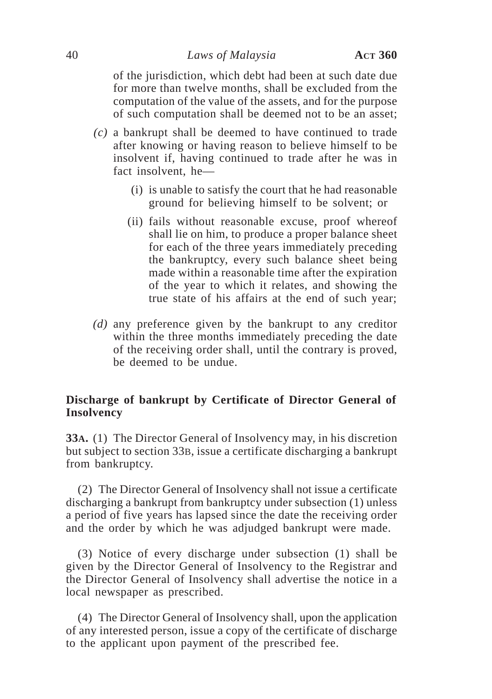of the jurisdiction, which debt had been at such date due for more than twelve months, shall be excluded from the computation of the value of the assets, and for the purpose of such computation shall be deemed not to be an asset;

- *(c)* a bankrupt shall be deemed to have continued to trade after knowing or having reason to believe himself to be insolvent if, having continued to trade after he was in fact insolvent, he—
	- (i) is unable to satisfy the court that he had reasonable ground for believing himself to be solvent; or
	- (ii) fails without reasonable excuse, proof whereof shall lie on him, to produce a proper balance sheet for each of the three years immediately preceding the bankruptcy, every such balance sheet being made within a reasonable time after the expiration of the year to which it relates, and showing the true state of his affairs at the end of such year;
- *(d)* any preference given by the bankrupt to any creditor within the three months immediately preceding the date of the receiving order shall, until the contrary is proved, be deemed to be undue.

## **Discharge of bankrupt by Certificate of Director General of Insolvency**

**33A.** (1) The Director General of Insolvency may, in his discretion but subject to section 33B, issue a certificate discharging a bankrupt from bankruptcy.

(2) The Director General of Insolvency shall not issue a certificate discharging a bankrupt from bankruptcy under subsection (1) unless a period of five years has lapsed since the date the receiving order and the order by which he was adjudged bankrupt were made.

(3) Notice of every discharge under subsection (1) shall be given by the Director General of Insolvency to the Registrar and the Director General of Insolvency shall advertise the notice in a local newspaper as prescribed.

(4) The Director General of Insolvency shall, upon the application of any interested person, issue a copy of the certificate of discharge to the applicant upon payment of the prescribed fee.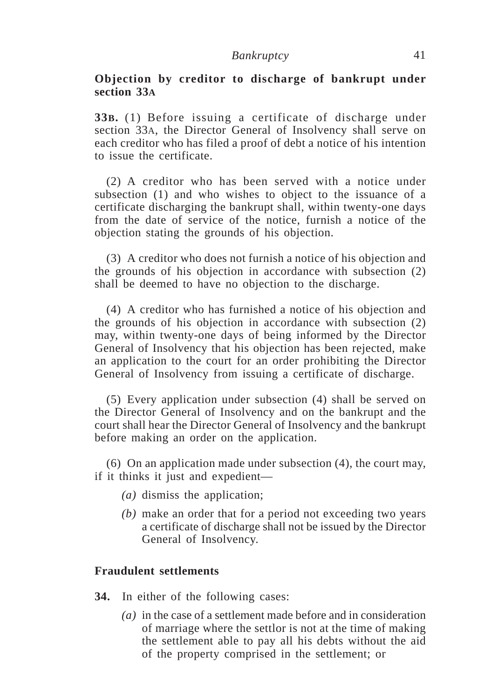## **Objection by creditor to discharge of bankrupt under section 33A**

**33B.** (1) Before issuing a certificate of discharge under section 33A, the Director General of Insolvency shall serve on each creditor who has filed a proof of debt a notice of his intention to issue the certificate.

(2) A creditor who has been served with a notice under subsection (1) and who wishes to object to the issuance of a certificate discharging the bankrupt shall, within twenty-one days from the date of service of the notice, furnish a notice of the objection stating the grounds of his objection.

(3) A creditor who does not furnish a notice of his objection and the grounds of his objection in accordance with subsection (2) shall be deemed to have no objection to the discharge.

(4) A creditor who has furnished a notice of his objection and the grounds of his objection in accordance with subsection (2) may, within twenty-one days of being informed by the Director General of Insolvency that his objection has been rejected, make an application to the court for an order prohibiting the Director General of Insolvency from issuing a certificate of discharge.

(5) Every application under subsection (4) shall be served on the Director General of Insolvency and on the bankrupt and the court shall hear the Director General of Insolvency and the bankrupt before making an order on the application.

(6) On an application made under subsection (4), the court may, if it thinks it just and expedient—

- *(a)* dismiss the application;
- *(b)* make an order that for a period not exceeding two years a certificate of discharge shall not be issued by the Director General of Insolvency.

### **Fraudulent settlements**

- **34.** In either of the following cases:
	- *(a)* in the case of a settlement made before and in consideration of marriage where the settlor is not at the time of making the settlement able to pay all his debts without the aid of the property comprised in the settlement; or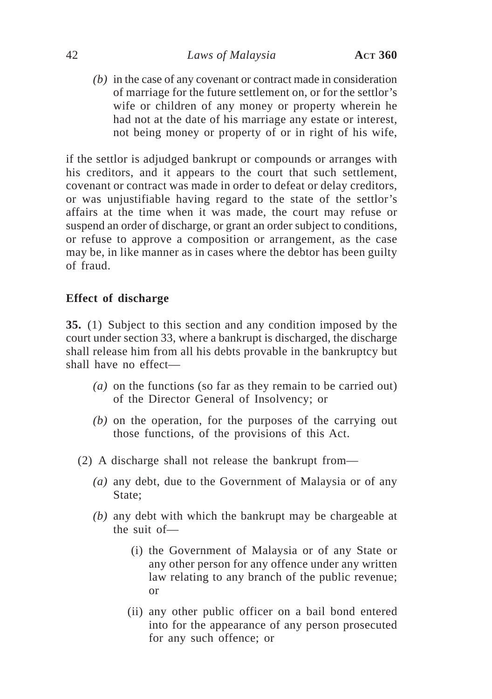### 42 *Laws of Malaysia* **ACT 360**

*(b)* in the case of any covenant or contract made in consideration of marriage for the future settlement on, or for the settlor's wife or children of any money or property wherein he had not at the date of his marriage any estate or interest, not being money or property of or in right of his wife,

if the settlor is adjudged bankrupt or compounds or arranges with his creditors, and it appears to the court that such settlement, covenant or contract was made in order to defeat or delay creditors, or was unjustifiable having regard to the state of the settlor's affairs at the time when it was made, the court may refuse or suspend an order of discharge, or grant an order subject to conditions, or refuse to approve a composition or arrangement, as the case may be, in like manner as in cases where the debtor has been guilty of fraud.

## **Effect of discharge**

**35.** (1) Subject to this section and any condition imposed by the court under section 33, where a bankrupt is discharged, the discharge shall release him from all his debts provable in the bankruptcy but shall have no effect—

- *(a)* on the functions (so far as they remain to be carried out) of the Director General of Insolvency; or
- *(b)* on the operation, for the purposes of the carrying out those functions, of the provisions of this Act.
- (2) A discharge shall not release the bankrupt from—
	- *(a)* any debt, due to the Government of Malaysia or of any State;
	- *(b)* any debt with which the bankrupt may be chargeable at the suit of—
		- (i) the Government of Malaysia or of any State or any other person for any offence under any written law relating to any branch of the public revenue; or
		- (ii) any other public officer on a bail bond entered into for the appearance of any person prosecuted for any such offence; or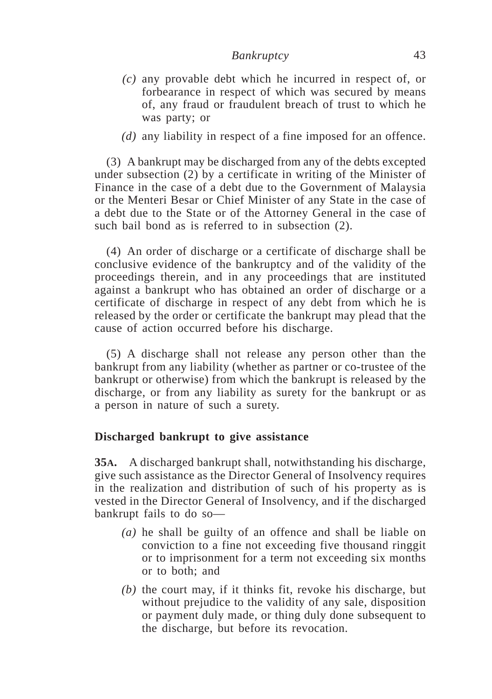- *(c)* any provable debt which he incurred in respect of, or forbearance in respect of which was secured by means of, any fraud or fraudulent breach of trust to which he was party; or
- *(d)* any liability in respect of a fine imposed for an offence.

(3) A bankrupt may be discharged from any of the debts excepted under subsection (2) by a certificate in writing of the Minister of Finance in the case of a debt due to the Government of Malaysia or the Menteri Besar or Chief Minister of any State in the case of a debt due to the State or of the Attorney General in the case of such bail bond as is referred to in subsection (2).

(4) An order of discharge or a certificate of discharge shall be conclusive evidence of the bankruptcy and of the validity of the proceedings therein, and in any proceedings that are instituted against a bankrupt who has obtained an order of discharge or a certificate of discharge in respect of any debt from which he is released by the order or certificate the bankrupt may plead that the cause of action occurred before his discharge.

(5) A discharge shall not release any person other than the bankrupt from any liability (whether as partner or co-trustee of the bankrupt or otherwise) from which the bankrupt is released by the discharge, or from any liability as surety for the bankrupt or as a person in nature of such a surety.

## **Discharged bankrupt to give assistance**

**35A.** A discharged bankrupt shall, notwithstanding his discharge, give such assistance as the Director General of Insolvency requires in the realization and distribution of such of his property as is vested in the Director General of Insolvency, and if the discharged bankrupt fails to do so—

- *(a)* he shall be guilty of an offence and shall be liable on conviction to a fine not exceeding five thousand ringgit or to imprisonment for a term not exceeding six months or to both; and
- *(b)* the court may, if it thinks fit, revoke his discharge, but without prejudice to the validity of any sale, disposition or payment duly made, or thing duly done subsequent to the discharge, but before its revocation.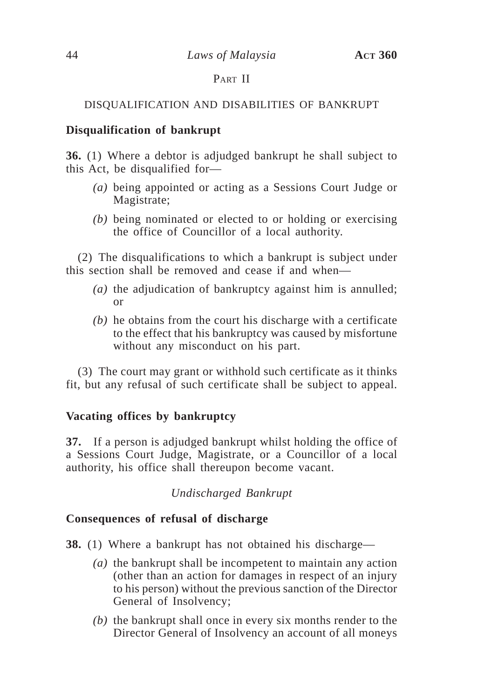## PART II

### DISQUALIFICATION AND DISABILITIES OF BANKRUPT

### **Disqualification of bankrupt**

**36.** (1) Where a debtor is adjudged bankrupt he shall subject to this Act, be disqualified for—

- *(a)* being appointed or acting as a Sessions Court Judge or Magistrate;
- *(b)* being nominated or elected to or holding or exercising the office of Councillor of a local authority.

(2) The disqualifications to which a bankrupt is subject under this section shall be removed and cease if and when—

- *(a)* the adjudication of bankruptcy against him is annulled; or
- *(b)* he obtains from the court his discharge with a certificate to the effect that his bankruptcy was caused by misfortune without any misconduct on his part.

(3) The court may grant or withhold such certificate as it thinks fit, but any refusal of such certificate shall be subject to appeal.

## **Vacating offices by bankruptcy**

**37.** If a person is adjudged bankrupt whilst holding the office of a Sessions Court Judge, Magistrate, or a Councillor of a local authority, his office shall thereupon become vacant.

### *Undischarged Bankrupt*

### **Consequences of refusal of discharge**

**38.** (1) Where a bankrupt has not obtained his discharge—

- *(a)* the bankrupt shall be incompetent to maintain any action (other than an action for damages in respect of an injury to his person) without the previous sanction of the Director General of Insolvency;
- *(b)* the bankrupt shall once in every six months render to the Director General of Insolvency an account of all moneys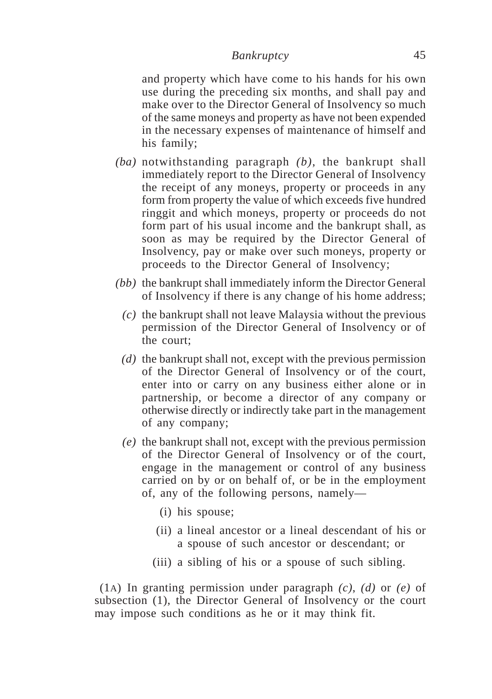and property which have come to his hands for his own use during the preceding six months, and shall pay and make over to the Director General of Insolvency so much of the same moneys and property as have not been expended in the necessary expenses of maintenance of himself and his family;

- *(ba)* notwithstanding paragraph *(b)*, the bankrupt shall immediately report to the Director General of Insolvency the receipt of any moneys, property or proceeds in any form from property the value of which exceeds five hundred ringgit and which moneys, property or proceeds do not form part of his usual income and the bankrupt shall, as soon as may be required by the Director General of Insolvency, pay or make over such moneys, property or proceeds to the Director General of Insolvency;
- *(bb)* the bankrupt shall immediately inform the Director General of Insolvency if there is any change of his home address;
	- *(c)* the bankrupt shall not leave Malaysia without the previous permission of the Director General of Insolvency or of the court;
	- *(d)* the bankrupt shall not, except with the previous permission of the Director General of Insolvency or of the court, enter into or carry on any business either alone or in partnership, or become a director of any company or otherwise directly or indirectly take part in the management of any company;
	- *(e)* the bankrupt shall not, except with the previous permission of the Director General of Insolvency or of the court, engage in the management or control of any business carried on by or on behalf of, or be in the employment of, any of the following persons, namely—
		- (i) his spouse;
		- (ii) a lineal ancestor or a lineal descendant of his or a spouse of such ancestor or descendant; or
		- (iii) a sibling of his or a spouse of such sibling.

(1A) In granting permission under paragraph *(c)*, *(d)* or *(e)* of subsection (1), the Director General of Insolvency or the court may impose such conditions as he or it may think fit.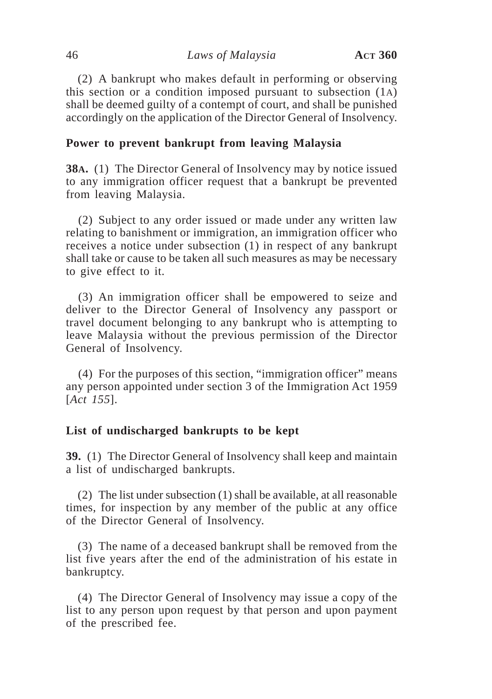(2) A bankrupt who makes default in performing or observing this section or a condition imposed pursuant to subsection (1A) shall be deemed guilty of a contempt of court, and shall be punished accordingly on the application of the Director General of Insolvency.

### **Power to prevent bankrupt from leaving Malaysia**

**38A.** (1) The Director General of Insolvency may by notice issued to any immigration officer request that a bankrupt be prevented from leaving Malaysia.

(2) Subject to any order issued or made under any written law relating to banishment or immigration, an immigration officer who receives a notice under subsection (1) in respect of any bankrupt shall take or cause to be taken all such measures as may be necessary to give effect to it.

(3) An immigration officer shall be empowered to seize and deliver to the Director General of Insolvency any passport or travel document belonging to any bankrupt who is attempting to leave Malaysia without the previous permission of the Director General of Insolvency.

(4) For the purposes of this section, "immigration officer" means any person appointed under section 3 of the Immigration Act 1959 [*Act 155*].

## **List of undischarged bankrupts to be kept**

**39.** (1) The Director General of Insolvency shall keep and maintain a list of undischarged bankrupts.

(2) The list under subsection (1) shall be available, at all reasonable times, for inspection by any member of the public at any office of the Director General of Insolvency.

(3) The name of a deceased bankrupt shall be removed from the list five years after the end of the administration of his estate in bankruptcy.

(4) The Director General of Insolvency may issue a copy of the list to any person upon request by that person and upon payment of the prescribed fee.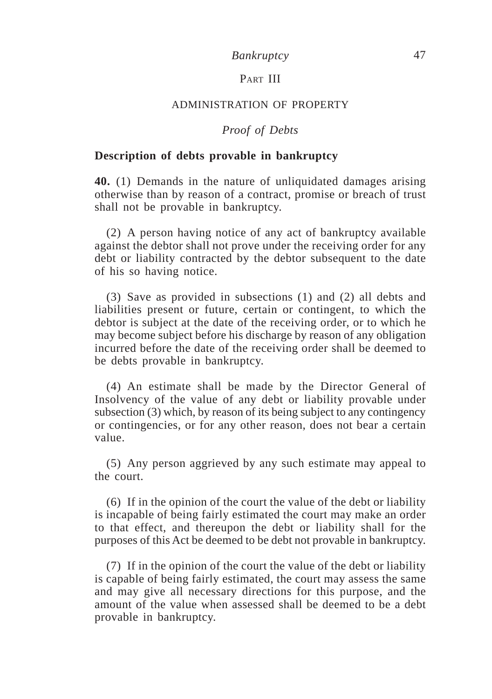## PART III

### ADMINISTRATION OF PROPERTY

### *Proof of Debts*

### **Description of debts provable in bankruptcy**

**40.** (1) Demands in the nature of unliquidated damages arising otherwise than by reason of a contract, promise or breach of trust shall not be provable in bankruptcy.

(2) A person having notice of any act of bankruptcy available against the debtor shall not prove under the receiving order for any debt or liability contracted by the debtor subsequent to the date of his so having notice.

(3) Save as provided in subsections (1) and (2) all debts and liabilities present or future, certain or contingent, to which the debtor is subject at the date of the receiving order, or to which he may become subject before his discharge by reason of any obligation incurred before the date of the receiving order shall be deemed to be debts provable in bankruptcy.

(4) An estimate shall be made by the Director General of Insolvency of the value of any debt or liability provable under subsection (3) which, by reason of its being subject to any contingency or contingencies, or for any other reason, does not bear a certain value.

(5) Any person aggrieved by any such estimate may appeal to the court.

(6) If in the opinion of the court the value of the debt or liability is incapable of being fairly estimated the court may make an order to that effect, and thereupon the debt or liability shall for the purposes of this Act be deemed to be debt not provable in bankruptcy.

(7) If in the opinion of the court the value of the debt or liability is capable of being fairly estimated, the court may assess the same and may give all necessary directions for this purpose, and the amount of the value when assessed shall be deemed to be a debt provable in bankruptcy.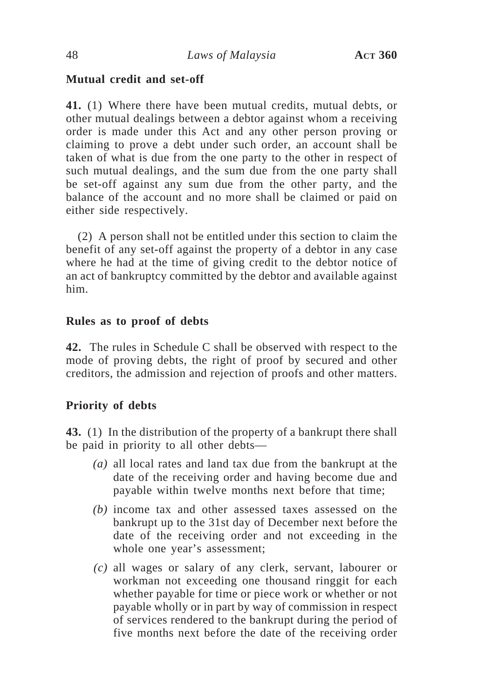## **Mutual credit and set-off**

**41.** (1) Where there have been mutual credits, mutual debts, or other mutual dealings between a debtor against whom a receiving order is made under this Act and any other person proving or claiming to prove a debt under such order, an account shall be taken of what is due from the one party to the other in respect of such mutual dealings, and the sum due from the one party shall be set-off against any sum due from the other party, and the balance of the account and no more shall be claimed or paid on either side respectively.

(2) A person shall not be entitled under this section to claim the benefit of any set-off against the property of a debtor in any case where he had at the time of giving credit to the debtor notice of an act of bankruptcy committed by the debtor and available against him.

## **Rules as to proof of debts**

**42.** The rules in Schedule C shall be observed with respect to the mode of proving debts, the right of proof by secured and other creditors, the admission and rejection of proofs and other matters.

## **Priority of debts**

**43.** (1) In the distribution of the property of a bankrupt there shall be paid in priority to all other debts—

- *(a)* all local rates and land tax due from the bankrupt at the date of the receiving order and having become due and payable within twelve months next before that time;
- *(b)* income tax and other assessed taxes assessed on the bankrupt up to the 31st day of December next before the date of the receiving order and not exceeding in the whole one year's assessment;
- *(c)* all wages or salary of any clerk, servant, labourer or workman not exceeding one thousand ringgit for each whether payable for time or piece work or whether or not payable wholly or in part by way of commission in respect of services rendered to the bankrupt during the period of five months next before the date of the receiving order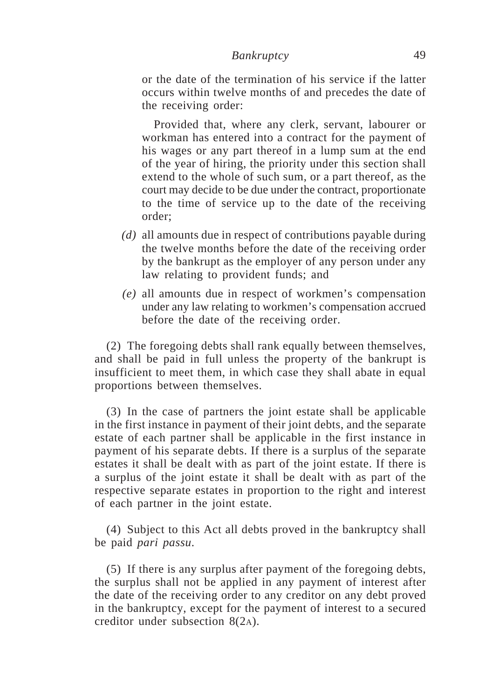or the date of the termination of his service if the latter occurs within twelve months of and precedes the date of the receiving order:

Provided that, where any clerk, servant, labourer or workman has entered into a contract for the payment of his wages or any part thereof in a lump sum at the end of the year of hiring, the priority under this section shall extend to the whole of such sum, or a part thereof, as the court may decide to be due under the contract, proportionate to the time of service up to the date of the receiving order;

- *(d)* all amounts due in respect of contributions payable during the twelve months before the date of the receiving order by the bankrupt as the employer of any person under any law relating to provident funds; and
- *(e)* all amounts due in respect of workmen's compensation under any law relating to workmen's compensation accrued before the date of the receiving order.

(2) The foregoing debts shall rank equally between themselves, and shall be paid in full unless the property of the bankrupt is insufficient to meet them, in which case they shall abate in equal proportions between themselves.

(3) In the case of partners the joint estate shall be applicable in the first instance in payment of their joint debts, and the separate estate of each partner shall be applicable in the first instance in payment of his separate debts. If there is a surplus of the separate estates it shall be dealt with as part of the joint estate. If there is a surplus of the joint estate it shall be dealt with as part of the respective separate estates in proportion to the right and interest of each partner in the joint estate.

(4) Subject to this Act all debts proved in the bankruptcy shall be paid *pari passu*.

(5) If there is any surplus after payment of the foregoing debts, the surplus shall not be applied in any payment of interest after the date of the receiving order to any creditor on any debt proved in the bankruptcy, except for the payment of interest to a secured creditor under subsection 8(2A).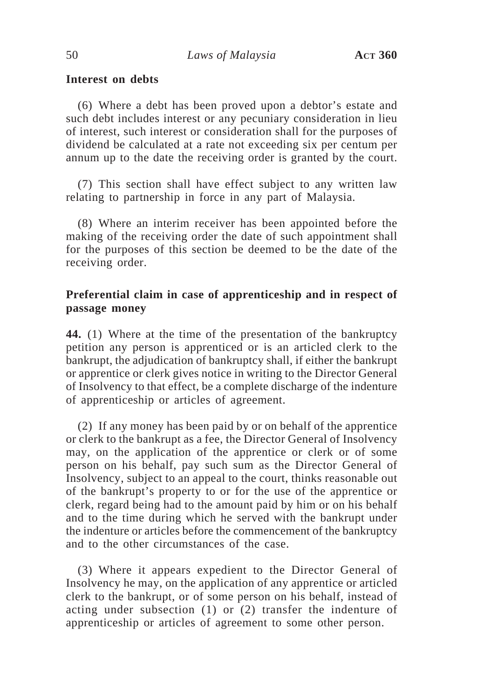## **Interest on debts**

(6) Where a debt has been proved upon a debtor's estate and such debt includes interest or any pecuniary consideration in lieu of interest, such interest or consideration shall for the purposes of dividend be calculated at a rate not exceeding six per centum per annum up to the date the receiving order is granted by the court.

(7) This section shall have effect subject to any written law relating to partnership in force in any part of Malaysia.

(8) Where an interim receiver has been appointed before the making of the receiving order the date of such appointment shall for the purposes of this section be deemed to be the date of the receiving order.

## **Preferential claim in case of apprenticeship and in respect of passage money**

**44.** (1) Where at the time of the presentation of the bankruptcy petition any person is apprenticed or is an articled clerk to the bankrupt, the adjudication of bankruptcy shall, if either the bankrupt or apprentice or clerk gives notice in writing to the Director General of Insolvency to that effect, be a complete discharge of the indenture of apprenticeship or articles of agreement.

(2) If any money has been paid by or on behalf of the apprentice or clerk to the bankrupt as a fee, the Director General of Insolvency may, on the application of the apprentice or clerk or of some person on his behalf, pay such sum as the Director General of Insolvency, subject to an appeal to the court, thinks reasonable out of the bankrupt's property to or for the use of the apprentice or clerk, regard being had to the amount paid by him or on his behalf and to the time during which he served with the bankrupt under the indenture or articles before the commencement of the bankruptcy and to the other circumstances of the case.

(3) Where it appears expedient to the Director General of Insolvency he may, on the application of any apprentice or articled clerk to the bankrupt, or of some person on his behalf, instead of acting under subsection (1) or (2) transfer the indenture of apprenticeship or articles of agreement to some other person.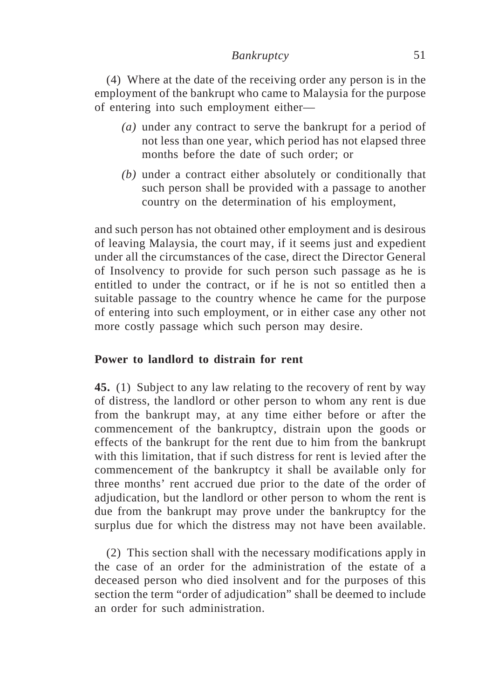(4) Where at the date of the receiving order any person is in the employment of the bankrupt who came to Malaysia for the purpose of entering into such employment either—

- *(a)* under any contract to serve the bankrupt for a period of not less than one year, which period has not elapsed three months before the date of such order; or
- *(b)* under a contract either absolutely or conditionally that such person shall be provided with a passage to another country on the determination of his employment,

and such person has not obtained other employment and is desirous of leaving Malaysia, the court may, if it seems just and expedient under all the circumstances of the case, direct the Director General of Insolvency to provide for such person such passage as he is entitled to under the contract, or if he is not so entitled then a suitable passage to the country whence he came for the purpose of entering into such employment, or in either case any other not more costly passage which such person may desire.

## **Power to landlord to distrain for rent**

**45.** (1) Subject to any law relating to the recovery of rent by way of distress, the landlord or other person to whom any rent is due from the bankrupt may, at any time either before or after the commencement of the bankruptcy, distrain upon the goods or effects of the bankrupt for the rent due to him from the bankrupt with this limitation, that if such distress for rent is levied after the commencement of the bankruptcy it shall be available only for three months' rent accrued due prior to the date of the order of adjudication, but the landlord or other person to whom the rent is due from the bankrupt may prove under the bankruptcy for the surplus due for which the distress may not have been available.

(2) This section shall with the necessary modifications apply in the case of an order for the administration of the estate of a deceased person who died insolvent and for the purposes of this section the term "order of adjudication" shall be deemed to include an order for such administration.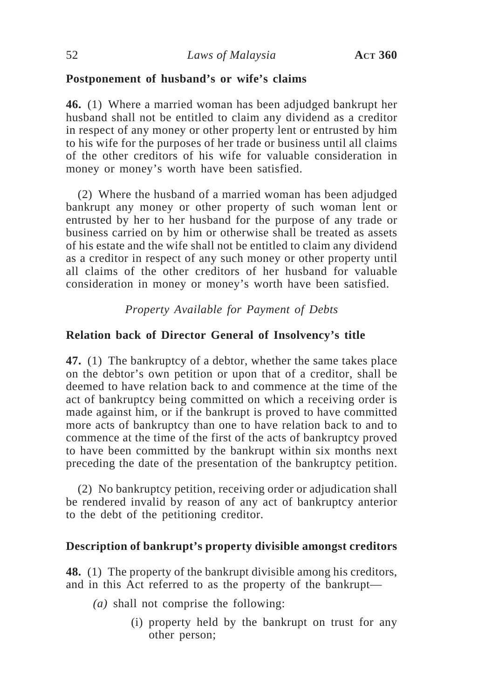## **Postponement of husband's or wife's claims**

**46.** (1) Where a married woman has been adjudged bankrupt her husband shall not be entitled to claim any dividend as a creditor in respect of any money or other property lent or entrusted by him to his wife for the purposes of her trade or business until all claims of the other creditors of his wife for valuable consideration in money or money's worth have been satisfied.

(2) Where the husband of a married woman has been adjudged bankrupt any money or other property of such woman lent or entrusted by her to her husband for the purpose of any trade or business carried on by him or otherwise shall be treated as assets of his estate and the wife shall not be entitled to claim any dividend as a creditor in respect of any such money or other property until all claims of the other creditors of her husband for valuable consideration in money or money's worth have been satisfied.

## *Property Available for Payment of Debts*

## **Relation back of Director General of Insolvency's title**

**47.** (1) The bankruptcy of a debtor, whether the same takes place on the debtor's own petition or upon that of a creditor, shall be deemed to have relation back to and commence at the time of the act of bankruptcy being committed on which a receiving order is made against him, or if the bankrupt is proved to have committed more acts of bankruptcy than one to have relation back to and to commence at the time of the first of the acts of bankruptcy proved to have been committed by the bankrupt within six months next preceding the date of the presentation of the bankruptcy petition.

(2) No bankruptcy petition, receiving order or adjudication shall be rendered invalid by reason of any act of bankruptcy anterior to the debt of the petitioning creditor.

## **Description of bankrupt's property divisible amongst creditors**

**48.** (1) The property of the bankrupt divisible among his creditors, and in this Act referred to as the property of the bankrupt—

- *(a)* shall not comprise the following:
	- (i) property held by the bankrupt on trust for any other person;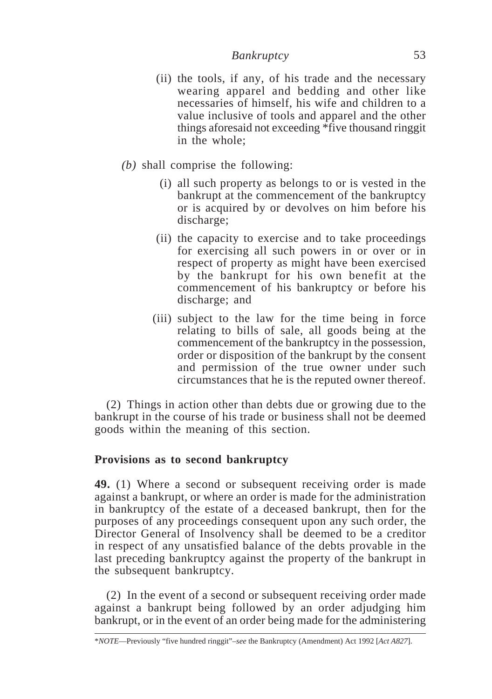- (ii) the tools, if any, of his trade and the necessary wearing apparel and bedding and other like necessaries of himself, his wife and children to a value inclusive of tools and apparel and the other things aforesaid not exceeding \*five thousand ringgit in the whole;
- *(b)* shall comprise the following:
	- (i) all such property as belongs to or is vested in the bankrupt at the commencement of the bankruptcy or is acquired by or devolves on him before his discharge;
	- (ii) the capacity to exercise and to take proceedings for exercising all such powers in or over or in respect of property as might have been exercised by the bankrupt for his own benefit at the commencement of his bankruptcy or before his discharge; and
	- (iii) subject to the law for the time being in force relating to bills of sale, all goods being at the commencement of the bankruptcy in the possession, order or disposition of the bankrupt by the consent and permission of the true owner under such circumstances that he is the reputed owner thereof.

(2) Things in action other than debts due or growing due to the bankrupt in the course of his trade or business shall not be deemed goods within the meaning of this section.

# **Provisions as to second bankruptcy**

**49.** (1) Where a second or subsequent receiving order is made against a bankrupt, or where an order is made for the administration in bankruptcy of the estate of a deceased bankrupt, then for the purposes of any proceedings consequent upon any such order, the Director General of Insolvency shall be deemed to be a creditor in respect of any unsatisfied balance of the debts provable in the last preceding bankruptcy against the property of the bankrupt in the subsequent bankruptcy.

(2) In the event of a second or subsequent receiving order made against a bankrupt being followed by an order adjudging him bankrupt, or in the event of an order being made for the administering

<sup>\*</sup>*NOTE*—Previously "five hundred ringgit"–*see* the Bankruptcy (Amendment) Act 1992 [*Act A827*].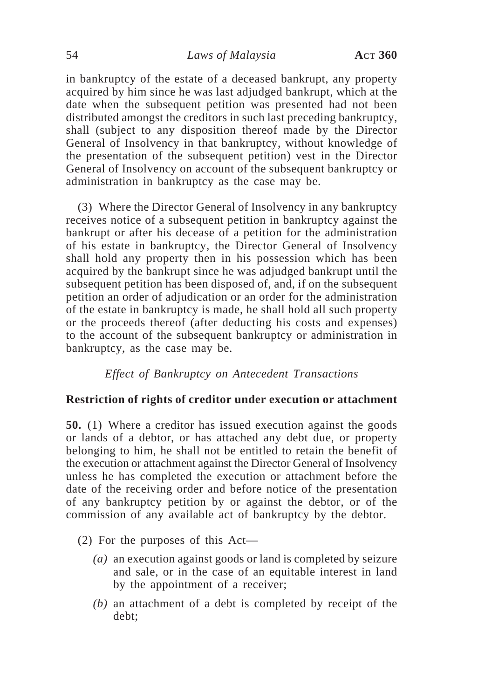### 54 *Laws of Malaysia* **ACT 360**

in bankruptcy of the estate of a deceased bankrupt, any property acquired by him since he was last adjudged bankrupt, which at the date when the subsequent petition was presented had not been distributed amongst the creditors in such last preceding bankruptcy, shall (subject to any disposition thereof made by the Director General of Insolvency in that bankruptcy, without knowledge of the presentation of the subsequent petition) vest in the Director General of Insolvency on account of the subsequent bankruptcy or administration in bankruptcy as the case may be.

(3) Where the Director General of Insolvency in any bankruptcy receives notice of a subsequent petition in bankruptcy against the bankrupt or after his decease of a petition for the administration of his estate in bankruptcy, the Director General of Insolvency shall hold any property then in his possession which has been acquired by the bankrupt since he was adjudged bankrupt until the subsequent petition has been disposed of, and, if on the subsequent petition an order of adjudication or an order for the administration of the estate in bankruptcy is made, he shall hold all such property or the proceeds thereof (after deducting his costs and expenses) to the account of the subsequent bankruptcy or administration in bankruptcy, as the case may be.

### *Effect of Bankruptcy on Antecedent Transactions*

#### **Restriction of rights of creditor under execution or attachment**

**50.** (1) Where a creditor has issued execution against the goods or lands of a debtor, or has attached any debt due, or property belonging to him, he shall not be entitled to retain the benefit of the execution or attachment against the Director General of Insolvency unless he has completed the execution or attachment before the date of the receiving order and before notice of the presentation of any bankruptcy petition by or against the debtor, or of the commission of any available act of bankruptcy by the debtor.

- (2) For the purposes of this Act—
	- *(a)* an execution against goods or land is completed by seizure and sale, or in the case of an equitable interest in land by the appointment of a receiver;
	- *(b)* an attachment of a debt is completed by receipt of the debt;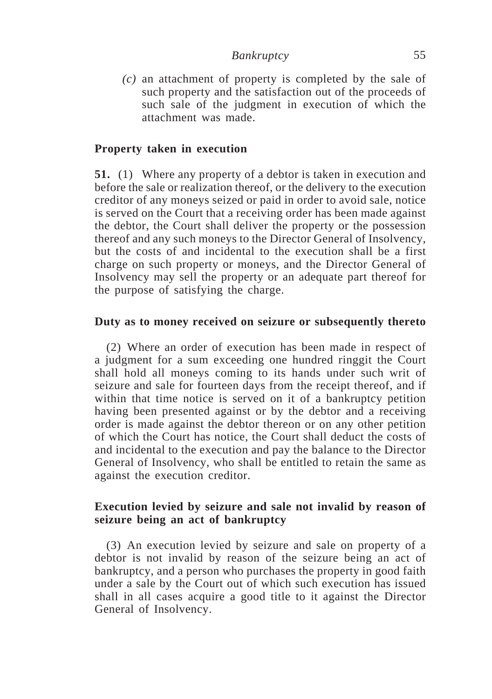*(c)* an attachment of property is completed by the sale of such property and the satisfaction out of the proceeds of such sale of the judgment in execution of which the attachment was made.

#### **Property taken in execution**

**51.** (1) Where any property of a debtor is taken in execution and before the sale or realization thereof, or the delivery to the execution creditor of any moneys seized or paid in order to avoid sale, notice is served on the Court that a receiving order has been made against the debtor, the Court shall deliver the property or the possession thereof and any such moneys to the Director General of Insolvency, but the costs of and incidental to the execution shall be a first charge on such property or moneys, and the Director General of Insolvency may sell the property or an adequate part thereof for the purpose of satisfying the charge.

#### **Duty as to money received on seizure or subsequently thereto**

(2) Where an order of execution has been made in respect of a judgment for a sum exceeding one hundred ringgit the Court shall hold all moneys coming to its hands under such writ of seizure and sale for fourteen days from the receipt thereof, and if within that time notice is served on it of a bankruptcy petition having been presented against or by the debtor and a receiving order is made against the debtor thereon or on any other petition of which the Court has notice, the Court shall deduct the costs of and incidental to the execution and pay the balance to the Director General of Insolvency, who shall be entitled to retain the same as against the execution creditor.

## **Execution levied by seizure and sale not invalid by reason of seizure being an act of bankruptcy**

(3) An execution levied by seizure and sale on property of a debtor is not invalid by reason of the seizure being an act of bankruptcy, and a person who purchases the property in good faith under a sale by the Court out of which such execution has issued shall in all cases acquire a good title to it against the Director General of Insolvency.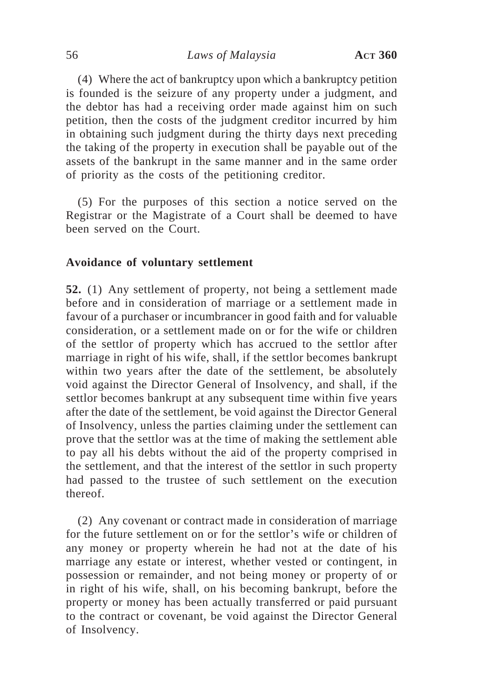(4) Where the act of bankruptcy upon which a bankruptcy petition is founded is the seizure of any property under a judgment, and the debtor has had a receiving order made against him on such petition, then the costs of the judgment creditor incurred by him in obtaining such judgment during the thirty days next preceding the taking of the property in execution shall be payable out of the assets of the bankrupt in the same manner and in the same order of priority as the costs of the petitioning creditor.

(5) For the purposes of this section a notice served on the Registrar or the Magistrate of a Court shall be deemed to have been served on the Court.

#### **Avoidance of voluntary settlement**

**52.** (1) Any settlement of property, not being a settlement made before and in consideration of marriage or a settlement made in favour of a purchaser or incumbrancer in good faith and for valuable consideration, or a settlement made on or for the wife or children of the settlor of property which has accrued to the settlor after marriage in right of his wife, shall, if the settlor becomes bankrupt within two years after the date of the settlement, be absolutely void against the Director General of Insolvency, and shall, if the settlor becomes bankrupt at any subsequent time within five years after the date of the settlement, be void against the Director General of Insolvency, unless the parties claiming under the settlement can prove that the settlor was at the time of making the settlement able to pay all his debts without the aid of the property comprised in the settlement, and that the interest of the settlor in such property had passed to the trustee of such settlement on the execution thereof.

(2) Any covenant or contract made in consideration of marriage for the future settlement on or for the settlor's wife or children of any money or property wherein he had not at the date of his marriage any estate or interest, whether vested or contingent, in possession or remainder, and not being money or property of or in right of his wife, shall, on his becoming bankrupt, before the property or money has been actually transferred or paid pursuant to the contract or covenant, be void against the Director General of Insolvency.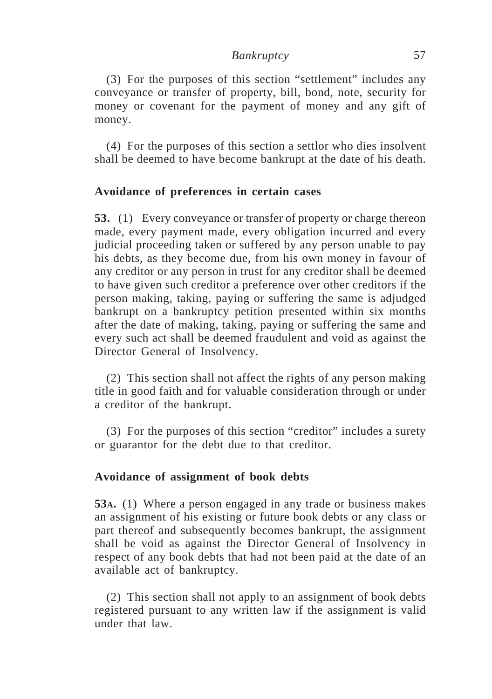(3) For the purposes of this section "settlement" includes any conveyance or transfer of property, bill, bond, note, security for money or covenant for the payment of money and any gift of money.

(4) For the purposes of this section a settlor who dies insolvent shall be deemed to have become bankrupt at the date of his death.

## **Avoidance of preferences in certain cases**

**53.** (1) Every conveyance or transfer of property or charge thereon made, every payment made, every obligation incurred and every judicial proceeding taken or suffered by any person unable to pay his debts, as they become due, from his own money in favour of any creditor or any person in trust for any creditor shall be deemed to have given such creditor a preference over other creditors if the person making, taking, paying or suffering the same is adjudged bankrupt on a bankruptcy petition presented within six months after the date of making, taking, paying or suffering the same and every such act shall be deemed fraudulent and void as against the Director General of Insolvency.

(2) This section shall not affect the rights of any person making title in good faith and for valuable consideration through or under a creditor of the bankrupt.

(3) For the purposes of this section "creditor" includes a surety or guarantor for the debt due to that creditor.

## **Avoidance of assignment of book debts**

**53A.** (1) Where a person engaged in any trade or business makes an assignment of his existing or future book debts or any class or part thereof and subsequently becomes bankrupt, the assignment shall be void as against the Director General of Insolvency in respect of any book debts that had not been paid at the date of an available act of bankruptcy.

(2) This section shall not apply to an assignment of book debts registered pursuant to any written law if the assignment is valid under that law.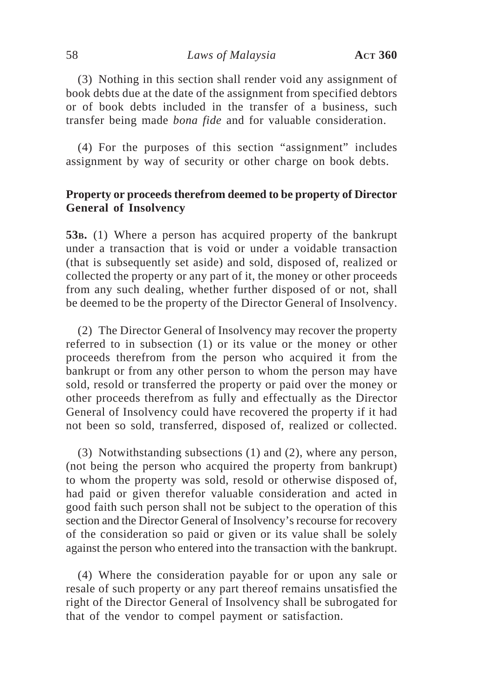### 58 *Laws of Malaysia* **ACT 360**

(3) Nothing in this section shall render void any assignment of book debts due at the date of the assignment from specified debtors or of book debts included in the transfer of a business, such transfer being made *bona fide* and for valuable consideration.

(4) For the purposes of this section "assignment" includes assignment by way of security or other charge on book debts.

## **Property or proceeds therefrom deemed to be property of Director General of Insolvency**

**53B.** (1) Where a person has acquired property of the bankrupt under a transaction that is void or under a voidable transaction (that is subsequently set aside) and sold, disposed of, realized or collected the property or any part of it, the money or other proceeds from any such dealing, whether further disposed of or not, shall be deemed to be the property of the Director General of Insolvency.

(2) The Director General of Insolvency may recover the property referred to in subsection (1) or its value or the money or other proceeds therefrom from the person who acquired it from the bankrupt or from any other person to whom the person may have sold, resold or transferred the property or paid over the money or other proceeds therefrom as fully and effectually as the Director General of Insolvency could have recovered the property if it had not been so sold, transferred, disposed of, realized or collected.

(3) Notwithstanding subsections (1) and (2), where any person, (not being the person who acquired the property from bankrupt) to whom the property was sold, resold or otherwise disposed of, had paid or given therefor valuable consideration and acted in good faith such person shall not be subject to the operation of this section and the Director General of Insolvency's recourse for recovery of the consideration so paid or given or its value shall be solely against the person who entered into the transaction with the bankrupt.

(4) Where the consideration payable for or upon any sale or resale of such property or any part thereof remains unsatisfied the right of the Director General of Insolvency shall be subrogated for that of the vendor to compel payment or satisfaction.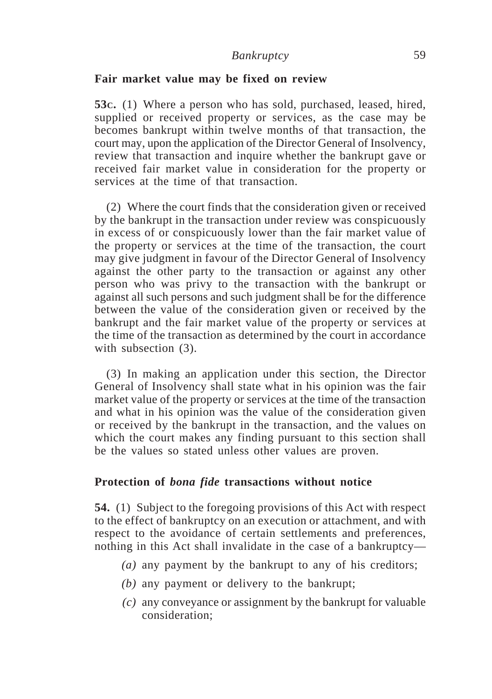#### **Fair market value may be fixed on review**

**53C.** (1) Where a person who has sold, purchased, leased, hired, supplied or received property or services, as the case may be becomes bankrupt within twelve months of that transaction, the court may, upon the application of the Director General of Insolvency, review that transaction and inquire whether the bankrupt gave or received fair market value in consideration for the property or services at the time of that transaction.

(2) Where the court finds that the consideration given or received by the bankrupt in the transaction under review was conspicuously in excess of or conspicuously lower than the fair market value of the property or services at the time of the transaction, the court may give judgment in favour of the Director General of Insolvency against the other party to the transaction or against any other person who was privy to the transaction with the bankrupt or against all such persons and such judgment shall be for the difference between the value of the consideration given or received by the bankrupt and the fair market value of the property or services at the time of the transaction as determined by the court in accordance with subsection (3).

(3) In making an application under this section, the Director General of Insolvency shall state what in his opinion was the fair market value of the property or services at the time of the transaction and what in his opinion was the value of the consideration given or received by the bankrupt in the transaction, and the values on which the court makes any finding pursuant to this section shall be the values so stated unless other values are proven.

#### **Protection of** *bona fide* **transactions without notice**

**54.** (1) Subject to the foregoing provisions of this Act with respect to the effect of bankruptcy on an execution or attachment, and with respect to the avoidance of certain settlements and preferences, nothing in this Act shall invalidate in the case of a bankruptcy—

- *(a)* any payment by the bankrupt to any of his creditors;
- *(b)* any payment or delivery to the bankrupt;
- *(c)* any conveyance or assignment by the bankrupt for valuable consideration;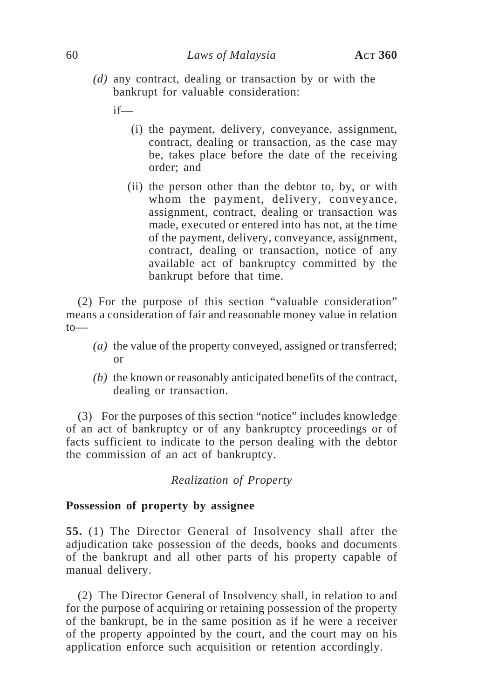- *(d)* any contract, dealing or transaction by or with the bankrupt for valuable consideration:
	- if—
		- (i) the payment, delivery, conveyance, assignment, contract, dealing or transaction, as the case may be, takes place before the date of the receiving order; and
		- (ii) the person other than the debtor to, by, or with whom the payment, delivery, conveyance, assignment, contract, dealing or transaction was made, executed or entered into has not, at the time of the payment, delivery, conveyance, assignment, contract, dealing or transaction, notice of any available act of bankruptcy committed by the bankrupt before that time.

(2) For the purpose of this section "valuable consideration" means a consideration of fair and reasonable money value in relation  $to$ —

- *(a)* the value of the property conveyed, assigned or transferred; or
- *(b)* the known or reasonably anticipated benefits of the contract, dealing or transaction.

(3) For the purposes of this section "notice" includes knowledge of an act of bankruptcy or of any bankruptcy proceedings or of facts sufficient to indicate to the person dealing with the debtor the commission of an act of bankruptcy.

## *Realization of Property*

### **Possession of property by assignee**

**55.** (1) The Director General of Insolvency shall after the adjudication take possession of the deeds, books and documents of the bankrupt and all other parts of his property capable of manual delivery.

(2) The Director General of Insolvency shall, in relation to and for the purpose of acquiring or retaining possession of the property of the bankrupt, be in the same position as if he were a receiver of the property appointed by the court, and the court may on his application enforce such acquisition or retention accordingly.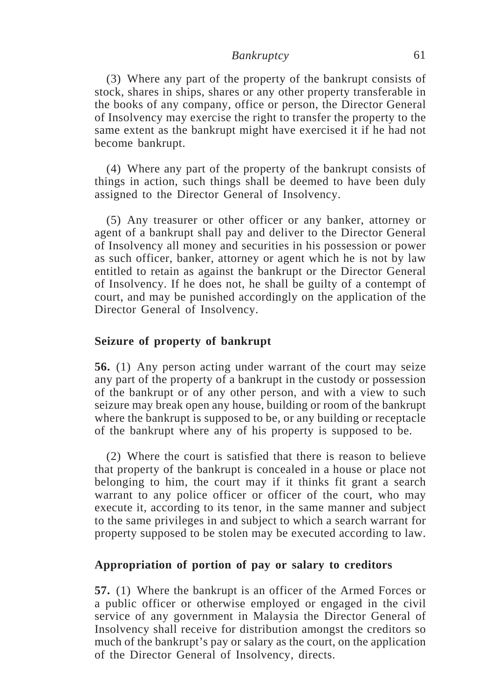(3) Where any part of the property of the bankrupt consists of stock, shares in ships, shares or any other property transferable in the books of any company, office or person, the Director General of Insolvency may exercise the right to transfer the property to the same extent as the bankrupt might have exercised it if he had not become bankrupt.

(4) Where any part of the property of the bankrupt consists of things in action, such things shall be deemed to have been duly assigned to the Director General of Insolvency.

(5) Any treasurer or other officer or any banker, attorney or agent of a bankrupt shall pay and deliver to the Director General of Insolvency all money and securities in his possession or power as such officer, banker, attorney or agent which he is not by law entitled to retain as against the bankrupt or the Director General of Insolvency. If he does not, he shall be guilty of a contempt of court, and may be punished accordingly on the application of the Director General of Insolvency.

#### **Seizure of property of bankrupt**

**56.** (1) Any person acting under warrant of the court may seize any part of the property of a bankrupt in the custody or possession of the bankrupt or of any other person, and with a view to such seizure may break open any house, building or room of the bankrupt where the bankrupt is supposed to be, or any building or receptacle of the bankrupt where any of his property is supposed to be.

(2) Where the court is satisfied that there is reason to believe that property of the bankrupt is concealed in a house or place not belonging to him, the court may if it thinks fit grant a search warrant to any police officer or officer of the court, who may execute it, according to its tenor, in the same manner and subject to the same privileges in and subject to which a search warrant for property supposed to be stolen may be executed according to law.

### **Appropriation of portion of pay or salary to creditors**

**57.** (1) Where the bankrupt is an officer of the Armed Forces or a public officer or otherwise employed or engaged in the civil service of any government in Malaysia the Director General of Insolvency shall receive for distribution amongst the creditors so much of the bankrupt's pay or salary as the court, on the application of the Director General of Insolvency, directs.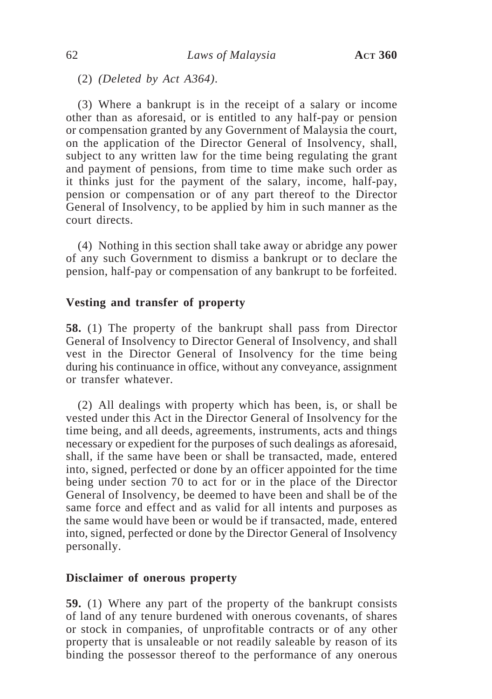(2) *(Deleted by Act A364)*.

(3) Where a bankrupt is in the receipt of a salary or income other than as aforesaid, or is entitled to any half-pay or pension or compensation granted by any Government of Malaysia the court, on the application of the Director General of Insolvency, shall, subject to any written law for the time being regulating the grant and payment of pensions, from time to time make such order as it thinks just for the payment of the salary, income, half-pay, pension or compensation or of any part thereof to the Director General of Insolvency, to be applied by him in such manner as the court directs.

(4) Nothing in this section shall take away or abridge any power of any such Government to dismiss a bankrupt or to declare the pension, half-pay or compensation of any bankrupt to be forfeited.

### **Vesting and transfer of property**

**58.** (1) The property of the bankrupt shall pass from Director General of Insolvency to Director General of Insolvency, and shall vest in the Director General of Insolvency for the time being during his continuance in office, without any conveyance, assignment or transfer whatever.

(2) All dealings with property which has been, is, or shall be vested under this Act in the Director General of Insolvency for the time being, and all deeds, agreements, instruments, acts and things necessary or expedient for the purposes of such dealings as aforesaid, shall, if the same have been or shall be transacted, made, entered into, signed, perfected or done by an officer appointed for the time being under section 70 to act for or in the place of the Director General of Insolvency, be deemed to have been and shall be of the same force and effect and as valid for all intents and purposes as the same would have been or would be if transacted, made, entered into, signed, perfected or done by the Director General of Insolvency personally.

#### **Disclaimer of onerous property**

**59.** (1) Where any part of the property of the bankrupt consists of land of any tenure burdened with onerous covenants, of shares or stock in companies, of unprofitable contracts or of any other property that is unsaleable or not readily saleable by reason of its binding the possessor thereof to the performance of any onerous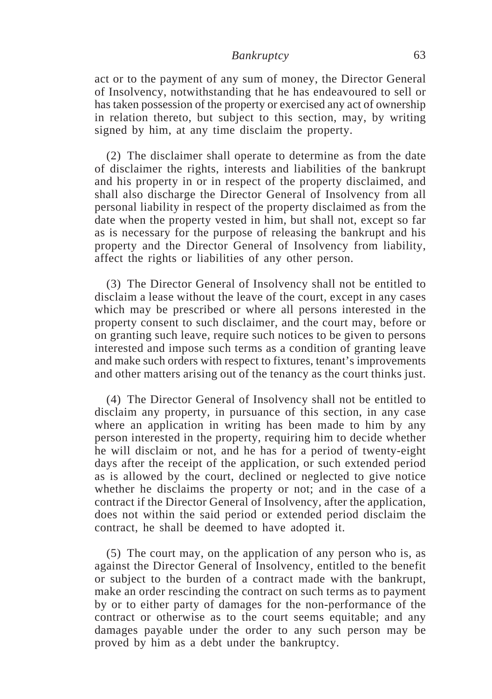act or to the payment of any sum of money, the Director General of Insolvency, notwithstanding that he has endeavoured to sell or has taken possession of the property or exercised any act of ownership in relation thereto, but subject to this section, may, by writing signed by him, at any time disclaim the property.

(2) The disclaimer shall operate to determine as from the date of disclaimer the rights, interests and liabilities of the bankrupt and his property in or in respect of the property disclaimed, and shall also discharge the Director General of Insolvency from all personal liability in respect of the property disclaimed as from the date when the property vested in him, but shall not, except so far as is necessary for the purpose of releasing the bankrupt and his property and the Director General of Insolvency from liability, affect the rights or liabilities of any other person.

(3) The Director General of Insolvency shall not be entitled to disclaim a lease without the leave of the court, except in any cases which may be prescribed or where all persons interested in the property consent to such disclaimer, and the court may, before or on granting such leave, require such notices to be given to persons interested and impose such terms as a condition of granting leave and make such orders with respect to fixtures, tenant's improvements and other matters arising out of the tenancy as the court thinks just.

(4) The Director General of Insolvency shall not be entitled to disclaim any property, in pursuance of this section, in any case where an application in writing has been made to him by any person interested in the property, requiring him to decide whether he will disclaim or not, and he has for a period of twenty-eight days after the receipt of the application, or such extended period as is allowed by the court, declined or neglected to give notice whether he disclaims the property or not; and in the case of a contract if the Director General of Insolvency, after the application, does not within the said period or extended period disclaim the contract, he shall be deemed to have adopted it.

(5) The court may, on the application of any person who is, as against the Director General of Insolvency, entitled to the benefit or subject to the burden of a contract made with the bankrupt, make an order rescinding the contract on such terms as to payment by or to either party of damages for the non-performance of the contract or otherwise as to the court seems equitable; and any damages payable under the order to any such person may be proved by him as a debt under the bankruptcy.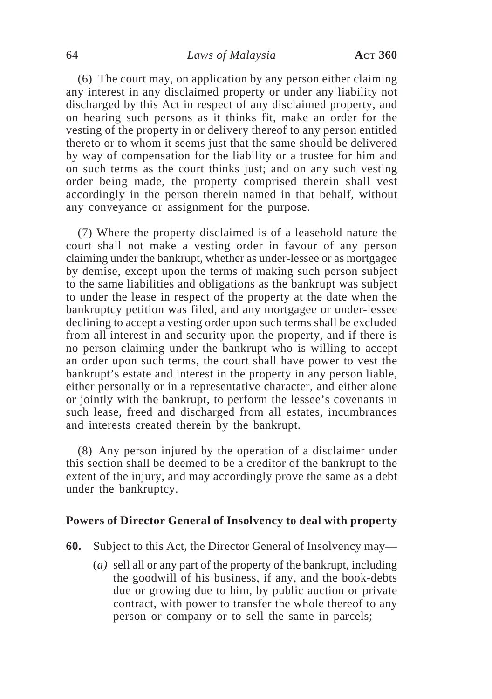(6) The court may, on application by any person either claiming any interest in any disclaimed property or under any liability not discharged by this Act in respect of any disclaimed property, and on hearing such persons as it thinks fit, make an order for the vesting of the property in or delivery thereof to any person entitled thereto or to whom it seems just that the same should be delivered by way of compensation for the liability or a trustee for him and on such terms as the court thinks just; and on any such vesting order being made, the property comprised therein shall vest accordingly in the person therein named in that behalf, without any conveyance or assignment for the purpose.

(7) Where the property disclaimed is of a leasehold nature the court shall not make a vesting order in favour of any person claiming under the bankrupt, whether as under-lessee or as mortgagee by demise, except upon the terms of making such person subject to the same liabilities and obligations as the bankrupt was subject to under the lease in respect of the property at the date when the bankruptcy petition was filed, and any mortgagee or under-lessee declining to accept a vesting order upon such terms shall be excluded from all interest in and security upon the property, and if there is no person claiming under the bankrupt who is willing to accept an order upon such terms, the court shall have power to vest the bankrupt's estate and interest in the property in any person liable, either personally or in a representative character, and either alone or jointly with the bankrupt, to perform the lessee's covenants in such lease, freed and discharged from all estates, incumbrances and interests created therein by the bankrupt.

(8) Any person injured by the operation of a disclaimer under this section shall be deemed to be a creditor of the bankrupt to the extent of the injury, and may accordingly prove the same as a debt under the bankruptcy.

#### **Powers of Director General of Insolvency to deal with property**

- **60.** Subject to this Act, the Director General of Insolvency may—
	- (*a)* sell all or any part of the property of the bankrupt, including the goodwill of his business, if any, and the book-debts due or growing due to him, by public auction or private contract, with power to transfer the whole thereof to any person or company or to sell the same in parcels;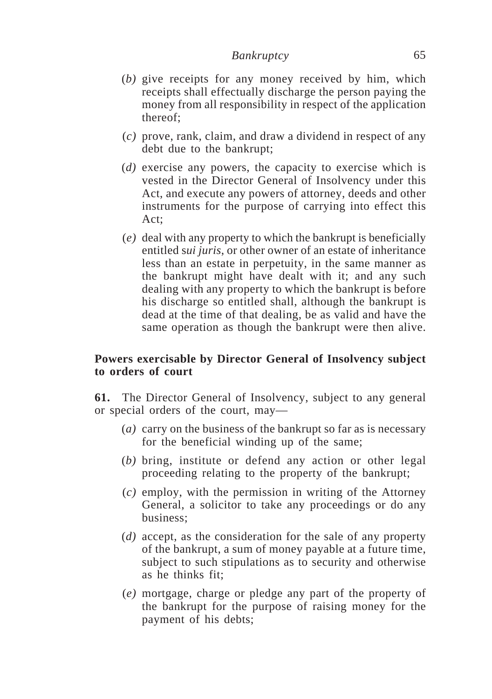- (*b)* give receipts for any money received by him, which receipts shall effectually discharge the person paying the money from all responsibility in respect of the application thereof;
- (*c)* prove, rank, claim, and draw a dividend in respect of any debt due to the bankrupt;
- (*d)* exercise any powers, the capacity to exercise which is vested in the Director General of Insolvency under this Act, and execute any powers of attorney, deeds and other instruments for the purpose of carrying into effect this Act;
- (*e)* deal with any property to which the bankrupt is beneficially entitled s*ui juris*, or other owner of an estate of inheritance less than an estate in perpetuity, in the same manner as the bankrupt might have dealt with it; and any such dealing with any property to which the bankrupt is before his discharge so entitled shall, although the bankrupt is dead at the time of that dealing, be as valid and have the same operation as though the bankrupt were then alive.

## **Powers exercisable by Director General of Insolvency subject to orders of court**

**61.** The Director General of Insolvency, subject to any general or special orders of the court, may—

- (*a)* carry on the business of the bankrupt so far as is necessary for the beneficial winding up of the same;
- (*b)* bring, institute or defend any action or other legal proceeding relating to the property of the bankrupt;
- (*c)* employ, with the permission in writing of the Attorney General, a solicitor to take any proceedings or do any business;
- (*d)* accept, as the consideration for the sale of any property of the bankrupt, a sum of money payable at a future time, subject to such stipulations as to security and otherwise as he thinks fit;
- (*e)* mortgage, charge or pledge any part of the property of the bankrupt for the purpose of raising money for the payment of his debts;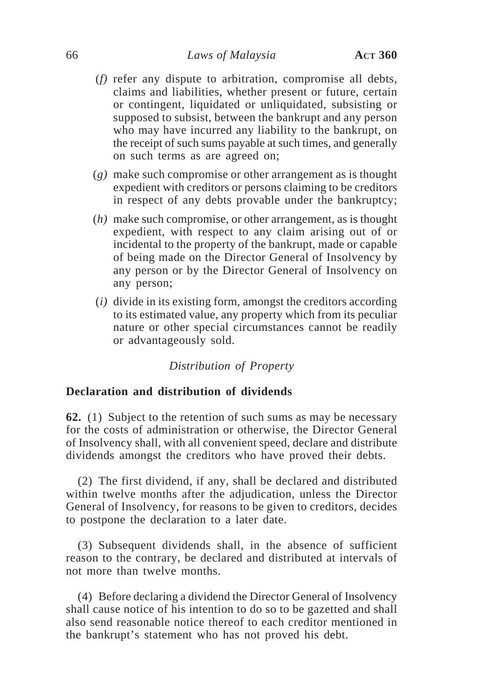- (*f)* refer any dispute to arbitration, compromise all debts, claims and liabilities, whether present or future, certain or contingent, liquidated or unliquidated, subsisting or supposed to subsist, between the bankrupt and any person who may have incurred any liability to the bankrupt, on the receipt of such sums payable at such times, and generally on such terms as are agreed on;
- (*g)* make such compromise or other arrangement as is thought expedient with creditors or persons claiming to be creditors in respect of any debts provable under the bankruptcy;
- (*h)* make such compromise, or other arrangement, as is thought expedient, with respect to any claim arising out of or incidental to the property of the bankrupt, made or capable of being made on the Director General of Insolvency by any person or by the Director General of Insolvency on any person;
- (*i)* divide in its existing form, amongst the creditors according to its estimated value, any property which from its peculiar nature or other special circumstances cannot be readily or advantageously sold.

## *Distribution of Property*

## **Declaration and distribution of dividends**

**62.** (1) Subject to the retention of such sums as may be necessary for the costs of administration or otherwise, the Director General of Insolvency shall, with all convenient speed, declare and distribute dividends amongst the creditors who have proved their debts.

(2) The first dividend, if any, shall be declared and distributed within twelve months after the adjudication, unless the Director General of Insolvency, for reasons to be given to creditors, decides to postpone the declaration to a later date.

(3) Subsequent dividends shall, in the absence of sufficient reason to the contrary, be declared and distributed at intervals of not more than twelve months.

(4) Before declaring a dividend the Director General of Insolvency shall cause notice of his intention to do so to be gazetted and shall also send reasonable notice thereof to each creditor mentioned in the bankrupt's statement who has not proved his debt.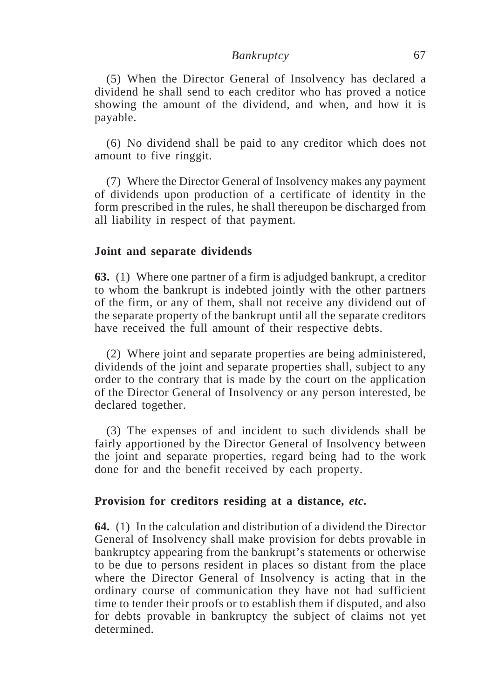(5) When the Director General of Insolvency has declared a dividend he shall send to each creditor who has proved a notice showing the amount of the dividend, and when, and how it is payable.

(6) No dividend shall be paid to any creditor which does not amount to five ringgit.

(7) Where the Director General of Insolvency makes any payment of dividends upon production of a certificate of identity in the form prescribed in the rules, he shall thereupon be discharged from all liability in respect of that payment.

### **Joint and separate dividends**

**63.** (1) Where one partner of a firm is adjudged bankrupt, a creditor to whom the bankrupt is indebted jointly with the other partners of the firm, or any of them, shall not receive any dividend out of the separate property of the bankrupt until all the separate creditors have received the full amount of their respective debts.

(2) Where joint and separate properties are being administered, dividends of the joint and separate properties shall, subject to any order to the contrary that is made by the court on the application of the Director General of Insolvency or any person interested, be declared together.

(3) The expenses of and incident to such dividends shall be fairly apportioned by the Director General of Insolvency between the joint and separate properties, regard being had to the work done for and the benefit received by each property.

#### **Provision for creditors residing at a distance,** *etc.*

**64.** (1) In the calculation and distribution of a dividend the Director General of Insolvency shall make provision for debts provable in bankruptcy appearing from the bankrupt's statements or otherwise to be due to persons resident in places so distant from the place where the Director General of Insolvency is acting that in the ordinary course of communication they have not had sufficient time to tender their proofs or to establish them if disputed, and also for debts provable in bankruptcy the subject of claims not yet determined.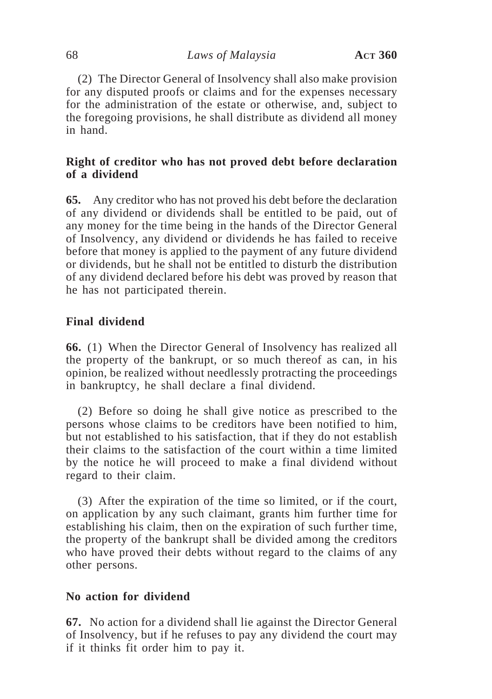(2) The Director General of Insolvency shall also make provision for any disputed proofs or claims and for the expenses necessary for the administration of the estate or otherwise, and, subject to the foregoing provisions, he shall distribute as dividend all money in hand.

## **Right of creditor who has not proved debt before declaration of a dividend**

**65.** Any creditor who has not proved his debt before the declaration of any dividend or dividends shall be entitled to be paid, out of any money for the time being in the hands of the Director General of Insolvency, any dividend or dividends he has failed to receive before that money is applied to the payment of any future dividend or dividends, but he shall not be entitled to disturb the distribution of any dividend declared before his debt was proved by reason that he has not participated therein.

## **Final dividend**

**66.** (1) When the Director General of Insolvency has realized all the property of the bankrupt, or so much thereof as can, in his opinion, be realized without needlessly protracting the proceedings in bankruptcy, he shall declare a final dividend.

(2) Before so doing he shall give notice as prescribed to the persons whose claims to be creditors have been notified to him, but not established to his satisfaction, that if they do not establish their claims to the satisfaction of the court within a time limited by the notice he will proceed to make a final dividend without regard to their claim.

(3) After the expiration of the time so limited, or if the court, on application by any such claimant, grants him further time for establishing his claim, then on the expiration of such further time, the property of the bankrupt shall be divided among the creditors who have proved their debts without regard to the claims of any other persons.

### **No action for dividend**

**67.** No action for a dividend shall lie against the Director General of Insolvency, but if he refuses to pay any dividend the court may if it thinks fit order him to pay it.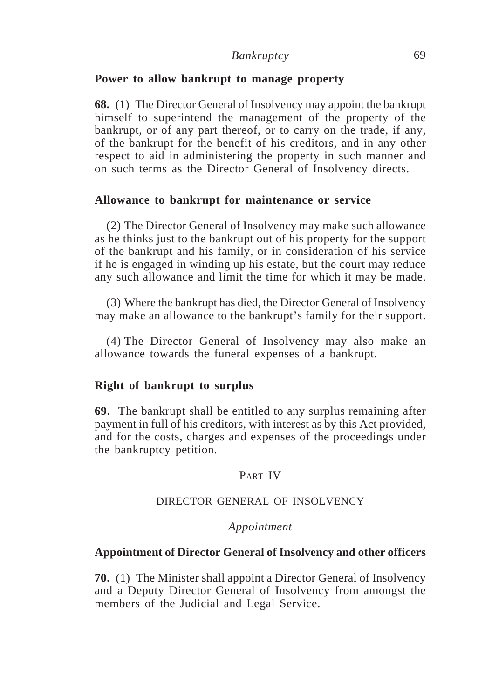#### **Power to allow bankrupt to manage property**

**68.** (1) The Director General of Insolvency may appoint the bankrupt himself to superintend the management of the property of the bankrupt, or of any part thereof, or to carry on the trade, if any, of the bankrupt for the benefit of his creditors, and in any other respect to aid in administering the property in such manner and on such terms as the Director General of Insolvency directs.

#### **Allowance to bankrupt for maintenance or service**

(2) The Director General of Insolvency may make such allowance as he thinks just to the bankrupt out of his property for the support of the bankrupt and his family, or in consideration of his service if he is engaged in winding up his estate, but the court may reduce any such allowance and limit the time for which it may be made.

(3) Where the bankrupt has died, the Director General of Insolvency may make an allowance to the bankrupt's family for their support.

(4) The Director General of Insolvency may also make an allowance towards the funeral expenses of a bankrupt.

#### **Right of bankrupt to surplus**

**69.** The bankrupt shall be entitled to any surplus remaining after payment in full of his creditors, with interest as by this Act provided, and for the costs, charges and expenses of the proceedings under the bankruptcy petition.

### PART IV

#### DIRECTOR GENERAL OF INSOLVENCY

#### *Appointment*

#### **Appointment of Director General of Insolvency and other officers**

**70.** (1) The Minister shall appoint a Director General of Insolvency and a Deputy Director General of Insolvency from amongst the members of the Judicial and Legal Service.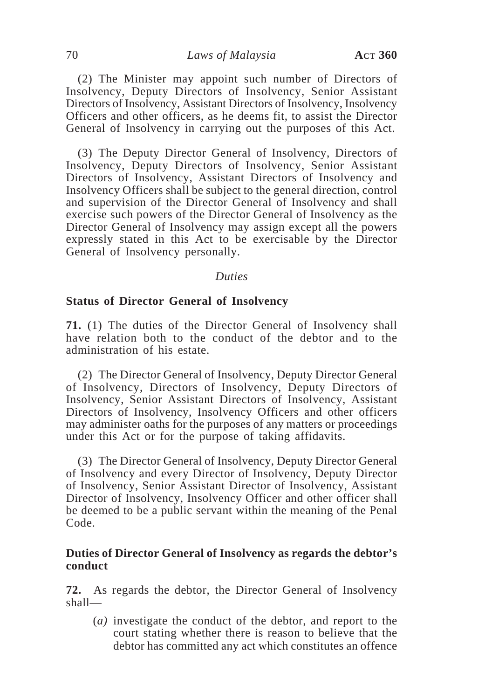(2) The Minister may appoint such number of Directors of Insolvency, Deputy Directors of Insolvency, Senior Assistant Directors of Insolvency, Assistant Directors of Insolvency, Insolvency Officers and other officers, as he deems fit, to assist the Director General of Insolvency in carrying out the purposes of this Act.

(3) The Deputy Director General of Insolvency, Directors of Insolvency, Deputy Directors of Insolvency, Senior Assistant Directors of Insolvency, Assistant Directors of Insolvency and Insolvency Officers shall be subject to the general direction, control and supervision of the Director General of Insolvency and shall exercise such powers of the Director General of Insolvency as the Director General of Insolvency may assign except all the powers expressly stated in this Act to be exercisable by the Director General of Insolvency personally.

#### *Duties*

#### **Status of Director General of Insolvency**

**71.** (1) The duties of the Director General of Insolvency shall have relation both to the conduct of the debtor and to the administration of his estate.

(2) The Director General of Insolvency, Deputy Director General of Insolvency, Directors of Insolvency, Deputy Directors of Insolvency, Senior Assistant Directors of Insolvency, Assistant Directors of Insolvency, Insolvency Officers and other officers may administer oaths for the purposes of any matters or proceedings under this Act or for the purpose of taking affidavits.

(3) The Director General of Insolvency, Deputy Director General of Insolvency and every Director of Insolvency, Deputy Director of Insolvency, Senior Assistant Director of Insolvency, Assistant Director of Insolvency, Insolvency Officer and other officer shall be deemed to be a public servant within the meaning of the Penal Code.

### **Duties of Director General of Insolvency as regards the debtor's conduct**

**72.** As regards the debtor, the Director General of Insolvency shall—

(*a)* investigate the conduct of the debtor, and report to the court stating whether there is reason to believe that the debtor has committed any act which constitutes an offence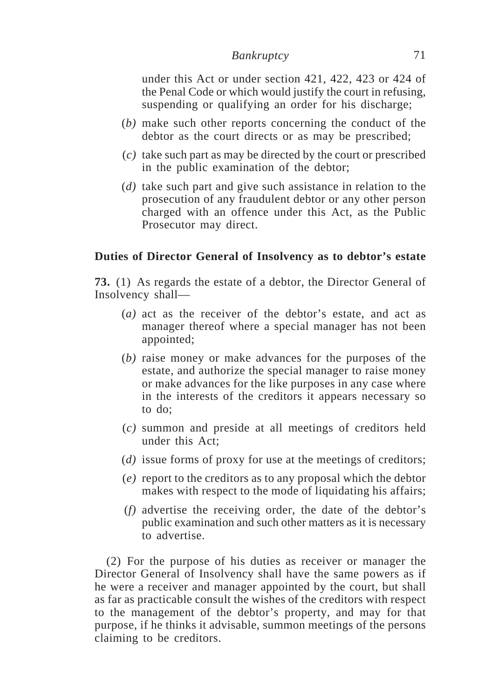under this Act or under section 421, 422, 423 or 424 of the Penal Code or which would justify the court in refusing, suspending or qualifying an order for his discharge;

- (*b)* make such other reports concerning the conduct of the debtor as the court directs or as may be prescribed;
- (*c)* take such part as may be directed by the court or prescribed in the public examination of the debtor;
- (*d)* take such part and give such assistance in relation to the prosecution of any fraudulent debtor or any other person charged with an offence under this Act, as the Public Prosecutor may direct.

## **Duties of Director General of Insolvency as to debtor's estate**

**73.** (1) As regards the estate of a debtor, the Director General of Insolvency shall—

- (*a)* act as the receiver of the debtor's estate, and act as manager thereof where a special manager has not been appointed;
- (*b)* raise money or make advances for the purposes of the estate, and authorize the special manager to raise money or make advances for the like purposes in any case where in the interests of the creditors it appears necessary so to do;
- (*c)* summon and preside at all meetings of creditors held under this Act;
- (*d)* issue forms of proxy for use at the meetings of creditors;
- (*e)* report to the creditors as to any proposal which the debtor makes with respect to the mode of liquidating his affairs;
- (*f)* advertise the receiving order, the date of the debtor's public examination and such other matters as it is necessary to advertise.

(2) For the purpose of his duties as receiver or manager the Director General of Insolvency shall have the same powers as if he were a receiver and manager appointed by the court, but shall as far as practicable consult the wishes of the creditors with respect to the management of the debtor's property, and may for that purpose, if he thinks it advisable, summon meetings of the persons claiming to be creditors.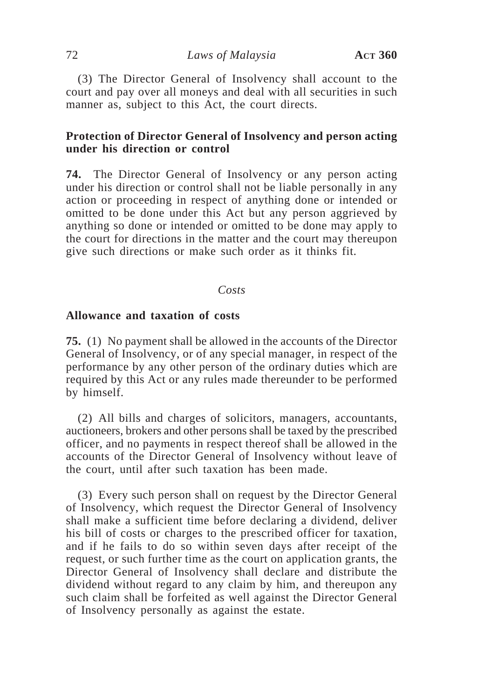(3) The Director General of Insolvency shall account to the court and pay over all moneys and deal with all securities in such manner as, subject to this Act, the court directs.

## **Protection of Director General of Insolvency and person acting under his direction or control**

**74.** The Director General of Insolvency or any person acting under his direction or control shall not be liable personally in any action or proceeding in respect of anything done or intended or omitted to be done under this Act but any person aggrieved by anything so done or intended or omitted to be done may apply to the court for directions in the matter and the court may thereupon give such directions or make such order as it thinks fit.

#### *Costs*

### **Allowance and taxation of costs**

**75.** (1) No payment shall be allowed in the accounts of the Director General of Insolvency, or of any special manager, in respect of the performance by any other person of the ordinary duties which are required by this Act or any rules made thereunder to be performed by himself.

(2) All bills and charges of solicitors, managers, accountants, auctioneers, brokers and other persons shall be taxed by the prescribed officer, and no payments in respect thereof shall be allowed in the accounts of the Director General of Insolvency without leave of the court, until after such taxation has been made.

(3) Every such person shall on request by the Director General of Insolvency, which request the Director General of Insolvency shall make a sufficient time before declaring a dividend, deliver his bill of costs or charges to the prescribed officer for taxation, and if he fails to do so within seven days after receipt of the request, or such further time as the court on application grants, the Director General of Insolvency shall declare and distribute the dividend without regard to any claim by him, and thereupon any such claim shall be forfeited as well against the Director General of Insolvency personally as against the estate.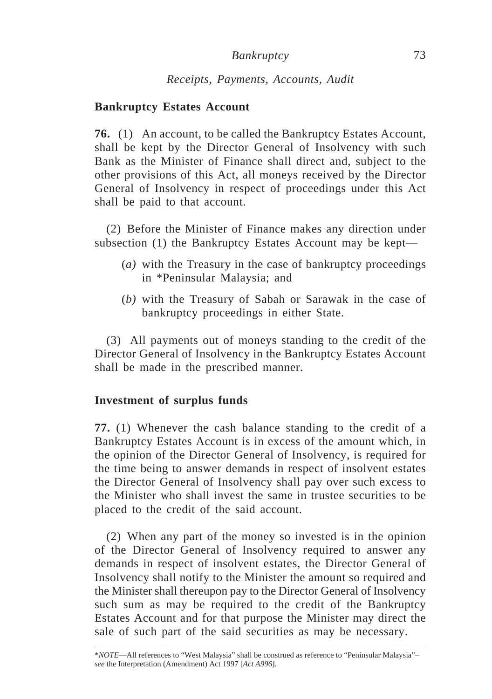## *Receipts, Payments, Accounts, Audit*

## **Bankruptcy Estates Account**

**76.** (1) An account, to be called the Bankruptcy Estates Account, shall be kept by the Director General of Insolvency with such Bank as the Minister of Finance shall direct and, subject to the other provisions of this Act, all moneys received by the Director General of Insolvency in respect of proceedings under this Act shall be paid to that account.

(2) Before the Minister of Finance makes any direction under subsection (1) the Bankruptcy Estates Account may be kept—

- (*a)* with the Treasury in the case of bankruptcy proceedings in \*Peninsular Malaysia; and
- (*b)* with the Treasury of Sabah or Sarawak in the case of bankruptcy proceedings in either State.

(3) All payments out of moneys standing to the credit of the Director General of Insolvency in the Bankruptcy Estates Account shall be made in the prescribed manner.

#### **Investment of surplus funds**

**77.** (1) Whenever the cash balance standing to the credit of a Bankruptcy Estates Account is in excess of the amount which, in the opinion of the Director General of Insolvency, is required for the time being to answer demands in respect of insolvent estates the Director General of Insolvency shall pay over such excess to the Minister who shall invest the same in trustee securities to be placed to the credit of the said account.

(2) When any part of the money so invested is in the opinion of the Director General of Insolvency required to answer any demands in respect of insolvent estates, the Director General of Insolvency shall notify to the Minister the amount so required and the Minister shall thereupon pay to the Director General of Insolvency such sum as may be required to the credit of the Bankruptcy Estates Account and for that purpose the Minister may direct the sale of such part of the said securities as may be necessary.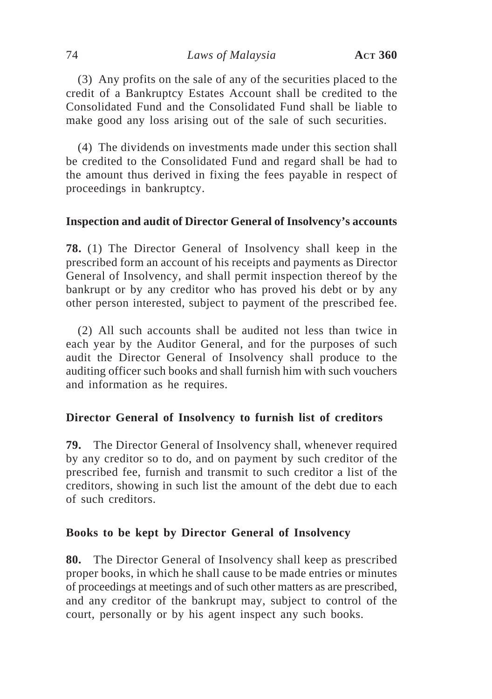## 74 *Laws of Malaysia* **ACT 360**

(3) Any profits on the sale of any of the securities placed to the credit of a Bankruptcy Estates Account shall be credited to the Consolidated Fund and the Consolidated Fund shall be liable to make good any loss arising out of the sale of such securities.

(4) The dividends on investments made under this section shall be credited to the Consolidated Fund and regard shall be had to the amount thus derived in fixing the fees payable in respect of proceedings in bankruptcy.

## **Inspection and audit of Director General of Insolvency's accounts**

**78.** (1) The Director General of Insolvency shall keep in the prescribed form an account of his receipts and payments as Director General of Insolvency, and shall permit inspection thereof by the bankrupt or by any creditor who has proved his debt or by any other person interested, subject to payment of the prescribed fee.

(2) All such accounts shall be audited not less than twice in each year by the Auditor General, and for the purposes of such audit the Director General of Insolvency shall produce to the auditing officer such books and shall furnish him with such vouchers and information as he requires.

## **Director General of Insolvency to furnish list of creditors**

**79.** The Director General of Insolvency shall, whenever required by any creditor so to do, and on payment by such creditor of the prescribed fee, furnish and transmit to such creditor a list of the creditors, showing in such list the amount of the debt due to each of such creditors.

#### **Books to be kept by Director General of Insolvency**

**80.** The Director General of Insolvency shall keep as prescribed proper books, in which he shall cause to be made entries or minutes of proceedings at meetings and of such other matters as are prescribed, and any creditor of the bankrupt may, subject to control of the court, personally or by his agent inspect any such books.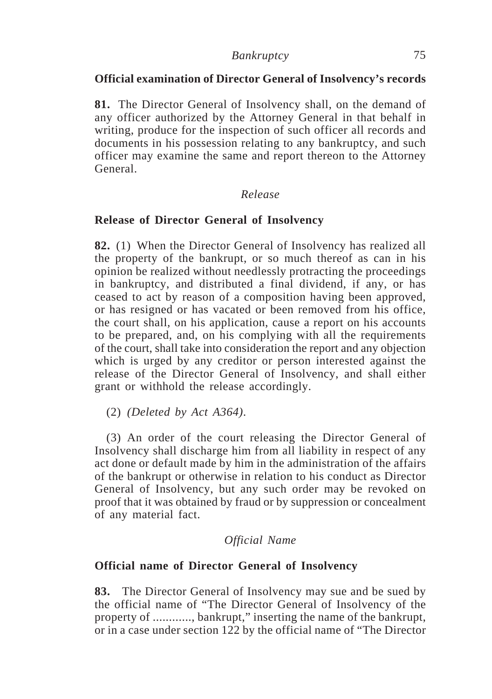# **Official examination of Director General of Insolvency's records**

**81.** The Director General of Insolvency shall, on the demand of any officer authorized by the Attorney General in that behalf in writing, produce for the inspection of such officer all records and documents in his possession relating to any bankruptcy, and such officer may examine the same and report thereon to the Attorney General.

# *Release*

# **Release of Director General of Insolvency**

**82.** (1) When the Director General of Insolvency has realized all the property of the bankrupt, or so much thereof as can in his opinion be realized without needlessly protracting the proceedings in bankruptcy, and distributed a final dividend, if any, or has ceased to act by reason of a composition having been approved, or has resigned or has vacated or been removed from his office, the court shall, on his application, cause a report on his accounts to be prepared, and, on his complying with all the requirements of the court, shall take into consideration the report and any objection which is urged by any creditor or person interested against the release of the Director General of Insolvency, and shall either grant or withhold the release accordingly.

(2) *(Deleted by Act A364)*.

(3) An order of the court releasing the Director General of Insolvency shall discharge him from all liability in respect of any act done or default made by him in the administration of the affairs of the bankrupt or otherwise in relation to his conduct as Director General of Insolvency, but any such order may be revoked on proof that it was obtained by fraud or by suppression or concealment of any material fact.

# *Official Name*

# **Official name of Director General of Insolvency**

**83.** The Director General of Insolvency may sue and be sued by the official name of "The Director General of Insolvency of the property of ............, bankrupt," inserting the name of the bankrupt, or in a case under section 122 by the official name of "The Director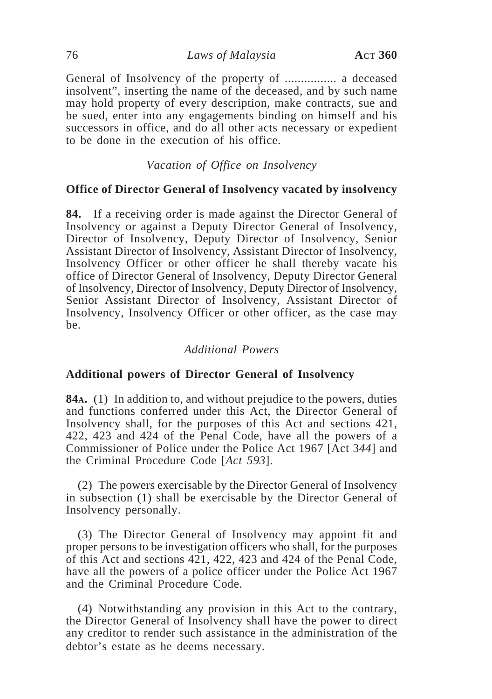General of Insolvency of the property of ................ a deceased insolvent", inserting the name of the deceased, and by such name may hold property of every description, make contracts, sue and be sued, enter into any engagements binding on himself and his successors in office, and do all other acts necessary or expedient to be done in the execution of his office.

### *Vacation of Office on Insolvency*

#### **Office of Director General of Insolvency vacated by insolvency**

**84.** If a receiving order is made against the Director General of Insolvency or against a Deputy Director General of Insolvency, Director of Insolvency, Deputy Director of Insolvency, Senior Assistant Director of Insolvency, Assistant Director of Insolvency, Insolvency Officer or other officer he shall thereby vacate his office of Director General of Insolvency, Deputy Director General of Insolvency, Director of Insolvency, Deputy Director of Insolvency, Senior Assistant Director of Insolvency, Assistant Director of Insolvency, Insolvency Officer or other officer, as the case may be.

### *Additional Powers*

#### **Additional powers of Director General of Insolvency**

**84A.** (1) In addition to, and without prejudice to the powers, duties and functions conferred under this Act, the Director General of Insolvency shall, for the purposes of this Act and sections 421, 422, 423 and 424 of the Penal Code, have all the powers of a Commissioner of Police under the Police Act 1967 [Act 3*44*] and the Criminal Procedure Code [*Act 593*].

(2) The powers exercisable by the Director General of Insolvency in subsection (1) shall be exercisable by the Director General of Insolvency personally.

(3) The Director General of Insolvency may appoint fit and proper persons to be investigation officers who shall, for the purposes of this Act and sections 421, 422, 423 and 424 of the Penal Code, have all the powers of a police officer under the Police Act 1967 and the Criminal Procedure Code.

(4) Notwithstanding any provision in this Act to the contrary, the Director General of Insolvency shall have the power to direct any creditor to render such assistance in the administration of the debtor's estate as he deems necessary.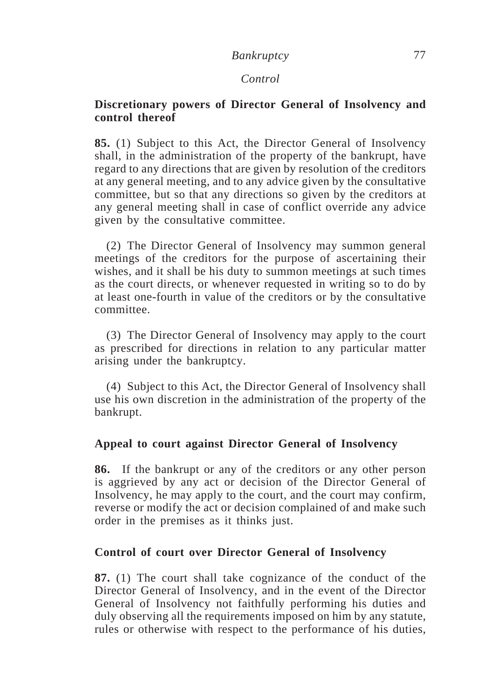### *Control*

## **Discretionary powers of Director General of Insolvency and control thereof**

**85.** (1) Subject to this Act, the Director General of Insolvency shall, in the administration of the property of the bankrupt, have regard to any directions that are given by resolution of the creditors at any general meeting, and to any advice given by the consultative committee, but so that any directions so given by the creditors at any general meeting shall in case of conflict override any advice given by the consultative committee.

(2) The Director General of Insolvency may summon general meetings of the creditors for the purpose of ascertaining their wishes, and it shall be his duty to summon meetings at such times as the court directs, or whenever requested in writing so to do by at least one-fourth in value of the creditors or by the consultative committee.

(3) The Director General of Insolvency may apply to the court as prescribed for directions in relation to any particular matter arising under the bankruptcy.

(4) Subject to this Act, the Director General of Insolvency shall use his own discretion in the administration of the property of the bankrupt.

## **Appeal to court against Director General of Insolvency**

**86.** If the bankrupt or any of the creditors or any other person is aggrieved by any act or decision of the Director General of Insolvency, he may apply to the court, and the court may confirm, reverse or modify the act or decision complained of and make such order in the premises as it thinks just.

## **Control of court over Director General of Insolvency**

**87.** (1) The court shall take cognizance of the conduct of the Director General of Insolvency, and in the event of the Director General of Insolvency not faithfully performing his duties and duly observing all the requirements imposed on him by any statute, rules or otherwise with respect to the performance of his duties,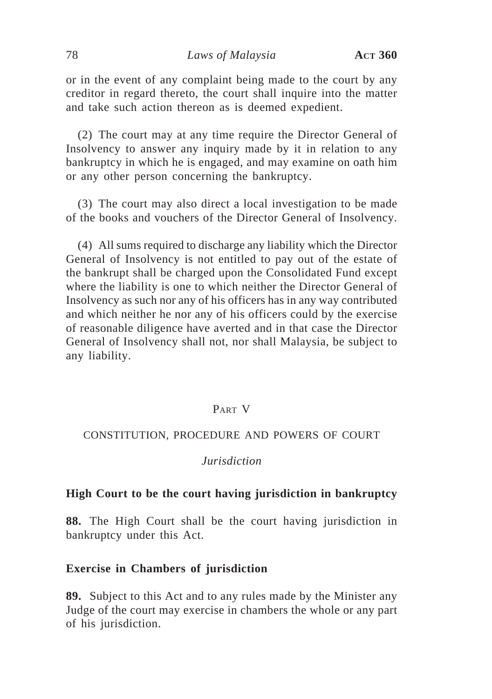### 78 *Laws of Malaysia* **ACT 360**

or in the event of any complaint being made to the court by any creditor in regard thereto, the court shall inquire into the matter and take such action thereon as is deemed expedient.

(2) The court may at any time require the Director General of Insolvency to answer any inquiry made by it in relation to any bankruptcy in which he is engaged, and may examine on oath him or any other person concerning the bankruptcy.

(3) The court may also direct a local investigation to be made of the books and vouchers of the Director General of Insolvency.

(4) All sums required to discharge any liability which the Director General of Insolvency is not entitled to pay out of the estate of the bankrupt shall be charged upon the Consolidated Fund except where the liability is one to which neither the Director General of Insolvency as such nor any of his officers has in any way contributed and which neither he nor any of his officers could by the exercise of reasonable diligence have averted and in that case the Director General of Insolvency shall not, nor shall Malaysia, be subject to any liability.

## PART V

#### CONSTITUTION, PROCEDURE AND POWERS OF COURT

#### *Jurisdiction*

#### **High Court to be the court having jurisdiction in bankruptcy**

**88.** The High Court shall be the court having jurisdiction in bankruptcy under this Act.

### **Exercise in Chambers of jurisdiction**

**89.** Subject to this Act and to any rules made by the Minister any Judge of the court may exercise in chambers the whole or any part of his jurisdiction.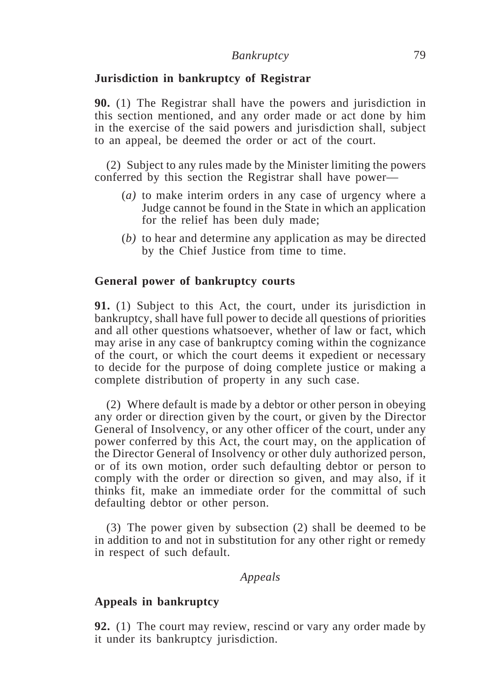## **Jurisdiction in bankruptcy of Registrar**

**90.** (1) The Registrar shall have the powers and jurisdiction in this section mentioned, and any order made or act done by him in the exercise of the said powers and jurisdiction shall, subject to an appeal, be deemed the order or act of the court.

(2) Subject to any rules made by the Minister limiting the powers conferred by this section the Registrar shall have power—

- (*a)* to make interim orders in any case of urgency where a Judge cannot be found in the State in which an application for the relief has been duly made;
- (*b)* to hear and determine any application as may be directed by the Chief Justice from time to time.

#### **General power of bankruptcy courts**

**91.** (1) Subject to this Act, the court, under its jurisdiction in bankruptcy, shall have full power to decide all questions of priorities and all other questions whatsoever, whether of law or fact, which may arise in any case of bankruptcy coming within the cognizance of the court, or which the court deems it expedient or necessary to decide for the purpose of doing complete justice or making a complete distribution of property in any such case.

(2) Where default is made by a debtor or other person in obeying any order or direction given by the court, or given by the Director General of Insolvency, or any other officer of the court, under any power conferred by this Act, the court may, on the application of the Director General of Insolvency or other duly authorized person, or of its own motion, order such defaulting debtor or person to comply with the order or direction so given, and may also, if it thinks fit, make an immediate order for the committal of such defaulting debtor or other person.

(3) The power given by subsection (2) shall be deemed to be in addition to and not in substitution for any other right or remedy in respect of such default.

*Appeals*

#### **Appeals in bankruptcy**

**92.** (1) The court may review, rescind or vary any order made by it under its bankruptcy jurisdiction.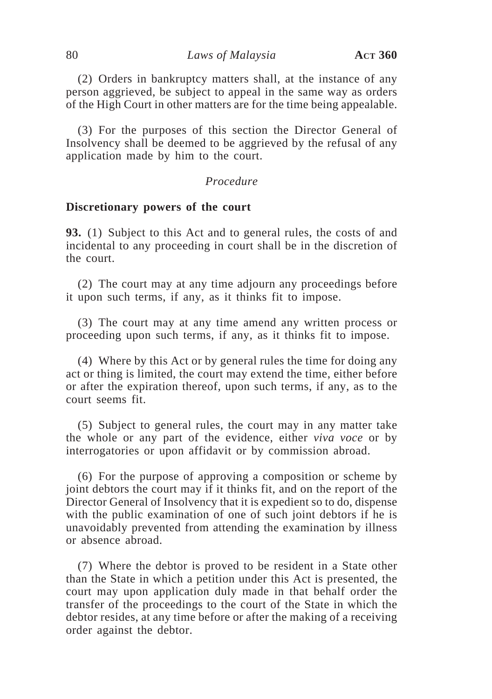(2) Orders in bankruptcy matters shall, at the instance of any person aggrieved, be subject to appeal in the same way as orders of the High Court in other matters are for the time being appealable.

(3) For the purposes of this section the Director General of Insolvency shall be deemed to be aggrieved by the refusal of any application made by him to the court.

### *Procedure*

### **Discretionary powers of the court**

**93.** (1) Subject to this Act and to general rules, the costs of and incidental to any proceeding in court shall be in the discretion of the court.

(2) The court may at any time adjourn any proceedings before it upon such terms, if any, as it thinks fit to impose.

(3) The court may at any time amend any written process or proceeding upon such terms, if any, as it thinks fit to impose.

(4) Where by this Act or by general rules the time for doing any act or thing is limited, the court may extend the time, either before or after the expiration thereof, upon such terms, if any, as to the court seems fit.

(5) Subject to general rules, the court may in any matter take the whole or any part of the evidence, either *viva voce* or by interrogatories or upon affidavit or by commission abroad.

(6) For the purpose of approving a composition or scheme by joint debtors the court may if it thinks fit, and on the report of the Director General of Insolvency that it is expedient so to do, dispense with the public examination of one of such joint debtors if he is unavoidably prevented from attending the examination by illness or absence abroad.

(7) Where the debtor is proved to be resident in a State other than the State in which a petition under this Act is presented, the court may upon application duly made in that behalf order the transfer of the proceedings to the court of the State in which the debtor resides, at any time before or after the making of a receiving order against the debtor.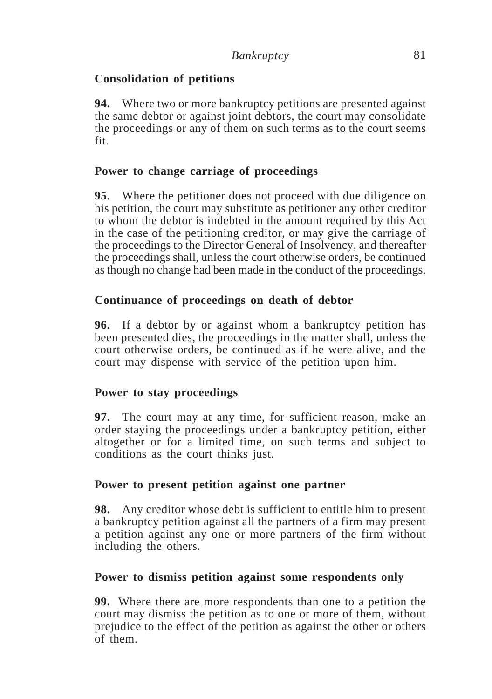# **Consolidation of petitions**

**94.** Where two or more bankruptcy petitions are presented against the same debtor or against joint debtors, the court may consolidate the proceedings or any of them on such terms as to the court seems fit.

# **Power to change carriage of proceedings**

**95.** Where the petitioner does not proceed with due diligence on his petition, the court may substitute as petitioner any other creditor to whom the debtor is indebted in the amount required by this Act in the case of the petitioning creditor, or may give the carriage of the proceedings to the Director General of Insolvency, and thereafter the proceedings shall, unless the court otherwise orders, be continued as though no change had been made in the conduct of the proceedings.

# **Continuance of proceedings on death of debtor**

**96.** If a debtor by or against whom a bankruptcy petition has been presented dies, the proceedings in the matter shall, unless the court otherwise orders, be continued as if he were alive, and the court may dispense with service of the petition upon him.

# **Power to stay proceedings**

**97.** The court may at any time, for sufficient reason, make an order staying the proceedings under a bankruptcy petition, either altogether or for a limited time, on such terms and subject to conditions as the court thinks just.

# **Power to present petition against one partner**

**98.** Any creditor whose debt is sufficient to entitle him to present a bankruptcy petition against all the partners of a firm may present a petition against any one or more partners of the firm without including the others.

# **Power to dismiss petition against some respondents only**

**99.** Where there are more respondents than one to a petition the court may dismiss the petition as to one or more of them, without prejudice to the effect of the petition as against the other or others of them.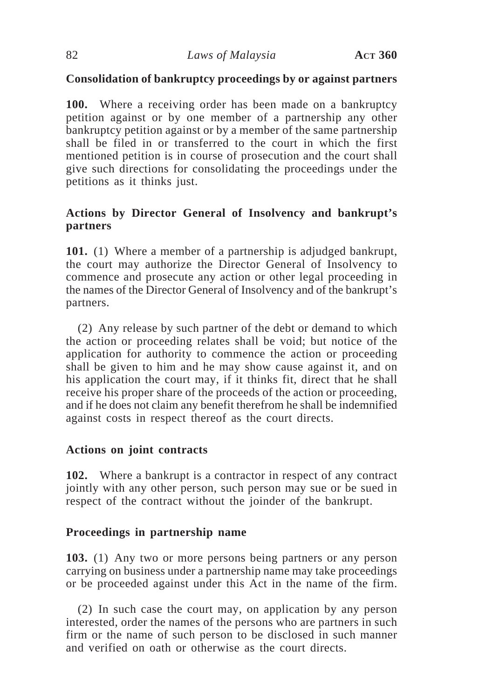## **Consolidation of bankruptcy proceedings by or against partners**

**100.** Where a receiving order has been made on a bankruptcy petition against or by one member of a partnership any other bankruptcy petition against or by a member of the same partnership shall be filed in or transferred to the court in which the first mentioned petition is in course of prosecution and the court shall give such directions for consolidating the proceedings under the petitions as it thinks just.

# **Actions by Director General of Insolvency and bankrupt's partners**

**101.** (1) Where a member of a partnership is adjudged bankrupt, the court may authorize the Director General of Insolvency to commence and prosecute any action or other legal proceeding in the names of the Director General of Insolvency and of the bankrupt's partners.

(2) Any release by such partner of the debt or demand to which the action or proceeding relates shall be void; but notice of the application for authority to commence the action or proceeding shall be given to him and he may show cause against it, and on his application the court may, if it thinks fit, direct that he shall receive his proper share of the proceeds of the action or proceeding, and if he does not claim any benefit therefrom he shall be indemnified against costs in respect thereof as the court directs.

## **Actions on joint contracts**

**102.** Where a bankrupt is a contractor in respect of any contract jointly with any other person, such person may sue or be sued in respect of the contract without the joinder of the bankrupt.

## **Proceedings in partnership name**

**103.** (1) Any two or more persons being partners or any person carrying on business under a partnership name may take proceedings or be proceeded against under this Act in the name of the firm.

(2) In such case the court may, on application by any person interested, order the names of the persons who are partners in such firm or the name of such person to be disclosed in such manner and verified on oath or otherwise as the court directs.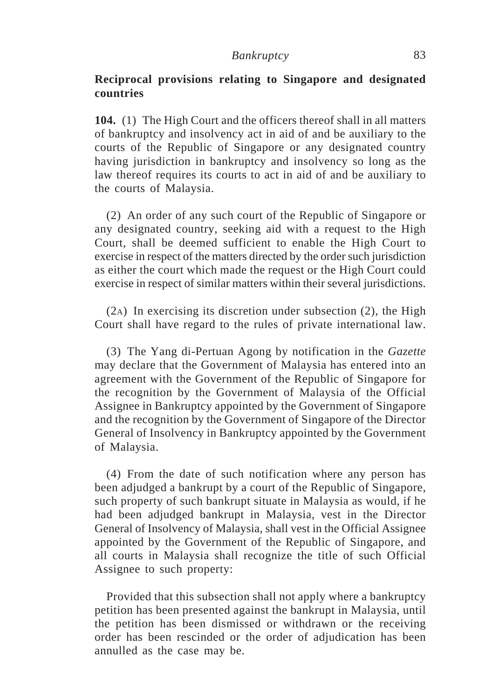## **Reciprocal provisions relating to Singapore and designated countries**

**104.** (1) The High Court and the officers thereof shall in all matters of bankruptcy and insolvency act in aid of and be auxiliary to the courts of the Republic of Singapore or any designated country having jurisdiction in bankruptcy and insolvency so long as the law thereof requires its courts to act in aid of and be auxiliary to the courts of Malaysia.

(2) An order of any such court of the Republic of Singapore or any designated country, seeking aid with a request to the High Court, shall be deemed sufficient to enable the High Court to exercise in respect of the matters directed by the order such jurisdiction as either the court which made the request or the High Court could exercise in respect of similar matters within their several jurisdictions.

(2A) In exercising its discretion under subsection (2), the High Court shall have regard to the rules of private international law.

(3) The Yang di-Pertuan Agong by notification in the *Gazette* may declare that the Government of Malaysia has entered into an agreement with the Government of the Republic of Singapore for the recognition by the Government of Malaysia of the Official Assignee in Bankruptcy appointed by the Government of Singapore and the recognition by the Government of Singapore of the Director General of Insolvency in Bankruptcy appointed by the Government of Malaysia.

(4) From the date of such notification where any person has been adjudged a bankrupt by a court of the Republic of Singapore, such property of such bankrupt situate in Malaysia as would, if he had been adjudged bankrupt in Malaysia, vest in the Director General of Insolvency of Malaysia, shall vest in the Official Assignee appointed by the Government of the Republic of Singapore, and all courts in Malaysia shall recognize the title of such Official Assignee to such property:

Provided that this subsection shall not apply where a bankruptcy petition has been presented against the bankrupt in Malaysia, until the petition has been dismissed or withdrawn or the receiving order has been rescinded or the order of adjudication has been annulled as the case may be.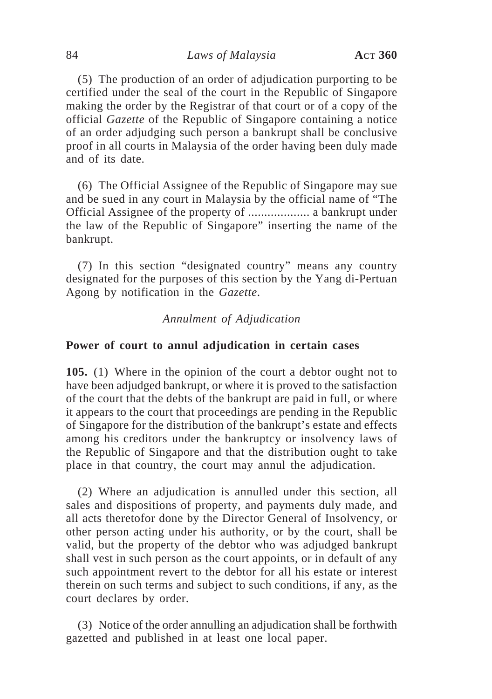(5) The production of an order of adjudication purporting to be certified under the seal of the court in the Republic of Singapore making the order by the Registrar of that court or of a copy of the official *Gazette* of the Republic of Singapore containing a notice of an order adjudging such person a bankrupt shall be conclusive proof in all courts in Malaysia of the order having been duly made and of its date.

(6) The Official Assignee of the Republic of Singapore may sue and be sued in any court in Malaysia by the official name of "The Official Assignee of the property of ................... a bankrupt under the law of the Republic of Singapore" inserting the name of the bankrupt.

(7) In this section "designated country" means any country designated for the purposes of this section by the Yang di-Pertuan Agong by notification in the *Gazette*.

### *Annulment of Adjudication*

### **Power of court to annul adjudication in certain cases**

**105.** (1) Where in the opinion of the court a debtor ought not to have been adjudged bankrupt, or where it is proved to the satisfaction of the court that the debts of the bankrupt are paid in full, or where it appears to the court that proceedings are pending in the Republic of Singapore for the distribution of the bankrupt's estate and effects among his creditors under the bankruptcy or insolvency laws of the Republic of Singapore and that the distribution ought to take place in that country, the court may annul the adjudication.

(2) Where an adjudication is annulled under this section, all sales and dispositions of property, and payments duly made, and all acts theretofor done by the Director General of Insolvency, or other person acting under his authority, or by the court, shall be valid, but the property of the debtor who was adjudged bankrupt shall vest in such person as the court appoints, or in default of any such appointment revert to the debtor for all his estate or interest therein on such terms and subject to such conditions, if any, as the court declares by order.

(3) Notice of the order annulling an adjudication shall be forthwith gazetted and published in at least one local paper.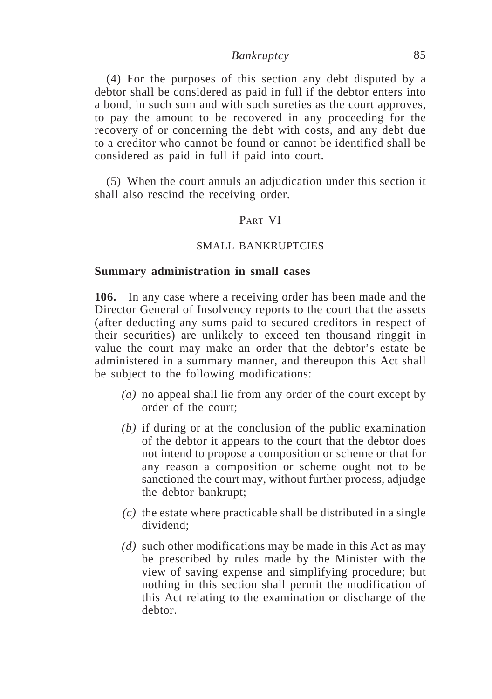(4) For the purposes of this section any debt disputed by a debtor shall be considered as paid in full if the debtor enters into a bond, in such sum and with such sureties as the court approves, to pay the amount to be recovered in any proceeding for the recovery of or concerning the debt with costs, and any debt due to a creditor who cannot be found or cannot be identified shall be considered as paid in full if paid into court.

(5) When the court annuls an adjudication under this section it shall also rescind the receiving order.

### PART VI

#### SMALL BANKRUPTCIES

#### **Summary administration in small cases**

**106.** In any case where a receiving order has been made and the Director General of Insolvency reports to the court that the assets (after deducting any sums paid to secured creditors in respect of their securities) are unlikely to exceed ten thousand ringgit in value the court may make an order that the debtor's estate be administered in a summary manner, and thereupon this Act shall be subject to the following modifications:

- *(a)* no appeal shall lie from any order of the court except by order of the court;
- *(b)* if during or at the conclusion of the public examination of the debtor it appears to the court that the debtor does not intend to propose a composition or scheme or that for any reason a composition or scheme ought not to be sanctioned the court may, without further process, adjudge the debtor bankrupt;
- *(c)* the estate where practicable shall be distributed in a single dividend;
- *(d)* such other modifications may be made in this Act as may be prescribed by rules made by the Minister with the view of saving expense and simplifying procedure; but nothing in this section shall permit the modification of this Act relating to the examination or discharge of the debtor.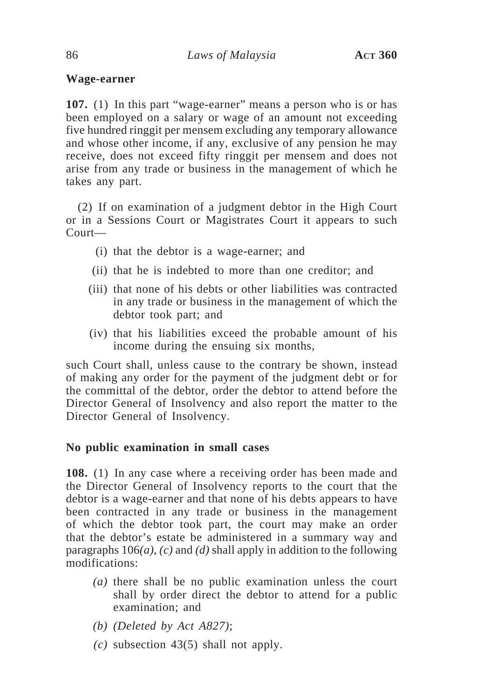## **Wage-earner**

**107.** (1) In this part "wage-earner" means a person who is or has been employed on a salary or wage of an amount not exceeding five hundred ringgit per mensem excluding any temporary allowance and whose other income, if any, exclusive of any pension he may receive, does not exceed fifty ringgit per mensem and does not arise from any trade or business in the management of which he takes any part.

(2) If on examination of a judgment debtor in the High Court or in a Sessions Court or Magistrates Court it appears to such Court—

- (i) that the debtor is a wage-earner; and
- (ii) that he is indebted to more than one creditor; and
- (iii) that none of his debts or other liabilities was contracted in any trade or business in the management of which the debtor took part; and
- (iv) that his liabilities exceed the probable amount of his income during the ensuing six months,

such Court shall, unless cause to the contrary be shown, instead of making any order for the payment of the judgment debt or for the committal of the debtor, order the debtor to attend before the Director General of Insolvency and also report the matter to the Director General of Insolvency.

## **No public examination in small cases**

**108.** (1) In any case where a receiving order has been made and the Director General of Insolvency reports to the court that the debtor is a wage-earner and that none of his debts appears to have been contracted in any trade or business in the management of which the debtor took part, the court may make an order that the debtor's estate be administered in a summary way and paragraphs 106*(a)*, *(c)* and *(d)* shall apply in addition to the following modifications:

- *(a)* there shall be no public examination unless the court shall by order direct the debtor to attend for a public examination; and
- *(b) (Deleted by Act A827)*;
- *(c)* subsection 43(5) shall not apply.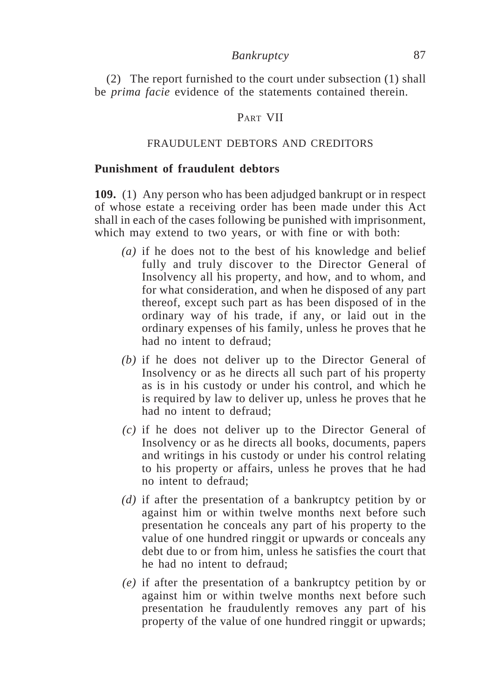(2) The report furnished to the court under subsection (1) shall be *prima facie* evidence of the statements contained therein.

### PART VII

### FRAUDULENT DEBTORS AND CREDITORS

#### **Punishment of fraudulent debtors**

**109.** (1) Any person who has been adjudged bankrupt or in respect of whose estate a receiving order has been made under this Act shall in each of the cases following be punished with imprisonment, which may extend to two years, or with fine or with both:

- *(a)* if he does not to the best of his knowledge and belief fully and truly discover to the Director General of Insolvency all his property, and how, and to whom, and for what consideration, and when he disposed of any part thereof, except such part as has been disposed of in the ordinary way of his trade, if any, or laid out in the ordinary expenses of his family, unless he proves that he had no intent to defraud;
- *(b)* if he does not deliver up to the Director General of Insolvency or as he directs all such part of his property as is in his custody or under his control, and which he is required by law to deliver up, unless he proves that he had no intent to defraud;
- *(c)* if he does not deliver up to the Director General of Insolvency or as he directs all books, documents, papers and writings in his custody or under his control relating to his property or affairs, unless he proves that he had no intent to defraud;
- *(d)* if after the presentation of a bankruptcy petition by or against him or within twelve months next before such presentation he conceals any part of his property to the value of one hundred ringgit or upwards or conceals any debt due to or from him, unless he satisfies the court that he had no intent to defraud;
- *(e)* if after the presentation of a bankruptcy petition by or against him or within twelve months next before such presentation he fraudulently removes any part of his property of the value of one hundred ringgit or upwards;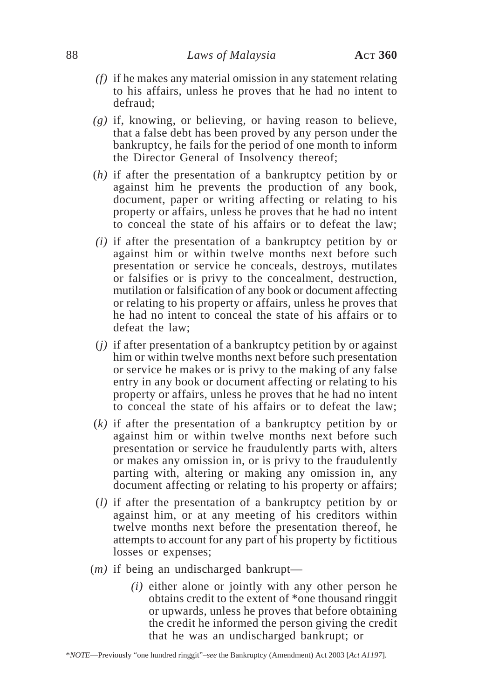- *(f)* if he makes any material omission in any statement relating to his affairs, unless he proves that he had no intent to defraud;
- *(g)* if, knowing, or believing, or having reason to believe, that a false debt has been proved by any person under the bankruptcy, he fails for the period of one month to inform the Director General of Insolvency thereof;
- (*h)* if after the presentation of a bankruptcy petition by or against him he prevents the production of any book, document, paper or writing affecting or relating to his property or affairs, unless he proves that he had no intent to conceal the state of his affairs or to defeat the law;
- *(i)* if after the presentation of a bankruptcy petition by or against him or within twelve months next before such presentation or service he conceals, destroys, mutilates or falsifies or is privy to the concealment, destruction, mutilation or falsification of any book or document affecting or relating to his property or affairs, unless he proves that he had no intent to conceal the state of his affairs or to defeat the law;
- (*j)* if after presentation of a bankruptcy petition by or against him or within twelve months next before such presentation or service he makes or is privy to the making of any false entry in any book or document affecting or relating to his property or affairs, unless he proves that he had no intent to conceal the state of his affairs or to defeat the law;
- (*k)* if after the presentation of a bankruptcy petition by or against him or within twelve months next before such presentation or service he fraudulently parts with, alters or makes any omission in, or is privy to the fraudulently parting with, altering or making any omission in, any document affecting or relating to his property or affairs;
- (*l)* if after the presentation of a bankruptcy petition by or against him, or at any meeting of his creditors within twelve months next before the presentation thereof, he attempts to account for any part of his property by fictitious losses or expenses;
- (*m)* if being an undischarged bankrupt—
	- *(i)* either alone or jointly with any other person he obtains credit to the extent of \*one thousand ringgit or upwards, unless he proves that before obtaining the credit he informed the person giving the credit that he was an undischarged bankrupt; or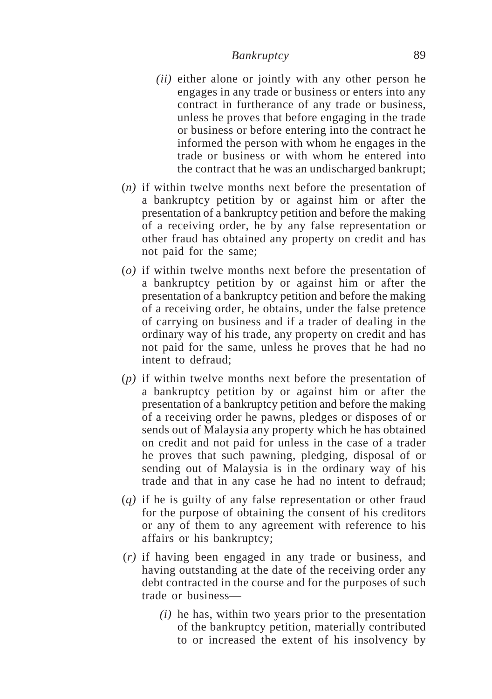- *(ii)* either alone or jointly with any other person he engages in any trade or business or enters into any contract in furtherance of any trade or business, unless he proves that before engaging in the trade or business or before entering into the contract he informed the person with whom he engages in the trade or business or with whom he entered into the contract that he was an undischarged bankrupt;
- (*n)* if within twelve months next before the presentation of a bankruptcy petition by or against him or after the presentation of a bankruptcy petition and before the making of a receiving order, he by any false representation or other fraud has obtained any property on credit and has not paid for the same;
- (*o)* if within twelve months next before the presentation of a bankruptcy petition by or against him or after the presentation of a bankruptcy petition and before the making of a receiving order, he obtains, under the false pretence of carrying on business and if a trader of dealing in the ordinary way of his trade, any property on credit and has not paid for the same, unless he proves that he had no intent to defraud;
- (*p)* if within twelve months next before the presentation of a bankruptcy petition by or against him or after the presentation of a bankruptcy petition and before the making of a receiving order he pawns, pledges or disposes of or sends out of Malaysia any property which he has obtained on credit and not paid for unless in the case of a trader he proves that such pawning, pledging, disposal of or sending out of Malaysia is in the ordinary way of his trade and that in any case he had no intent to defraud;
- (*q)* if he is guilty of any false representation or other fraud for the purpose of obtaining the consent of his creditors or any of them to any agreement with reference to his affairs or his bankruptcy;
- (*r)* if having been engaged in any trade or business, and having outstanding at the date of the receiving order any debt contracted in the course and for the purposes of such trade or business—
	- *(i)* he has, within two years prior to the presentation of the bankruptcy petition, materially contributed to or increased the extent of his insolvency by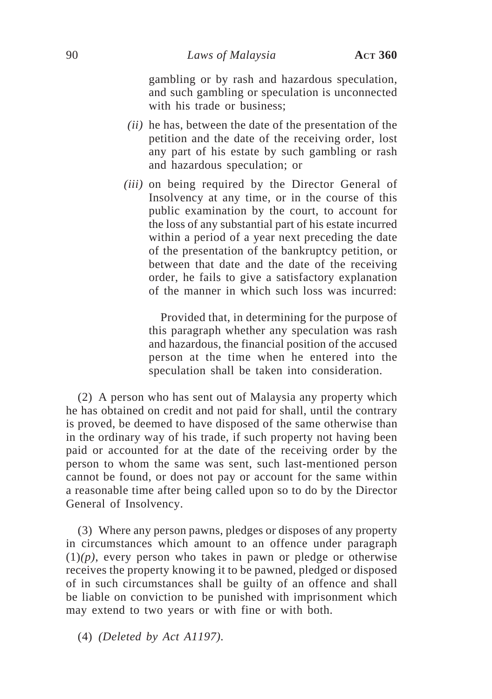#### 90 *Laws of Malaysia* **ACT 360**

gambling or by rash and hazardous speculation, and such gambling or speculation is unconnected with his trade or business:

- *(ii)* he has, between the date of the presentation of the petition and the date of the receiving order, lost any part of his estate by such gambling or rash and hazardous speculation; or
- *(iii)* on being required by the Director General of Insolvency at any time, or in the course of this public examination by the court, to account for the loss of any substantial part of his estate incurred within a period of a year next preceding the date of the presentation of the bankruptcy petition, or between that date and the date of the receiving order, he fails to give a satisfactory explanation of the manner in which such loss was incurred:

Provided that, in determining for the purpose of this paragraph whether any speculation was rash and hazardous, the financial position of the accused person at the time when he entered into the speculation shall be taken into consideration.

(2) A person who has sent out of Malaysia any property which he has obtained on credit and not paid for shall, until the contrary is proved, be deemed to have disposed of the same otherwise than in the ordinary way of his trade, if such property not having been paid or accounted for at the date of the receiving order by the person to whom the same was sent, such last-mentioned person cannot be found, or does not pay or account for the same within a reasonable time after being called upon so to do by the Director General of Insolvency.

(3) Where any person pawns, pledges or disposes of any property in circumstances which amount to an offence under paragraph  $(1)(p)$ , every person who takes in pawn or pledge or otherwise receives the property knowing it to be pawned, pledged or disposed of in such circumstances shall be guilty of an offence and shall be liable on conviction to be punished with imprisonment which may extend to two years or with fine or with both.

(4) *(Deleted by Act A1197).*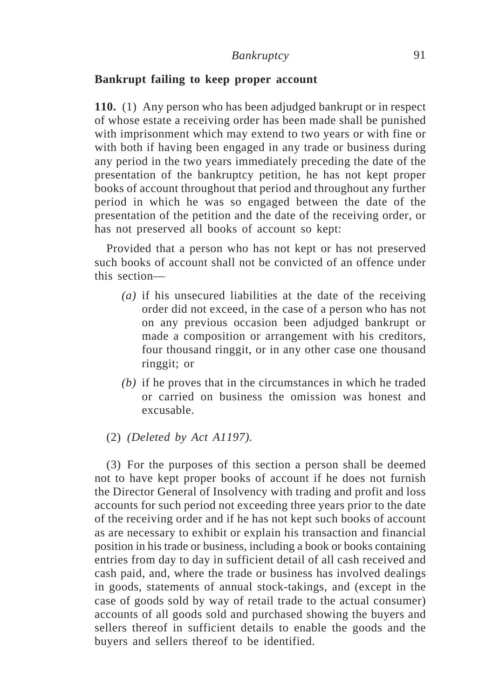## **Bankrupt failing to keep proper account**

**110.** (1) Any person who has been adjudged bankrupt or in respect of whose estate a receiving order has been made shall be punished with imprisonment which may extend to two years or with fine or with both if having been engaged in any trade or business during any period in the two years immediately preceding the date of the presentation of the bankruptcy petition, he has not kept proper books of account throughout that period and throughout any further period in which he was so engaged between the date of the presentation of the petition and the date of the receiving order, or has not preserved all books of account so kept:

Provided that a person who has not kept or has not preserved such books of account shall not be convicted of an offence under this section—

- *(a)* if his unsecured liabilities at the date of the receiving order did not exceed, in the case of a person who has not on any previous occasion been adjudged bankrupt or made a composition or arrangement with his creditors, four thousand ringgit, or in any other case one thousand ringgit; or
- *(b)* if he proves that in the circumstances in which he traded or carried on business the omission was honest and excusable.
- (2) *(Deleted by Act A1197).*

(3) For the purposes of this section a person shall be deemed not to have kept proper books of account if he does not furnish the Director General of Insolvency with trading and profit and loss accounts for such period not exceeding three years prior to the date of the receiving order and if he has not kept such books of account as are necessary to exhibit or explain his transaction and financial position in his trade or business, including a book or books containing entries from day to day in sufficient detail of all cash received and cash paid, and, where the trade or business has involved dealings in goods, statements of annual stock-takings, and (except in the case of goods sold by way of retail trade to the actual consumer) accounts of all goods sold and purchased showing the buyers and sellers thereof in sufficient details to enable the goods and the buyers and sellers thereof to be identified.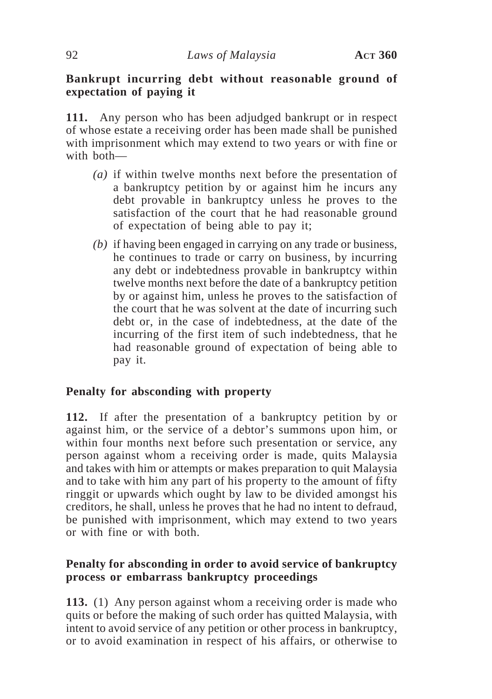## **Bankrupt incurring debt without reasonable ground of expectation of paying it**

**111.** Any person who has been adjudged bankrupt or in respect of whose estate a receiving order has been made shall be punished with imprisonment which may extend to two years or with fine or with both—

- *(a)* if within twelve months next before the presentation of a bankruptcy petition by or against him he incurs any debt provable in bankruptcy unless he proves to the satisfaction of the court that he had reasonable ground of expectation of being able to pay it;
- *(b)* if having been engaged in carrying on any trade or business, he continues to trade or carry on business, by incurring any debt or indebtedness provable in bankruptcy within twelve months next before the date of a bankruptcy petition by or against him, unless he proves to the satisfaction of the court that he was solvent at the date of incurring such debt or, in the case of indebtedness, at the date of the incurring of the first item of such indebtedness, that he had reasonable ground of expectation of being able to pay it.

## **Penalty for absconding with property**

**112.** If after the presentation of a bankruptcy petition by or against him, or the service of a debtor's summons upon him, or within four months next before such presentation or service, any person against whom a receiving order is made, quits Malaysia and takes with him or attempts or makes preparation to quit Malaysia and to take with him any part of his property to the amount of fifty ringgit or upwards which ought by law to be divided amongst his creditors, he shall, unless he proves that he had no intent to defraud, be punished with imprisonment, which may extend to two years or with fine or with both.

## **Penalty for absconding in order to avoid service of bankruptcy process or embarrass bankruptcy proceedings**

**113.** (1) Any person against whom a receiving order is made who quits or before the making of such order has quitted Malaysia, with intent to avoid service of any petition or other process in bankruptcy, or to avoid examination in respect of his affairs, or otherwise to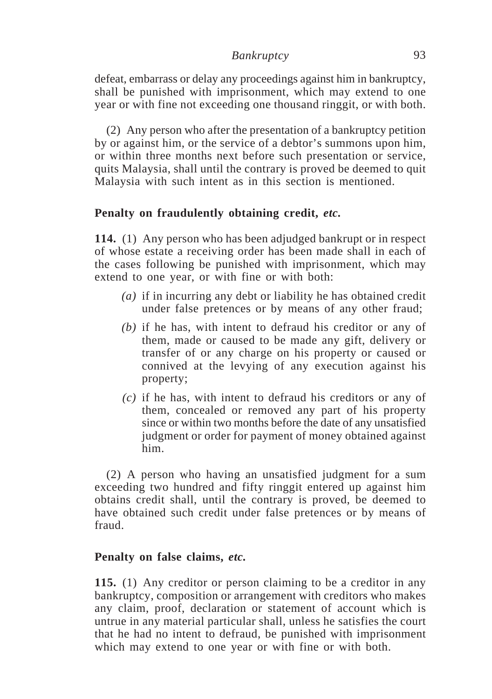defeat, embarrass or delay any proceedings against him in bankruptcy, shall be punished with imprisonment, which may extend to one year or with fine not exceeding one thousand ringgit, or with both.

(2) Any person who after the presentation of a bankruptcy petition by or against him, or the service of a debtor's summons upon him, or within three months next before such presentation or service, quits Malaysia, shall until the contrary is proved be deemed to quit Malaysia with such intent as in this section is mentioned.

## **Penalty on fraudulently obtaining credit,** *etc.*

**114.** (1) Any person who has been adjudged bankrupt or in respect of whose estate a receiving order has been made shall in each of the cases following be punished with imprisonment, which may extend to one year, or with fine or with both:

- *(a)* if in incurring any debt or liability he has obtained credit under false pretences or by means of any other fraud;
- *(b)* if he has, with intent to defraud his creditor or any of them, made or caused to be made any gift, delivery or transfer of or any charge on his property or caused or connived at the levying of any execution against his property;
- *(c)* if he has, with intent to defraud his creditors or any of them, concealed or removed any part of his property since or within two months before the date of any unsatisfied judgment or order for payment of money obtained against him.

(2) A person who having an unsatisfied judgment for a sum exceeding two hundred and fifty ringgit entered up against him obtains credit shall, until the contrary is proved, be deemed to have obtained such credit under false pretences or by means of fraud.

#### **Penalty on false claims,** *etc.*

**115.** (1) Any creditor or person claiming to be a creditor in any bankruptcy, composition or arrangement with creditors who makes any claim, proof, declaration or statement of account which is untrue in any material particular shall, unless he satisfies the court that he had no intent to defraud, be punished with imprisonment which may extend to one year or with fine or with both.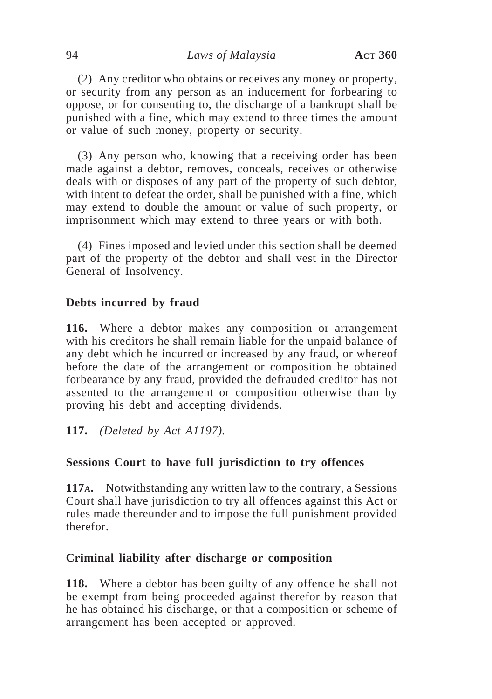(2) Any creditor who obtains or receives any money or property, or security from any person as an inducement for forbearing to oppose, or for consenting to, the discharge of a bankrupt shall be punished with a fine, which may extend to three times the amount or value of such money, property or security.

(3) Any person who, knowing that a receiving order has been made against a debtor, removes, conceals, receives or otherwise deals with or disposes of any part of the property of such debtor, with intent to defeat the order, shall be punished with a fine, which may extend to double the amount or value of such property, or imprisonment which may extend to three years or with both.

(4) Fines imposed and levied under this section shall be deemed part of the property of the debtor and shall vest in the Director General of Insolvency.

## **Debts incurred by fraud**

**116.** Where a debtor makes any composition or arrangement with his creditors he shall remain liable for the unpaid balance of any debt which he incurred or increased by any fraud, or whereof before the date of the arrangement or composition he obtained forbearance by any fraud, provided the defrauded creditor has not assented to the arrangement or composition otherwise than by proving his debt and accepting dividends.

**117.** *(Deleted by Act A1197).*

# **Sessions Court to have full jurisdiction to try offences**

**117A.** Notwithstanding any written law to the contrary, a Sessions Court shall have jurisdiction to try all offences against this Act or rules made thereunder and to impose the full punishment provided therefor.

# **Criminal liability after discharge or composition**

**118.** Where a debtor has been guilty of any offence he shall not be exempt from being proceeded against therefor by reason that he has obtained his discharge, or that a composition or scheme of arrangement has been accepted or approved.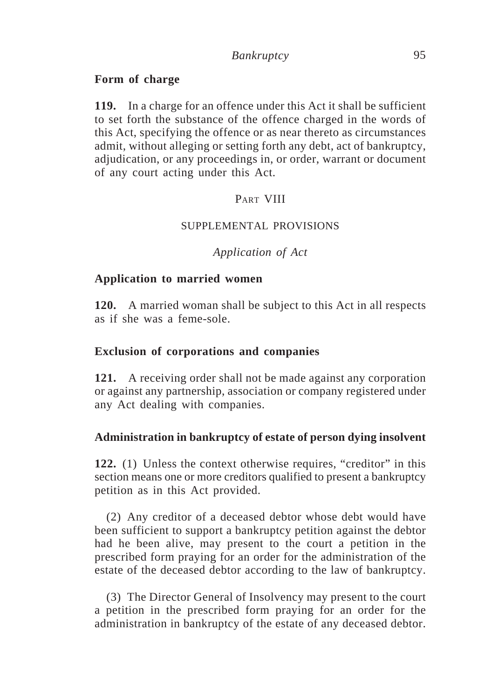## **Form of charge**

**119.** In a charge for an offence under this Act it shall be sufficient to set forth the substance of the offence charged in the words of this Act, specifying the offence or as near thereto as circumstances admit, without alleging or setting forth any debt, act of bankruptcy, adjudication, or any proceedings in, or order, warrant or document of any court acting under this Act.

## PART VIII

### SUPPLEMENTAL PROVISIONS

*Application of Act*

## **Application to married women**

**120.** A married woman shall be subject to this Act in all respects as if she was a feme-sole.

## **Exclusion of corporations and companies**

**121.** A receiving order shall not be made against any corporation or against any partnership, association or company registered under any Act dealing with companies.

## **Administration in bankruptcy of estate of person dying insolvent**

**122.** (1) Unless the context otherwise requires, "creditor" in this section means one or more creditors qualified to present a bankruptcy petition as in this Act provided.

(2) Any creditor of a deceased debtor whose debt would have been sufficient to support a bankruptcy petition against the debtor had he been alive, may present to the court a petition in the prescribed form praying for an order for the administration of the estate of the deceased debtor according to the law of bankruptcy.

(3) The Director General of Insolvency may present to the court a petition in the prescribed form praying for an order for the administration in bankruptcy of the estate of any deceased debtor.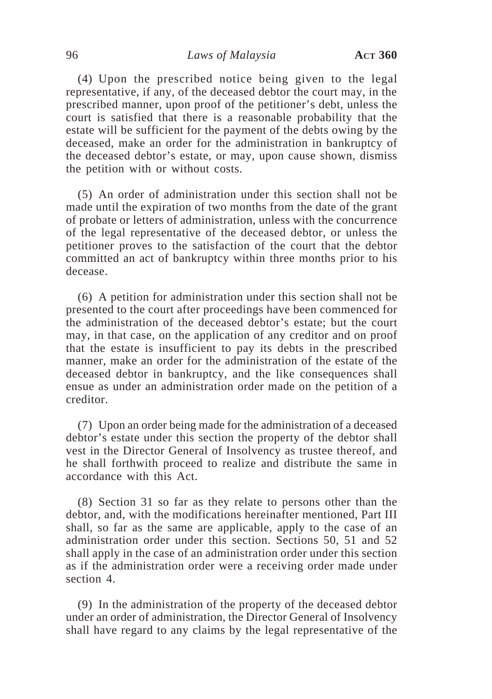(4) Upon the prescribed notice being given to the legal representative, if any, of the deceased debtor the court may, in the prescribed manner, upon proof of the petitioner's debt, unless the court is satisfied that there is a reasonable probability that the estate will be sufficient for the payment of the debts owing by the deceased, make an order for the administration in bankruptcy of the deceased debtor's estate, or may, upon cause shown, dismiss the petition with or without costs.

(5) An order of administration under this section shall not be made until the expiration of two months from the date of the grant of probate or letters of administration, unless with the concurrence of the legal representative of the deceased debtor, or unless the petitioner proves to the satisfaction of the court that the debtor committed an act of bankruptcy within three months prior to his decease.

(6) A petition for administration under this section shall not be presented to the court after proceedings have been commenced for the administration of the deceased debtor's estate; but the court may, in that case, on the application of any creditor and on proof that the estate is insufficient to pay its debts in the prescribed manner, make an order for the administration of the estate of the deceased debtor in bankruptcy, and the like consequences shall ensue as under an administration order made on the petition of a creditor.

(7) Upon an order being made for the administration of a deceased debtor's estate under this section the property of the debtor shall vest in the Director General of Insolvency as trustee thereof, and he shall forthwith proceed to realize and distribute the same in accordance with this Act.

(8) Section 31 so far as they relate to persons other than the debtor, and, with the modifications hereinafter mentioned, Part III shall, so far as the same are applicable, apply to the case of an administration order under this section. Sections 50, 51 and 52 shall apply in the case of an administration order under this section as if the administration order were a receiving order made under section 4.

(9) In the administration of the property of the deceased debtor under an order of administration, the Director General of Insolvency shall have regard to any claims by the legal representative of the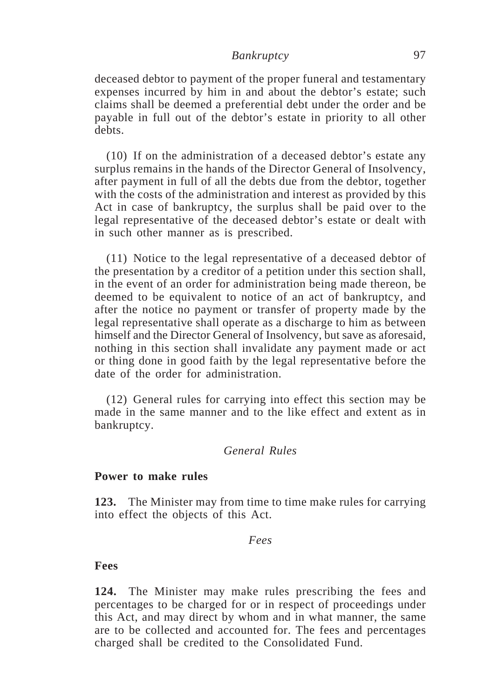deceased debtor to payment of the proper funeral and testamentary expenses incurred by him in and about the debtor's estate; such claims shall be deemed a preferential debt under the order and be payable in full out of the debtor's estate in priority to all other debts.

(10) If on the administration of a deceased debtor's estate any surplus remains in the hands of the Director General of Insolvency, after payment in full of all the debts due from the debtor, together with the costs of the administration and interest as provided by this Act in case of bankruptcy, the surplus shall be paid over to the legal representative of the deceased debtor's estate or dealt with in such other manner as is prescribed.

(11) Notice to the legal representative of a deceased debtor of the presentation by a creditor of a petition under this section shall, in the event of an order for administration being made thereon, be deemed to be equivalent to notice of an act of bankruptcy, and after the notice no payment or transfer of property made by the legal representative shall operate as a discharge to him as between himself and the Director General of Insolvency, but save as aforesaid, nothing in this section shall invalidate any payment made or act or thing done in good faith by the legal representative before the date of the order for administration.

(12) General rules for carrying into effect this section may be made in the same manner and to the like effect and extent as in bankruptcy.

### *General Rules*

### **Power to make rules**

**123.** The Minister may from time to time make rules for carrying into effect the objects of this Act.

*Fees*

### **Fees**

**124.** The Minister may make rules prescribing the fees and percentages to be charged for or in respect of proceedings under this Act, and may direct by whom and in what manner, the same are to be collected and accounted for. The fees and percentages charged shall be credited to the Consolidated Fund.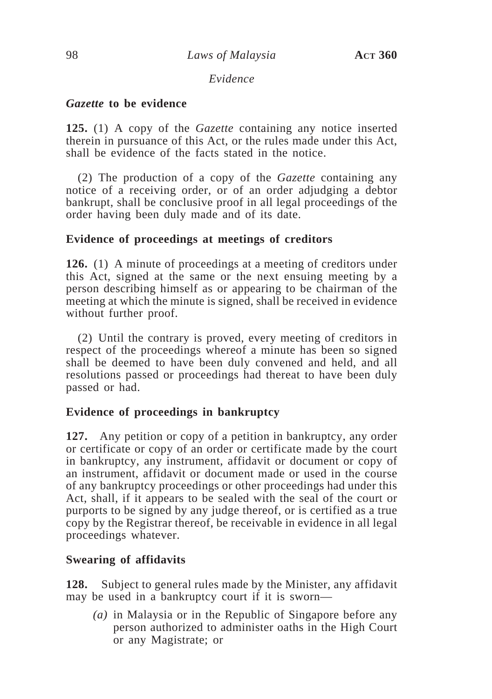## *Evidence*

# *Gazette* **to be evidence**

**125.** (1) A copy of the *Gazette* containing any notice inserted therein in pursuance of this Act, or the rules made under this Act, shall be evidence of the facts stated in the notice.

(2) The production of a copy of the *Gazette* containing any notice of a receiving order, or of an order adjudging a debtor bankrupt, shall be conclusive proof in all legal proceedings of the order having been duly made and of its date.

# **Evidence of proceedings at meetings of creditors**

**126.** (1) A minute of proceedings at a meeting of creditors under this Act, signed at the same or the next ensuing meeting by a person describing himself as or appearing to be chairman of the meeting at which the minute is signed, shall be received in evidence without further proof.

(2) Until the contrary is proved, every meeting of creditors in respect of the proceedings whereof a minute has been so signed shall be deemed to have been duly convened and held, and all resolutions passed or proceedings had thereat to have been duly passed or had.

# **Evidence of proceedings in bankruptcy**

**127.** Any petition or copy of a petition in bankruptcy, any order or certificate or copy of an order or certificate made by the court in bankruptcy, any instrument, affidavit or document or copy of an instrument, affidavit or document made or used in the course of any bankruptcy proceedings or other proceedings had under this Act, shall, if it appears to be sealed with the seal of the court or purports to be signed by any judge thereof, or is certified as a true copy by the Registrar thereof, be receivable in evidence in all legal proceedings whatever.

# **Swearing of affidavits**

**128.** Subject to general rules made by the Minister, any affidavit may be used in a bankruptcy court if it is sworn—

*(a)* in Malaysia or in the Republic of Singapore before any person authorized to administer oaths in the High Court or any Magistrate; or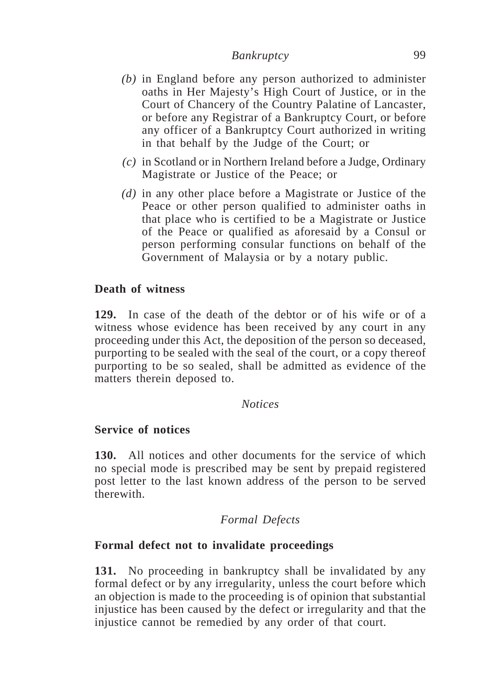- *(b)* in England before any person authorized to administer oaths in Her Majesty's High Court of Justice, or in the Court of Chancery of the Country Palatine of Lancaster, or before any Registrar of a Bankruptcy Court, or before any officer of a Bankruptcy Court authorized in writing in that behalf by the Judge of the Court; or
- *(c)* in Scotland or in Northern Ireland before a Judge, Ordinary Magistrate or Justice of the Peace; or
- *(d)* in any other place before a Magistrate or Justice of the Peace or other person qualified to administer oaths in that place who is certified to be a Magistrate or Justice of the Peace or qualified as aforesaid by a Consul or person performing consular functions on behalf of the Government of Malaysia or by a notary public.

# **Death of witness**

**129.** In case of the death of the debtor or of his wife or of a witness whose evidence has been received by any court in any proceeding under this Act, the deposition of the person so deceased, purporting to be sealed with the seal of the court, or a copy thereof purporting to be so sealed, shall be admitted as evidence of the matters therein deposed to.

## *Notices*

## **Service of notices**

**130.** All notices and other documents for the service of which no special mode is prescribed may be sent by prepaid registered post letter to the last known address of the person to be served therewith.

## *Formal Defects*

## **Formal defect not to invalidate proceedings**

**131.** No proceeding in bankruptcy shall be invalidated by any formal defect or by any irregularity, unless the court before which an objection is made to the proceeding is of opinion that substantial injustice has been caused by the defect or irregularity and that the injustice cannot be remedied by any order of that court.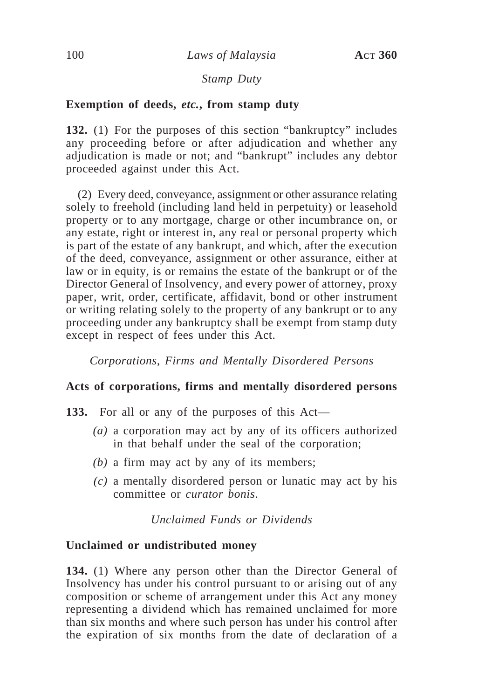## *Stamp Duty*

## **Exemption of deeds,** *etc.***, from stamp duty**

**132.** (1) For the purposes of this section "bankruptcy" includes any proceeding before or after adjudication and whether any adjudication is made or not; and "bankrupt" includes any debtor proceeded against under this Act.

(2) Every deed, conveyance, assignment or other assurance relating solely to freehold (including land held in perpetuity) or leasehold property or to any mortgage, charge or other incumbrance on, or any estate, right or interest in, any real or personal property which is part of the estate of any bankrupt, and which, after the execution of the deed, conveyance, assignment or other assurance, either at law or in equity, is or remains the estate of the bankrupt or of the Director General of Insolvency, and every power of attorney, proxy paper, writ, order, certificate, affidavit, bond or other instrument or writing relating solely to the property of any bankrupt or to any proceeding under any bankruptcy shall be exempt from stamp duty except in respect of fees under this Act.

*Corporations, Firms and Mentally Disordered Persons*

## **Acts of corporations, firms and mentally disordered persons**

- **133.** For all or any of the purposes of this Act—
	- *(a)* a corporation may act by any of its officers authorized in that behalf under the seal of the corporation;
	- *(b)* a firm may act by any of its members;
	- *(c)* a mentally disordered person or lunatic may act by his committee or *curator bonis*.

### *Unclaimed Funds or Dividends*

## **Unclaimed or undistributed money**

**134.** (1) Where any person other than the Director General of Insolvency has under his control pursuant to or arising out of any composition or scheme of arrangement under this Act any money representing a dividend which has remained unclaimed for more than six months and where such person has under his control after the expiration of six months from the date of declaration of a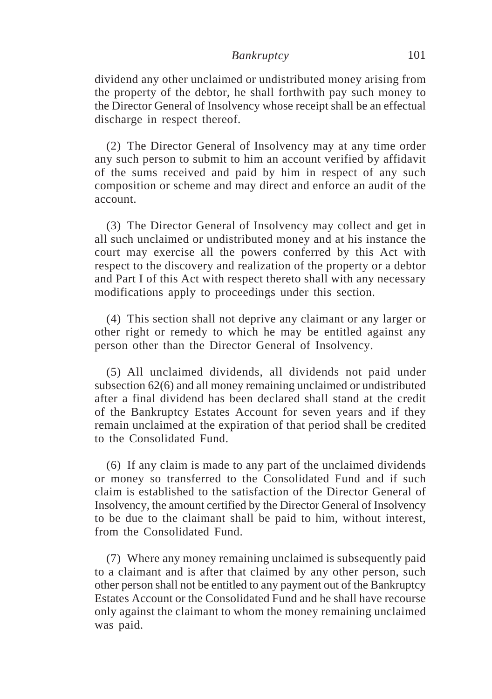dividend any other unclaimed or undistributed money arising from the property of the debtor, he shall forthwith pay such money to the Director General of Insolvency whose receipt shall be an effectual discharge in respect thereof.

(2) The Director General of Insolvency may at any time order any such person to submit to him an account verified by affidavit of the sums received and paid by him in respect of any such composition or scheme and may direct and enforce an audit of the account.

(3) The Director General of Insolvency may collect and get in all such unclaimed or undistributed money and at his instance the court may exercise all the powers conferred by this Act with respect to the discovery and realization of the property or a debtor and Part I of this Act with respect thereto shall with any necessary modifications apply to proceedings under this section.

(4) This section shall not deprive any claimant or any larger or other right or remedy to which he may be entitled against any person other than the Director General of Insolvency.

(5) All unclaimed dividends, all dividends not paid under subsection 62(6) and all money remaining unclaimed or undistributed after a final dividend has been declared shall stand at the credit of the Bankruptcy Estates Account for seven years and if they remain unclaimed at the expiration of that period shall be credited to the Consolidated Fund.

(6) If any claim is made to any part of the unclaimed dividends or money so transferred to the Consolidated Fund and if such claim is established to the satisfaction of the Director General of Insolvency, the amount certified by the Director General of Insolvency to be due to the claimant shall be paid to him, without interest, from the Consolidated Fund.

(7) Where any money remaining unclaimed is subsequently paid to a claimant and is after that claimed by any other person, such other person shall not be entitled to any payment out of the Bankruptcy Estates Account or the Consolidated Fund and he shall have recourse only against the claimant to whom the money remaining unclaimed was paid.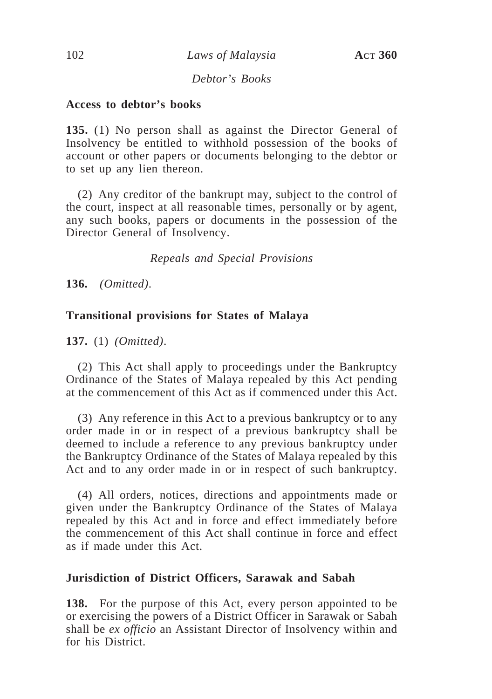## *Debtor's Books*

## **Access to debtor's books**

**135.** (1) No person shall as against the Director General of Insolvency be entitled to withhold possession of the books of account or other papers or documents belonging to the debtor or to set up any lien thereon.

(2) Any creditor of the bankrupt may, subject to the control of the court, inspect at all reasonable times, personally or by agent, any such books, papers or documents in the possession of the Director General of Insolvency.

*Repeals and Special Provisions*

**136.** *(Omitted)*.

# **Transitional provisions for States of Malaya**

**137.** (1) *(Omitted)*.

(2) This Act shall apply to proceedings under the Bankruptcy Ordinance of the States of Malaya repealed by this Act pending at the commencement of this Act as if commenced under this Act.

(3) Any reference in this Act to a previous bankruptcy or to any order made in or in respect of a previous bankruptcy shall be deemed to include a reference to any previous bankruptcy under the Bankruptcy Ordinance of the States of Malaya repealed by this Act and to any order made in or in respect of such bankruptcy.

(4) All orders, notices, directions and appointments made or given under the Bankruptcy Ordinance of the States of Malaya repealed by this Act and in force and effect immediately before the commencement of this Act shall continue in force and effect as if made under this Act.

## **Jurisdiction of District Officers, Sarawak and Sabah**

**138.** For the purpose of this Act, every person appointed to be or exercising the powers of a District Officer in Sarawak or Sabah shall be *ex officio* an Assistant Director of Insolvency within and for his District.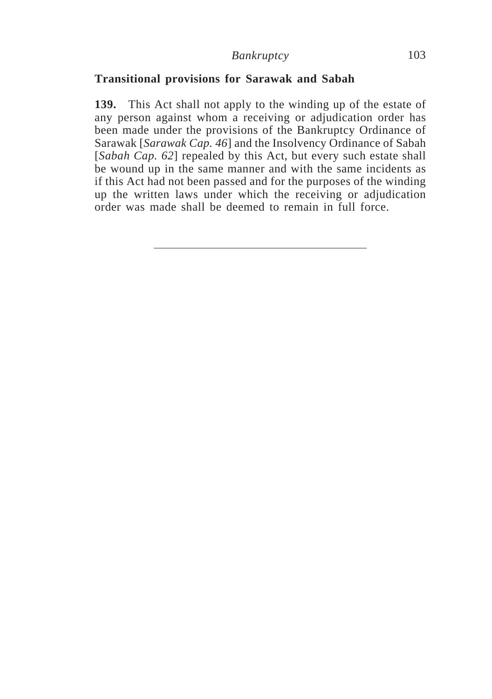## **Transitional provisions for Sarawak and Sabah**

**139.** This Act shall not apply to the winding up of the estate of any person against whom a receiving or adjudication order has been made under the provisions of the Bankruptcy Ordinance of Sarawak [*Sarawak Cap. 46*] and the Insolvency Ordinance of Sabah [*Sabah Cap. 62*] repealed by this Act, but every such estate shall be wound up in the same manner and with the same incidents as if this Act had not been passed and for the purposes of the winding up the written laws under which the receiving or adjudication order was made shall be deemed to remain in full force.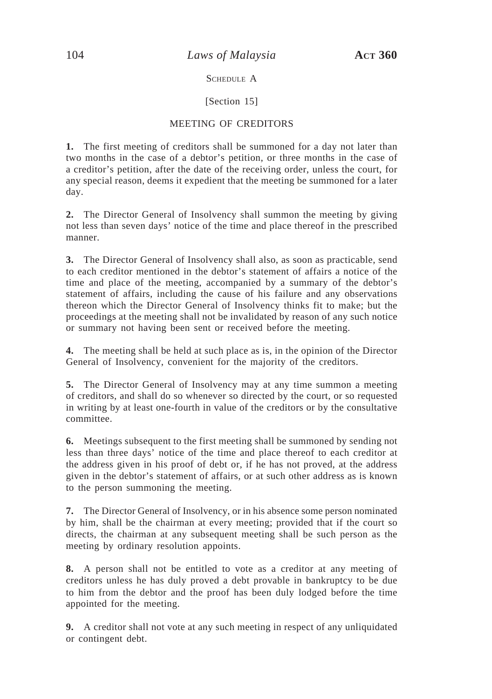#### SCHEDULE A

#### [Section 15]

#### MEETING OF CREDITORS

**1.** The first meeting of creditors shall be summoned for a day not later than two months in the case of a debtor's petition, or three months in the case of a creditor's petition, after the date of the receiving order, unless the court, for any special reason, deems it expedient that the meeting be summoned for a later day.

**2.** The Director General of Insolvency shall summon the meeting by giving not less than seven days' notice of the time and place thereof in the prescribed manner.

**3.** The Director General of Insolvency shall also, as soon as practicable, send to each creditor mentioned in the debtor's statement of affairs a notice of the time and place of the meeting, accompanied by a summary of the debtor's statement of affairs, including the cause of his failure and any observations thereon which the Director General of Insolvency thinks fit to make; but the proceedings at the meeting shall not be invalidated by reason of any such notice or summary not having been sent or received before the meeting.

**4.** The meeting shall be held at such place as is, in the opinion of the Director General of Insolvency, convenient for the majority of the creditors.

**5.** The Director General of Insolvency may at any time summon a meeting of creditors, and shall do so whenever so directed by the court, or so requested in writing by at least one-fourth in value of the creditors or by the consultative committee.

**6.** Meetings subsequent to the first meeting shall be summoned by sending not less than three days' notice of the time and place thereof to each creditor at the address given in his proof of debt or, if he has not proved, at the address given in the debtor's statement of affairs, or at such other address as is known to the person summoning the meeting.

**7.** The Director General of Insolvency, or in his absence some person nominated by him, shall be the chairman at every meeting; provided that if the court so directs, the chairman at any subsequent meeting shall be such person as the meeting by ordinary resolution appoints.

**8.** A person shall not be entitled to vote as a creditor at any meeting of creditors unless he has duly proved a debt provable in bankruptcy to be due to him from the debtor and the proof has been duly lodged before the time appointed for the meeting.

**9.** A creditor shall not vote at any such meeting in respect of any unliquidated or contingent debt.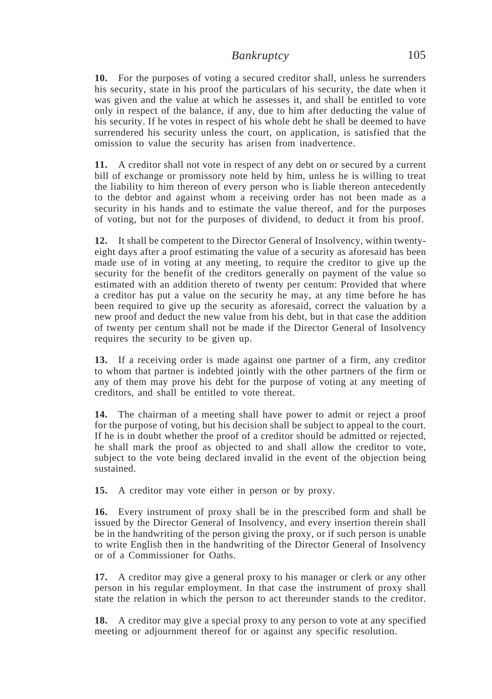**10.** For the purposes of voting a secured creditor shall, unless he surrenders his security, state in his proof the particulars of his security, the date when it was given and the value at which he assesses it, and shall be entitled to vote only in respect of the balance, if any, due to him after deducting the value of his security. If he votes in respect of his whole debt he shall be deemed to have surrendered his security unless the court, on application, is satisfied that the omission to value the security has arisen from inadvertence.

**11.** A creditor shall not vote in respect of any debt on or secured by a current bill of exchange or promissory note held by him, unless he is willing to treat the liability to him thereon of every person who is liable thereon antecedently to the debtor and against whom a receiving order has not been made as a security in his hands and to estimate the value thereof, and for the purposes of voting, but not for the purposes of dividend, to deduct it from his proof.

**12.** It shall be competent to the Director General of Insolvency, within twentyeight days after a proof estimating the value of a security as aforesaid has been made use of in voting at any meeting, to require the creditor to give up the security for the benefit of the creditors generally on payment of the value so estimated with an addition thereto of twenty per centum: Provided that where a creditor has put a value on the security he may, at any time before he has been required to give up the security as aforesaid, correct the valuation by a new proof and deduct the new value from his debt, but in that case the addition of twenty per centum shall not be made if the Director General of Insolvency requires the security to be given up.

**13.** If a receiving order is made against one partner of a firm, any creditor to whom that partner is indebted jointly with the other partners of the firm or any of them may prove his debt for the purpose of voting at any meeting of creditors, and shall be entitled to vote thereat.

**14.** The chairman of a meeting shall have power to admit or reject a proof for the purpose of voting, but his decision shall be subject to appeal to the court. If he is in doubt whether the proof of a creditor should be admitted or rejected, he shall mark the proof as objected to and shall allow the creditor to vote, subject to the vote being declared invalid in the event of the objection being sustained.

**15.** A creditor may vote either in person or by proxy.

**16.** Every instrument of proxy shall be in the prescribed form and shall be issued by the Director General of Insolvency, and every insertion therein shall be in the handwriting of the person giving the proxy, or if such person is unable to write English then in the handwriting of the Director General of Insolvency or of a Commissioner for Oaths.

**17.** A creditor may give a general proxy to his manager or clerk or any other person in his regular employment. In that case the instrument of proxy shall state the relation in which the person to act thereunder stands to the creditor.

**18.** A creditor may give a special proxy to any person to vote at any specified meeting or adjournment thereof for or against any specific resolution.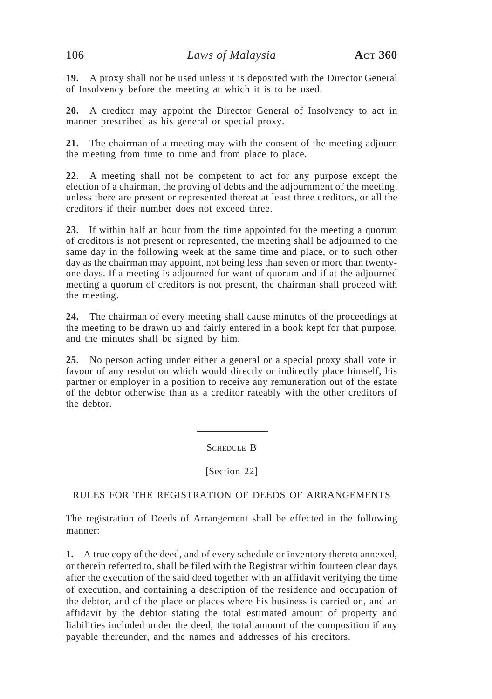**19.** A proxy shall not be used unless it is deposited with the Director General of Insolvency before the meeting at which it is to be used.

**20.** A creditor may appoint the Director General of Insolvency to act in manner prescribed as his general or special proxy.

**21.** The chairman of a meeting may with the consent of the meeting adjourn the meeting from time to time and from place to place.

**22.** A meeting shall not be competent to act for any purpose except the election of a chairman, the proving of debts and the adjournment of the meeting, unless there are present or represented thereat at least three creditors, or all the creditors if their number does not exceed three.

**23.** If within half an hour from the time appointed for the meeting a quorum of creditors is not present or represented, the meeting shall be adjourned to the same day in the following week at the same time and place, or to such other day as the chairman may appoint, not being less than seven or more than twentyone days. If a meeting is adjourned for want of quorum and if at the adjourned meeting a quorum of creditors is not present, the chairman shall proceed with the meeting.

**24.** The chairman of every meeting shall cause minutes of the proceedings at the meeting to be drawn up and fairly entered in a book kept for that purpose, and the minutes shall be signed by him.

**25.** No person acting under either a general or a special proxy shall vote in favour of any resolution which would directly or indirectly place himself, his partner or employer in a position to receive any remuneration out of the estate of the debtor otherwise than as a creditor rateably with the other creditors of the debtor.

SCHEDULE B

[Section 22]

RULES FOR THE REGISTRATION OF DEEDS OF ARRANGEMENTS

The registration of Deeds of Arrangement shall be effected in the following manner:

**1.** A true copy of the deed, and of every schedule or inventory thereto annexed, or therein referred to, shall be filed with the Registrar within fourteen clear days after the execution of the said deed together with an affidavit verifying the time of execution, and containing a description of the residence and occupation of the debtor, and of the place or places where his business is carried on, and an affidavit by the debtor stating the total estimated amount of property and liabilities included under the deed, the total amount of the composition if any payable thereunder, and the names and addresses of his creditors.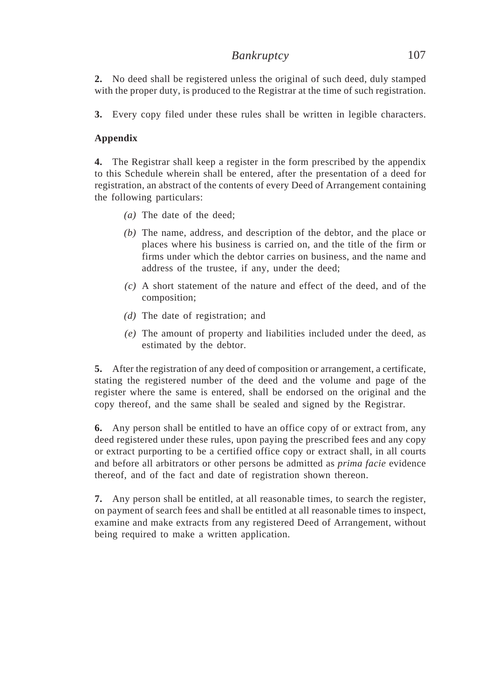**2.** No deed shall be registered unless the original of such deed, duly stamped with the proper duty, is produced to the Registrar at the time of such registration.

**3.** Every copy filed under these rules shall be written in legible characters.

### **Appendix**

**4.** The Registrar shall keep a register in the form prescribed by the appendix to this Schedule wherein shall be entered, after the presentation of a deed for registration, an abstract of the contents of every Deed of Arrangement containing the following particulars:

- *(a)* The date of the deed;
- *(b)* The name, address, and description of the debtor, and the place or places where his business is carried on, and the title of the firm or firms under which the debtor carries on business, and the name and address of the trustee, if any, under the deed;
- *(c)* A short statement of the nature and effect of the deed, and of the composition;
- *(d)* The date of registration; and
- *(e)* The amount of property and liabilities included under the deed, as estimated by the debtor.

**5.** After the registration of any deed of composition or arrangement, a certificate, stating the registered number of the deed and the volume and page of the register where the same is entered, shall be endorsed on the original and the copy thereof, and the same shall be sealed and signed by the Registrar.

**6.** Any person shall be entitled to have an office copy of or extract from, any deed registered under these rules, upon paying the prescribed fees and any copy or extract purporting to be a certified office copy or extract shall, in all courts and before all arbitrators or other persons be admitted as *prima facie* evidence thereof, and of the fact and date of registration shown thereon.

**7.** Any person shall be entitled, at all reasonable times, to search the register, on payment of search fees and shall be entitled at all reasonable times to inspect, examine and make extracts from any registered Deed of Arrangement, without being required to make a written application.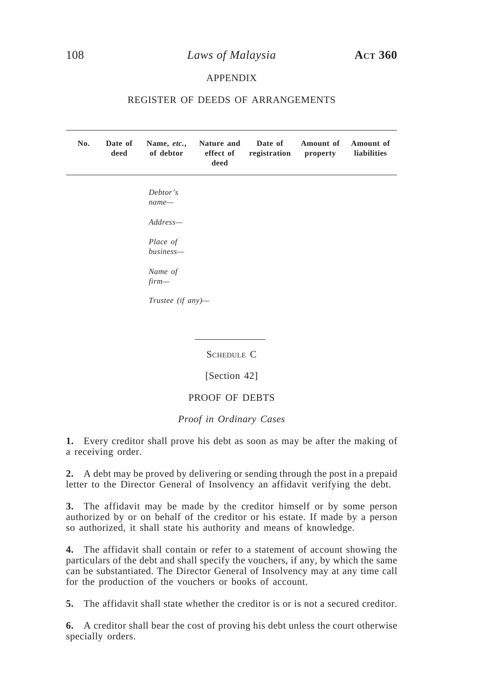#### APPENDIX

#### REGISTER OF DEEDS OF ARRANGEMENTS

**No. Date of Name,** *etc.***, Nature and Date of Amount of Amount of deed of debtor effect of registration property liabilities deed** *Debtor's name— Address— Place of business— Name of firm— Trustee (if any)—*

SCHEDULE C

[Section 42]

#### PROOF OF DEBTS

#### *Proof in Ordinary Cases*

**1.** Every creditor shall prove his debt as soon as may be after the making of a receiving order.

**2.** A debt may be proved by delivering or sending through the post in a prepaid letter to the Director General of Insolvency an affidavit verifying the debt.

**3.** The affidavit may be made by the creditor himself or by some person authorized by or on behalf of the creditor or his estate. If made by a person so authorized, it shall state his authority and means of knowledge.

**4.** The affidavit shall contain or refer to a statement of account showing the particulars of the debt and shall specify the vouchers, if any, by which the same can be substantiated. The Director General of Insolvency may at any time call for the production of the vouchers or books of account.

**5.** The affidavit shall state whether the creditor is or is not a secured creditor.

**6.** A creditor shall bear the cost of proving his debt unless the court otherwise specially orders.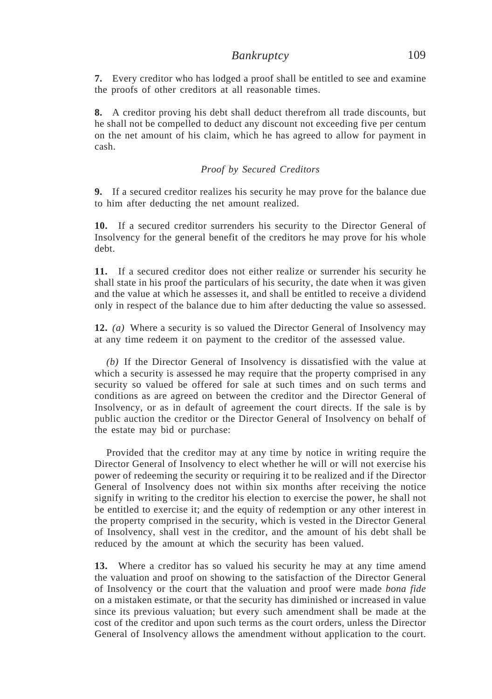### *Bankruptcy* 109

**7.** Every creditor who has lodged a proof shall be entitled to see and examine the proofs of other creditors at all reasonable times.

**8.** A creditor proving his debt shall deduct therefrom all trade discounts, but he shall not be compelled to deduct any discount not exceeding five per centum on the net amount of his claim, which he has agreed to allow for payment in cash.

#### *Proof by Secured Creditors*

**9.** If a secured creditor realizes his security he may prove for the balance due to him after deducting the net amount realized.

**10.** If a secured creditor surrenders his security to the Director General of Insolvency for the general benefit of the creditors he may prove for his whole debt.

**11.** If a secured creditor does not either realize or surrender his security he shall state in his proof the particulars of his security, the date when it was given and the value at which he assesses it, and shall be entitled to receive a dividend only in respect of the balance due to him after deducting the value so assessed.

**12.** *(a)* Where a security is so valued the Director General of Insolvency may at any time redeem it on payment to the creditor of the assessed value.

*(b)* If the Director General of Insolvency is dissatisfied with the value at which a security is assessed he may require that the property comprised in any security so valued be offered for sale at such times and on such terms and conditions as are agreed on between the creditor and the Director General of Insolvency, or as in default of agreement the court directs. If the sale is by public auction the creditor or the Director General of Insolvency on behalf of the estate may bid or purchase:

Provided that the creditor may at any time by notice in writing require the Director General of Insolvency to elect whether he will or will not exercise his power of redeeming the security or requiring it to be realized and if the Director General of Insolvency does not within six months after receiving the notice signify in writing to the creditor his election to exercise the power, he shall not be entitled to exercise it; and the equity of redemption or any other interest in the property comprised in the security, which is vested in the Director General of Insolvency, shall vest in the creditor, and the amount of his debt shall be reduced by the amount at which the security has been valued.

**13.** Where a creditor has so valued his security he may at any time amend the valuation and proof on showing to the satisfaction of the Director General of Insolvency or the court that the valuation and proof were made *bona fide* on a mistaken estimate, or that the security has diminished or increased in value since its previous valuation; but every such amendment shall be made at the cost of the creditor and upon such terms as the court orders, unless the Director General of Insolvency allows the amendment without application to the court.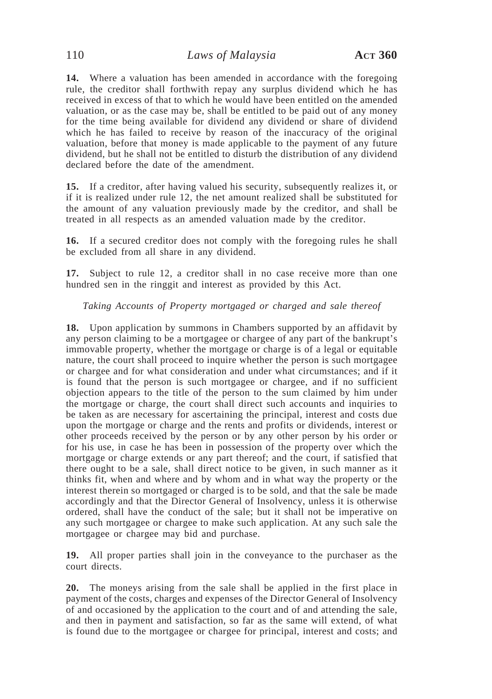**14.** Where a valuation has been amended in accordance with the foregoing rule, the creditor shall forthwith repay any surplus dividend which he has received in excess of that to which he would have been entitled on the amended valuation, or as the case may be, shall be entitled to be paid out of any money for the time being available for dividend any dividend or share of dividend which he has failed to receive by reason of the inaccuracy of the original valuation, before that money is made applicable to the payment of any future dividend, but he shall not be entitled to disturb the distribution of any dividend declared before the date of the amendment.

**15.** If a creditor, after having valued his security, subsequently realizes it, or if it is realized under rule 12, the net amount realized shall be substituted for the amount of any valuation previously made by the creditor, and shall be treated in all respects as an amended valuation made by the creditor.

**16.** If a secured creditor does not comply with the foregoing rules he shall be excluded from all share in any dividend.

**17.** Subject to rule 12, a creditor shall in no case receive more than one hundred sen in the ringgit and interest as provided by this Act.

#### *Taking Accounts of Property mortgaged or charged and sale thereof*

**18.** Upon application by summons in Chambers supported by an affidavit by any person claiming to be a mortgagee or chargee of any part of the bankrupt's immovable property, whether the mortgage or charge is of a legal or equitable nature, the court shall proceed to inquire whether the person is such mortgagee or chargee and for what consideration and under what circumstances; and if it is found that the person is such mortgagee or chargee, and if no sufficient objection appears to the title of the person to the sum claimed by him under the mortgage or charge, the court shall direct such accounts and inquiries to be taken as are necessary for ascertaining the principal, interest and costs due upon the mortgage or charge and the rents and profits or dividends, interest or other proceeds received by the person or by any other person by his order or for his use, in case he has been in possession of the property over which the mortgage or charge extends or any part thereof; and the court, if satisfied that there ought to be a sale, shall direct notice to be given, in such manner as it thinks fit, when and where and by whom and in what way the property or the interest therein so mortgaged or charged is to be sold, and that the sale be made accordingly and that the Director General of Insolvency, unless it is otherwise ordered, shall have the conduct of the sale; but it shall not be imperative on any such mortgagee or chargee to make such application. At any such sale the mortgagee or chargee may bid and purchase.

**19.** All proper parties shall join in the conveyance to the purchaser as the court directs.

**20.** The moneys arising from the sale shall be applied in the first place in payment of the costs, charges and expenses of the Director General of Insolvency of and occasioned by the application to the court and of and attending the sale, and then in payment and satisfaction, so far as the same will extend, of what is found due to the mortgagee or chargee for principal, interest and costs; and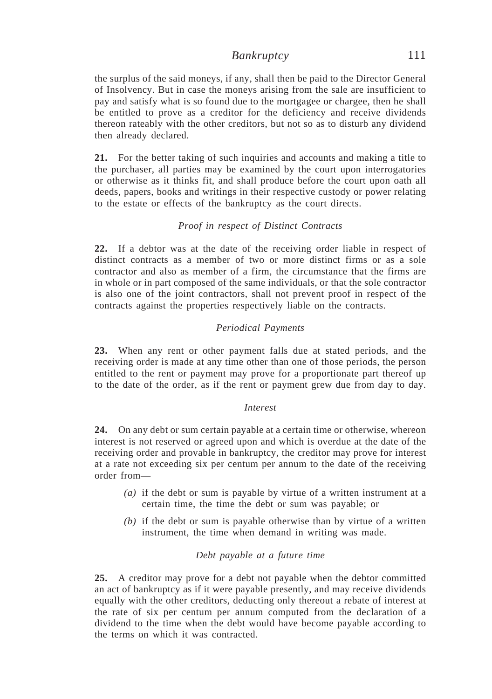### *Bankruptcy* 111

the surplus of the said moneys, if any, shall then be paid to the Director General of Insolvency. But in case the moneys arising from the sale are insufficient to pay and satisfy what is so found due to the mortgagee or chargee, then he shall be entitled to prove as a creditor for the deficiency and receive dividends thereon rateably with the other creditors, but not so as to disturb any dividend then already declared.

**21.** For the better taking of such inquiries and accounts and making a title to the purchaser, all parties may be examined by the court upon interrogatories or otherwise as it thinks fit, and shall produce before the court upon oath all deeds, papers, books and writings in their respective custody or power relating to the estate or effects of the bankruptcy as the court directs.

### *Proof in respect of Distinct Contracts*

**22.** If a debtor was at the date of the receiving order liable in respect of distinct contracts as a member of two or more distinct firms or as a sole contractor and also as member of a firm, the circumstance that the firms are in whole or in part composed of the same individuals, or that the sole contractor is also one of the joint contractors, shall not prevent proof in respect of the contracts against the properties respectively liable on the contracts.

### *Periodical Payments*

**23.** When any rent or other payment falls due at stated periods, and the receiving order is made at any time other than one of those periods, the person entitled to the rent or payment may prove for a proportionate part thereof up to the date of the order, as if the rent or payment grew due from day to day.

#### *Interest*

**24.** On any debt or sum certain payable at a certain time or otherwise, whereon interest is not reserved or agreed upon and which is overdue at the date of the receiving order and provable in bankruptcy, the creditor may prove for interest at a rate not exceeding six per centum per annum to the date of the receiving order from—

- *(a)* if the debt or sum is payable by virtue of a written instrument at a certain time, the time the debt or sum was payable; or
- *(b)* if the debt or sum is payable otherwise than by virtue of a written instrument, the time when demand in writing was made.

### *Debt payable at a future time*

**25.** A creditor may prove for a debt not payable when the debtor committed an act of bankruptcy as if it were payable presently, and may receive dividends equally with the other creditors, deducting only thereout a rebate of interest at the rate of six per centum per annum computed from the declaration of a dividend to the time when the debt would have become payable according to the terms on which it was contracted.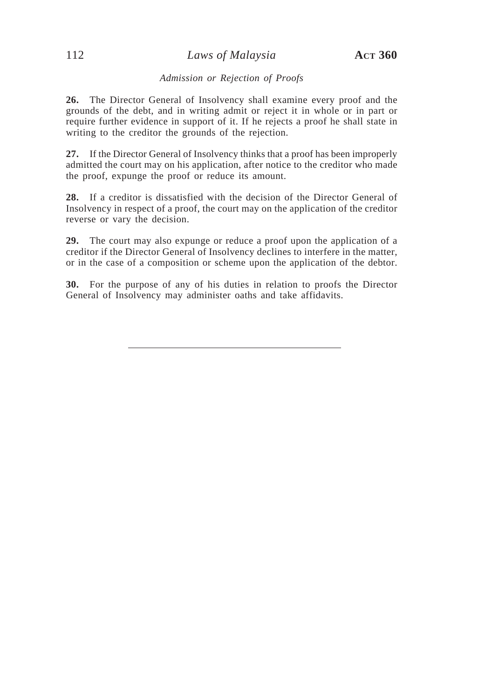## 112 *Laws of Malaysia* **ACT 360**

### *Admission or Rejection of Proofs*

**26.** The Director General of Insolvency shall examine every proof and the grounds of the debt, and in writing admit or reject it in whole or in part or require further evidence in support of it. If he rejects a proof he shall state in writing to the creditor the grounds of the rejection.

**27.** If the Director General of Insolvency thinks that a proof has been improperly admitted the court may on his application, after notice to the creditor who made the proof, expunge the proof or reduce its amount.

**28.** If a creditor is dissatisfied with the decision of the Director General of Insolvency in respect of a proof, the court may on the application of the creditor reverse or vary the decision.

**29.** The court may also expunge or reduce a proof upon the application of a creditor if the Director General of Insolvency declines to interfere in the matter, or in the case of a composition or scheme upon the application of the debtor.

**30.** For the purpose of any of his duties in relation to proofs the Director General of Insolvency may administer oaths and take affidavits.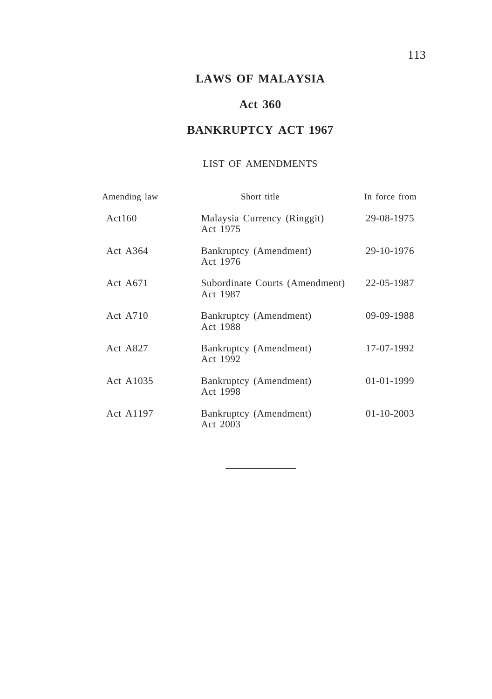## **LAWS OF MALAYSIA**

## **Act 360**

# **BANKRUPTCY ACT 1967**

## LIST OF AMENDMENTS

| Amending law    | Short title                                | In force from    |
|-----------------|--------------------------------------------|------------------|
| Act160          | Malaysia Currency (Ringgit)<br>Act 1975    | 29-08-1975       |
| Act A364        | Bankruptcy (Amendment)<br>Act 1976         | 29-10-1976       |
| Act A671        | Subordinate Courts (Amendment)<br>Act 1987 | 22-05-1987       |
| Act A710        | Bankruptcy (Amendment)<br>Act 1988         | 09-09-1988       |
| <b>Act A827</b> | Bankruptcy (Amendment)<br>Act 1992         | 17-07-1992       |
| Act A1035       | Bankruptcy (Amendment)<br>Act 1998         | $01 - 01 - 1999$ |
| Act A1197       | Bankruptcy (Amendment)<br>Act 2003         | $01 - 10 - 2003$ |
|                 |                                            |                  |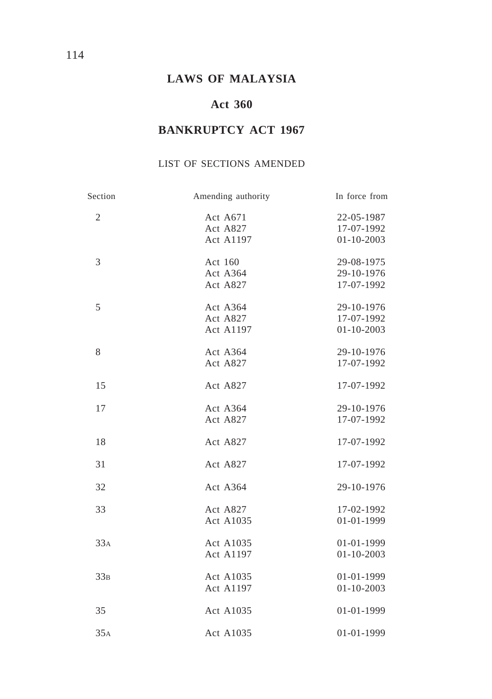## **LAWS OF MALAYSIA**

## **Act 360**

# **BANKRUPTCY ACT 1967**

### LIST OF SECTIONS AMENDED

| Section      | Amending authority                | In force from                                |
|--------------|-----------------------------------|----------------------------------------------|
| $\mathbf{2}$ | Act A671<br>Act A827<br>Act A1197 | 22-05-1987<br>17-07-1992<br>$01 - 10 - 2003$ |
| 3            | Act 160<br>Act A364<br>Act A827   | 29-08-1975<br>29-10-1976<br>17-07-1992       |
| 5            | Act A364<br>Act A827<br>Act A1197 | 29-10-1976<br>17-07-1992<br>$01 - 10 - 2003$ |
| 8            | Act A364<br>Act A827              | 29-10-1976<br>17-07-1992                     |
| 15           | Act A827                          | 17-07-1992                                   |
| 17           | Act A364<br>Act A827              | 29-10-1976<br>17-07-1992                     |
| 18           | Act A827                          | 17-07-1992                                   |
| 31           | Act A827                          | 17-07-1992                                   |
| 32           | Act A364                          | 29-10-1976                                   |
| 33           | Act A827<br>Act A1035             | 17-02-1992<br>01-01-1999                     |
| 33A          | Act A1035<br>Act A1197            | 01-01-1999<br>$01 - 10 - 2003$               |
| 33B          | Act A1035<br>Act A1197            | 01-01-1999<br>$01 - 10 - 2003$               |
| 35           | Act A1035                         | 01-01-1999                                   |
| 35A          | Act A1035                         | 01-01-1999                                   |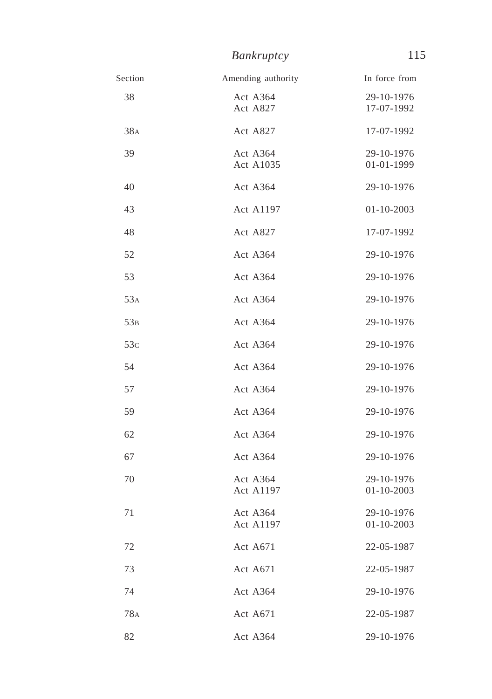| Section         | Amending authority    | In force from                  |
|-----------------|-----------------------|--------------------------------|
| 38              | Act A364<br>Act A827  | 29-10-1976<br>17-07-1992       |
| 38A             | Act A827              | 17-07-1992                     |
| 39              | Act A364<br>Act A1035 | 29-10-1976<br>01-01-1999       |
| 40              | Act A364              | 29-10-1976                     |
| 43              | Act A1197             | $01 - 10 - 2003$               |
| 48              | Act A827              | 17-07-1992                     |
| 52              | Act A364              | 29-10-1976                     |
| 53              | Act A364              | 29-10-1976                     |
| 53A             | Act A364              | 29-10-1976                     |
| 53B             | Act A364              | 29-10-1976                     |
| 53 <sub>C</sub> | Act A364              | 29-10-1976                     |
| 54              | Act A364              | 29-10-1976                     |
| 57              | Act A364              | 29-10-1976                     |
| 59              | Act A364              | 29-10-1976                     |
| 62              | Act A364              | 29-10-1976                     |
| 67              | Act A364              | 29-10-1976                     |
| 70              | Act A364<br>Act A1197 | 29-10-1976<br>$01 - 10 - 2003$ |
| 71              | Act A364<br>Act A1197 | 29-10-1976<br>$01 - 10 - 2003$ |
| 72              | Act A671              | 22-05-1987                     |
| 73              | Act A671              | 22-05-1987                     |
| 74              | Act A364              | 29-10-1976                     |
| 78 <sub>A</sub> | Act A671              | 22-05-1987                     |
| 82              | Act A364              | 29-10-1976                     |